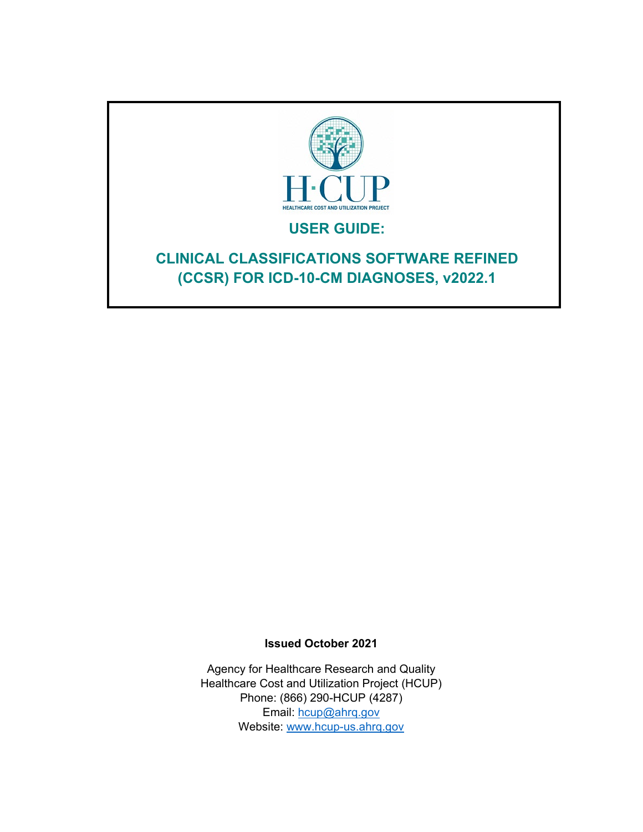

# **USER GUIDE:**

# **CLINICAL CLASSIFICATIONS SOFTWARE REFINED (CCSR) FOR ICD-10-CM DIAGNOSES, v2022.1**

**Issued October 2021**

Agency for Healthcare Research and Quality Healthcare Cost and Utilization Project (HCUP) Phone: (866) 290-HCUP (4287) Email: [hcup@ahrq.gov](mailto:hcup@ahrq.gov) Website: [www.hcup-us.ahrq.gov](http://www.hcup-us.ahrq.gov/)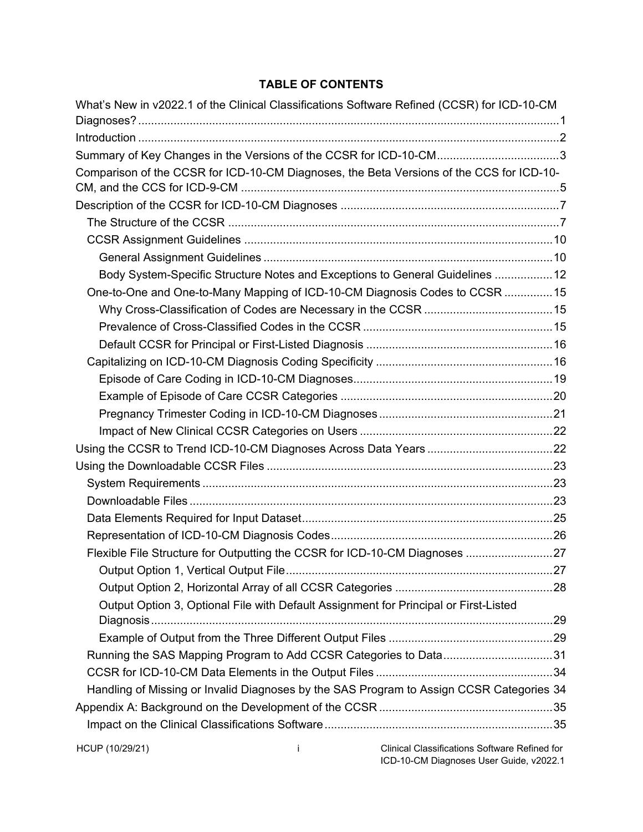## **TABLE OF CONTENTS**

|                 |   | What's New in v2022.1 of the Clinical Classifications Software Refined (CCSR) for ICD-10-CM |  |
|-----------------|---|---------------------------------------------------------------------------------------------|--|
|                 |   |                                                                                             |  |
|                 |   | Summary of Key Changes in the Versions of the CCSR for ICD-10-CM3                           |  |
|                 |   | Comparison of the CCSR for ICD-10-CM Diagnoses, the Beta Versions of the CCS for ICD-10-    |  |
|                 |   |                                                                                             |  |
|                 |   |                                                                                             |  |
|                 |   |                                                                                             |  |
|                 |   |                                                                                             |  |
|                 |   |                                                                                             |  |
|                 |   | Body System-Specific Structure Notes and Exceptions to General Guidelines  12               |  |
|                 |   | One-to-One and One-to-Many Mapping of ICD-10-CM Diagnosis Codes to CCSR 15                  |  |
|                 |   |                                                                                             |  |
|                 |   |                                                                                             |  |
|                 |   |                                                                                             |  |
|                 |   |                                                                                             |  |
|                 |   |                                                                                             |  |
|                 |   |                                                                                             |  |
|                 |   |                                                                                             |  |
|                 |   |                                                                                             |  |
|                 |   |                                                                                             |  |
|                 |   |                                                                                             |  |
|                 |   |                                                                                             |  |
|                 |   |                                                                                             |  |
|                 |   |                                                                                             |  |
|                 |   |                                                                                             |  |
|                 |   | Flexible File Structure for Outputting the CCSR for ICD-10-CM Diagnoses 27                  |  |
|                 |   |                                                                                             |  |
|                 |   |                                                                                             |  |
|                 |   | Output Option 3, Optional File with Default Assignment for Principal or First-Listed        |  |
|                 |   |                                                                                             |  |
|                 |   |                                                                                             |  |
|                 |   | Running the SAS Mapping Program to Add CCSR Categories to Data31                            |  |
|                 |   |                                                                                             |  |
|                 |   | Handling of Missing or Invalid Diagnoses by the SAS Program to Assign CCSR Categories 34    |  |
|                 |   |                                                                                             |  |
|                 |   |                                                                                             |  |
| HCUP (10/29/21) | Ť | Clinical Classifications Software Refined for<br>ICD-10-CM Diagnoses User Guide, v2022.1    |  |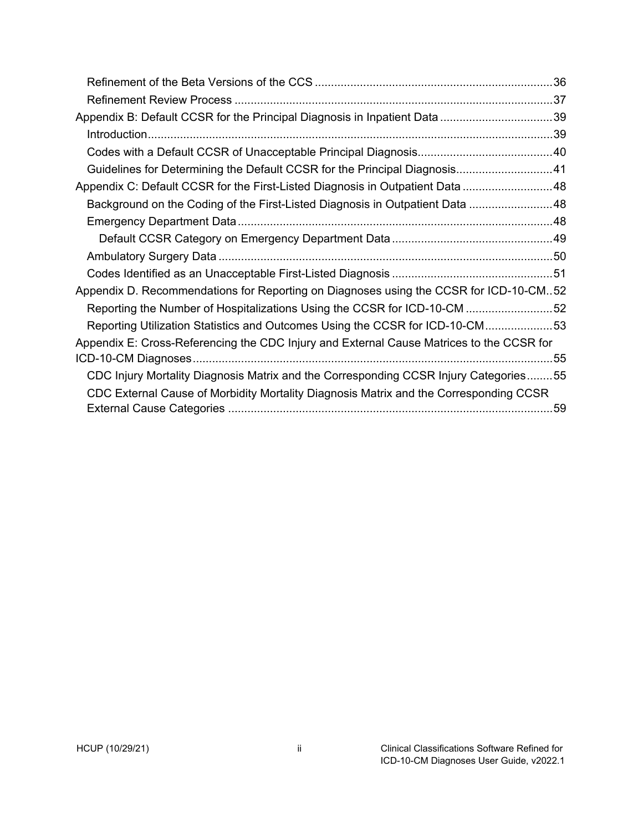| Guidelines for Determining the Default CCSR for the Principal Diagnosis41                |  |
|------------------------------------------------------------------------------------------|--|
| Appendix C: Default CCSR for the First-Listed Diagnosis in Outpatient Data  48           |  |
| Background on the Coding of the First-Listed Diagnosis in Outpatient Data 48             |  |
|                                                                                          |  |
|                                                                                          |  |
|                                                                                          |  |
|                                                                                          |  |
| Appendix D. Recommendations for Reporting on Diagnoses using the CCSR for ICD-10-CM52    |  |
| Reporting the Number of Hospitalizations Using the CCSR for ICD-10-CM 52                 |  |
| Reporting Utilization Statistics and Outcomes Using the CCSR for ICD-10-CM53             |  |
| Appendix E: Cross-Referencing the CDC Injury and External Cause Matrices to the CCSR for |  |
|                                                                                          |  |
| CDC Injury Mortality Diagnosis Matrix and the Corresponding CCSR Injury Categories55     |  |
| CDC External Cause of Morbidity Mortality Diagnosis Matrix and the Corresponding CCSR    |  |
|                                                                                          |  |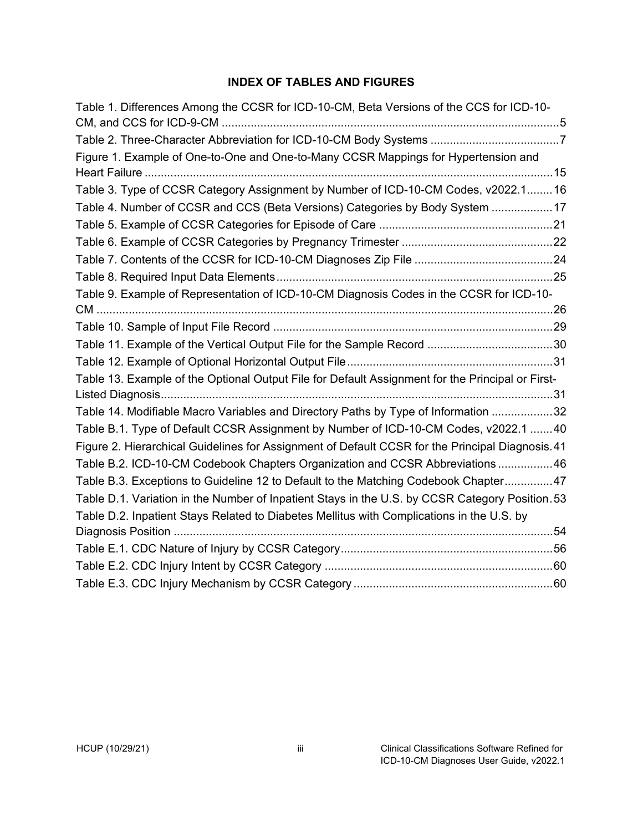#### **INDEX OF TABLES AND FIGURES**

| Table 1. Differences Among the CCSR for ICD-10-CM, Beta Versions of the CCS for ICD-10-          |  |
|--------------------------------------------------------------------------------------------------|--|
|                                                                                                  |  |
| Figure 1. Example of One-to-One and One-to-Many CCSR Mappings for Hypertension and               |  |
| Table 3. Type of CCSR Category Assignment by Number of ICD-10-CM Codes, v2022.1 16               |  |
| Table 4. Number of CCSR and CCS (Beta Versions) Categories by Body System  17                    |  |
|                                                                                                  |  |
|                                                                                                  |  |
|                                                                                                  |  |
|                                                                                                  |  |
| Table 9. Example of Representation of ICD-10-CM Diagnosis Codes in the CCSR for ICD-10-          |  |
|                                                                                                  |  |
|                                                                                                  |  |
|                                                                                                  |  |
|                                                                                                  |  |
| Table 13. Example of the Optional Output File for Default Assignment for the Principal or First- |  |
|                                                                                                  |  |
| Table 14. Modifiable Macro Variables and Directory Paths by Type of Information 32               |  |
| Table B.1. Type of Default CCSR Assignment by Number of ICD-10-CM Codes, v2022.1 40              |  |
| Figure 2. Hierarchical Guidelines for Assignment of Default CCSR for the Principal Diagnosis.41  |  |
| Table B.2. ICD-10-CM Codebook Chapters Organization and CCSR Abbreviations 46                    |  |
| Table B.3. Exceptions to Guideline 12 to Default to the Matching Codebook Chapter47              |  |
| Table D.1. Variation in the Number of Inpatient Stays in the U.S. by CCSR Category Position. 53  |  |
| Table D.2. Inpatient Stays Related to Diabetes Mellitus with Complications in the U.S. by        |  |
|                                                                                                  |  |
|                                                                                                  |  |
|                                                                                                  |  |
|                                                                                                  |  |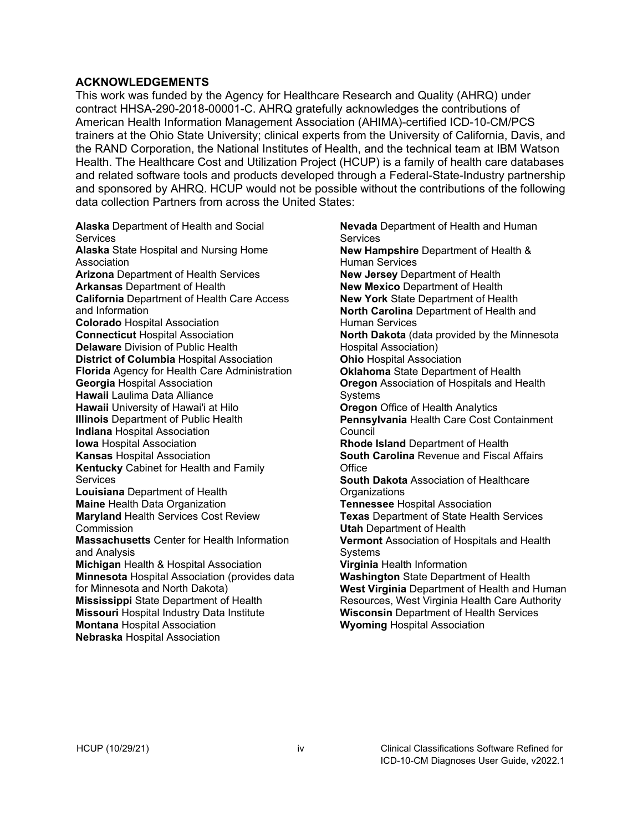#### **ACKNOWLEDGEMENTS**

This work was funded by the Agency for Healthcare Research and Quality (AHRQ) under contract HHSA-290-2018-00001-C. AHRQ gratefully acknowledges the contributions of American Health Information Management Association (AHIMA)-certified ICD-10-CM/PCS trainers at the Ohio State University; clinical experts from the University of California, Davis, and the RAND Corporation, the National Institutes of Health, and the technical team at IBM Watson Health. The Healthcare Cost and Utilization Project (HCUP) is a family of health care databases and related software tools and products developed through a Federal-State-Industry partnership and sponsored by AHRQ. HCUP would not be possible without the contributions of the following data collection Partners from across the United States:

**Alaska** Department of Health and Social **Services Alaska** State Hospital and Nursing Home Association **Arizona** Department of Health Services **Arkansas** Department of Health **California** Department of Health Care Access and Information **Colorado** Hospital Association **Connecticut** Hospital Association **Delaware** Division of Public Health **District of Columbia** Hospital Association **Florida** Agency for Health Care Administration **Georgia** Hospital Association **Hawaii** Laulima Data Alliance **Hawaii** University of Hawai'i at Hilo **Illinois** Department of Public Health **Indiana** Hospital Association **Iowa** Hospital Association **Kansas** Hospital Association **Kentucky** Cabinet for Health and Family **Services Louisiana** Department of Health **Maine** Health Data Organization **Maryland** Health Services Cost Review **Commission Massachusetts** Center for Health Information and Analysis **Michigan** Health & Hospital Association **Minnesota** Hospital Association (provides data for Minnesota and North Dakota) **Mississippi** State Department of Health **Missouri** Hospital Industry Data Institute **Montana** Hospital Association **Nebraska** Hospital Association

**Nevada** Department of Health and Human **Services New Hampshire** Department of Health & Human Services **New Jersey** Department of Health **New Mexico** Department of Health **New York** State Department of Health **North Carolina** Department of Health and Human Services **North Dakota** (data provided by the Minnesota Hospital Association) **Ohio** Hospital Association **Oklahoma** State Department of Health **Oregon** Association of Hospitals and Health Systems **Oregon** Office of Health Analytics **Pennsylvania** Health Care Cost Containment **Council Rhode Island** Department of Health **South Carolina** Revenue and Fiscal Affairs Office **South Dakota** Association of Healthcare **Organizations Tennessee** Hospital Association **Texas** Department of State Health Services **Utah** Department of Health **Vermont** Association of Hospitals and Health **Systems Virginia** Health Information **Washington** State Department of Health **West Virginia** Department of Health and Human Resources, West Virginia Health Care Authority **Wisconsin** Department of Health Services **Wyoming** Hospital Association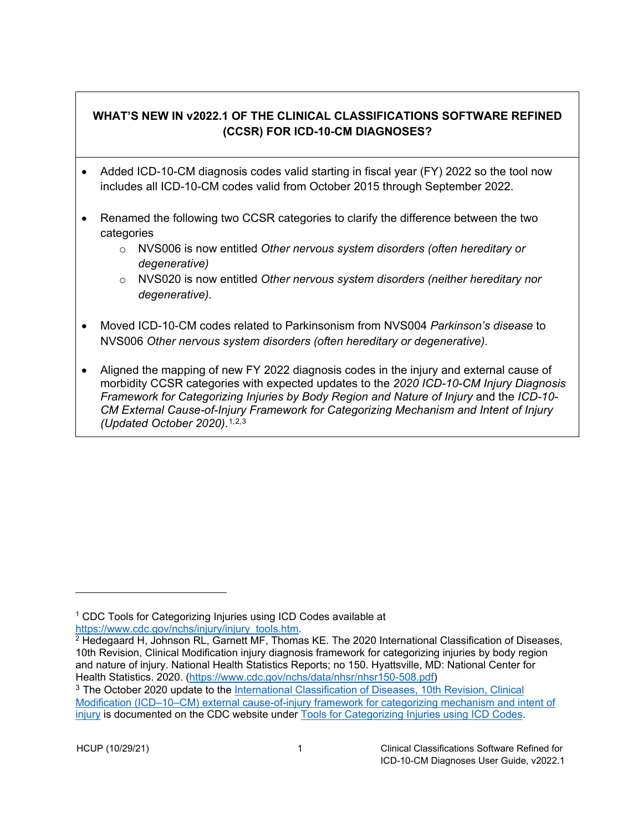## <span id="page-5-0"></span>**WHAT'S NEW IN v2022.1 OF THE CLINICAL CLASSIFICATIONS SOFTWARE REFINED (CCSR) FOR ICD-10-CM DIAGNOSES?**

- Added ICD-10-CM diagnosis codes valid starting in fiscal year (FY) 2022 so the tool now includes all ICD-10-CM codes valid from October 2015 through September 2022.
- Renamed the following two CCSR categories to clarify the difference between the two categories
	- o NVS006 is now entitled *Other nervous system disorders (often hereditary or degenerative)*
	- o NVS020 is now entitled *Other nervous system disorders (neither hereditary nor degenerative).*
- Moved ICD-10-CM codes related to Parkinsonism from NVS004 *Parkinson's disease* to NVS006 *Other nervous system disorders (often hereditary or degenerative).*
- Aligned the mapping of new FY 2022 diagnosis codes in the injury and external cause of morbidity CCSR categories with expected updates to the *2020 ICD-10-CM Injury Diagnosis Framework for Categorizing Injuries by Body Region and Nature of Injury* and the *ICD-10- CM External Cause-of-Injury Framework for Categorizing Mechanism and Intent of Injury (Updated October 2020)*.[1,](#page-5-1)[2](#page-5-2),[3](#page-5-3)

<span id="page-5-1"></span><sup>&</sup>lt;sup>1</sup> CDC Tools for Categorizing Injuries using ICD Codes available at https://www.cdc.gov/nchs/injury/injury tools.htm.

<span id="page-5-2"></span> $^2$  Hedegaard H, Johnson RL, Garnett MF, Thomas KE. The 2020 International Classification of Diseases, 10th Revision, Clinical Modification injury diagnosis framework for categorizing injuries by body region and nature of injury. National Health Statistics Reports; no 150. Hyattsville, MD: National Center for Health Statistics. 2020. [\(https://www.cdc.gov/nchs/data/nhsr/nhsr150-508.pdf\)](https://www.cdc.gov/nchs/data/nhsr/nhsr150-508.pdf)

<span id="page-5-3"></span><sup>3</sup> The October 2020 update to the [International Classification of Diseases, 10th Revision, Clinical](https://www.cdc.gov/nchs/data/injury/nhsr136-508.pdf)  [Modification \(ICD–10–CM\) external cause-of-injury framework for categorizing mechanism and intent of](https://www.cdc.gov/nchs/data/injury/nhsr136-508.pdf)  [injury](https://www.cdc.gov/nchs/data/injury/nhsr136-508.pdf) is documented on the CDC website under [Tools for Categorizing Injuries using ICD Codes.](https://www.cdc.gov/nchs/injury/injury_tools.htm)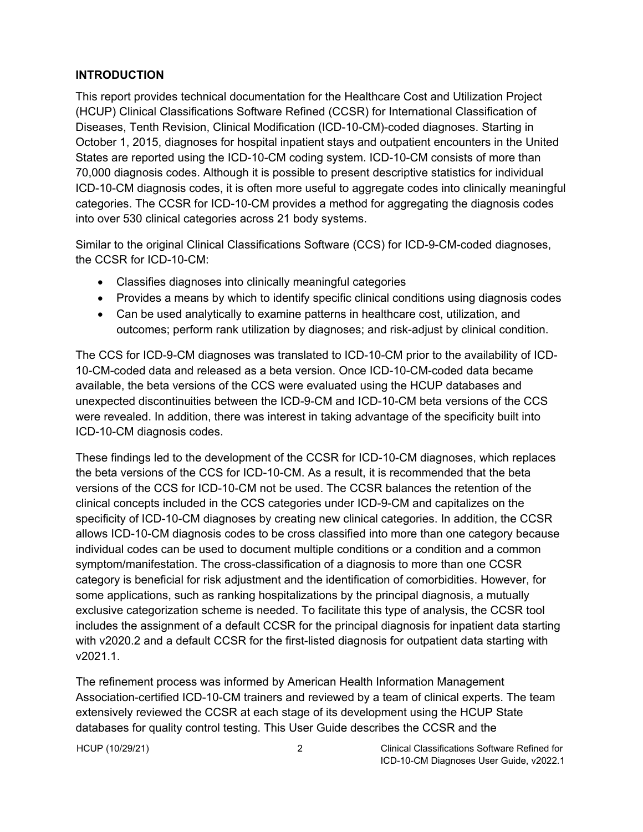#### <span id="page-6-0"></span>**INTRODUCTION**

This report provides technical documentation for the Healthcare Cost and Utilization Project (HCUP) Clinical Classifications Software Refined (CCSR) for International Classification of Diseases, Tenth Revision, Clinical Modification (ICD-10-CM)-coded diagnoses. Starting in October 1, 2015, diagnoses for hospital inpatient stays and outpatient encounters in the United States are reported using the ICD-10-CM coding system. ICD-10-CM consists of more than 70,000 diagnosis codes. Although it is possible to present descriptive statistics for individual ICD-10-CM diagnosis codes, it is often more useful to aggregate codes into clinically meaningful categories. The CCSR for ICD-10-CM provides a method for aggregating the diagnosis codes into over 530 clinical categories across 21 body systems.

Similar to the original Clinical Classifications Software (CCS) for ICD-9-CM-coded diagnoses, the CCSR for ICD-10-CM:

- Classifies diagnoses into clinically meaningful categories
- Provides a means by which to identify specific clinical conditions using diagnosis codes
- Can be used analytically to examine patterns in healthcare cost, utilization, and outcomes; perform rank utilization by diagnoses; and risk-adjust by clinical condition.

The CCS for ICD-9-CM diagnoses was translated to ICD-10-CM prior to the availability of ICD-10-CM-coded data and released as a beta version. Once ICD-10-CM-coded data became available, the beta versions of the CCS were evaluated using the HCUP databases and unexpected discontinuities between the ICD-9-CM and ICD-10-CM beta versions of the CCS were revealed. In addition, there was interest in taking advantage of the specificity built into ICD-10-CM diagnosis codes.

These findings led to the development of the CCSR for ICD-10-CM diagnoses, which replaces the beta versions of the CCS for ICD-10-CM. As a result, it is recommended that the beta versions of the CCS for ICD-10-CM not be used. The CCSR balances the retention of the clinical concepts included in the CCS categories under ICD-9-CM and capitalizes on the specificity of ICD-10-CM diagnoses by creating new clinical categories. In addition, the CCSR allows ICD-10-CM diagnosis codes to be cross classified into more than one category because individual codes can be used to document multiple conditions or a condition and a common symptom/manifestation. The cross-classification of a diagnosis to more than one CCSR category is beneficial for risk adjustment and the identification of comorbidities. However, for some applications, such as ranking hospitalizations by the principal diagnosis, a mutually exclusive categorization scheme is needed. To facilitate this type of analysis, the CCSR tool includes the assignment of a default CCSR for the principal diagnosis for inpatient data starting with v2020.2 and a default CCSR for the first-listed diagnosis for outpatient data starting with v2021.1.

The refinement process was informed by American Health Information Management Association-certified ICD-10-CM trainers and reviewed by a team of clinical experts. The team extensively reviewed the CCSR at each stage of its development using the HCUP State databases for quality control testing. This User Guide describes the CCSR and the

HCUP (10/29/21) 2 Clinical Classifications Software Refined for ICD-10-CM Diagnoses User Guide, v2022.1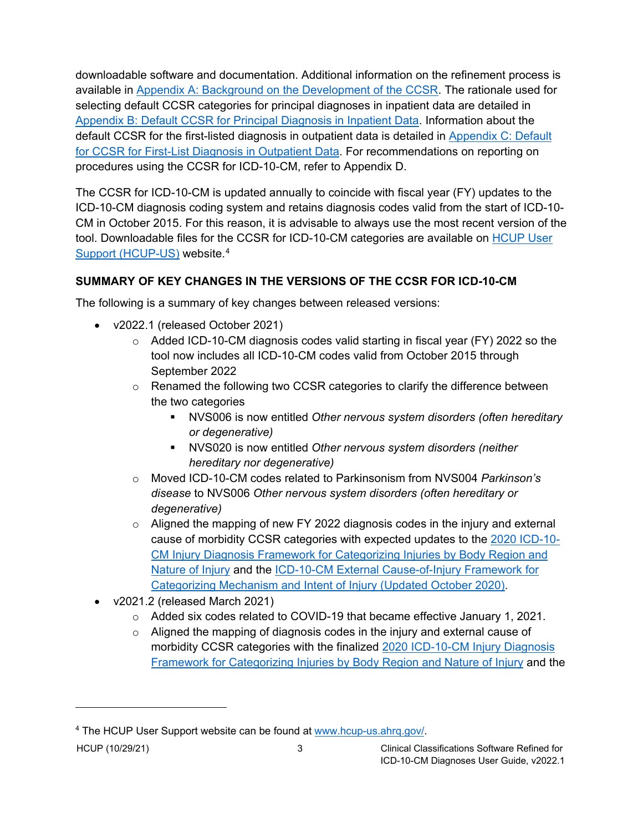downloadable software and documentation. Additional information on the refinement process is available in [Appendix A: Background on the Development of the CCSR.](#page--1-0) The rationale used for selecting default CCSR categories for principal diagnoses in inpatient data are detailed in [Appendix B: Default CCSR for Principal Diagnosis in Inpatient Data.](#page-43-0) Information about the default CCSR for the first-listed diagnosis in outpatient data is detailed in [Appendix C: Default](#page-52-0)  [for CCSR for First-List Diagnosis in Outpatient](#page-52-0) Data. For recommendations on reporting on procedures using the CCSR for ICD-10-CM, refer to Appendix D.

The CCSR for ICD-10-CM is updated annually to coincide with fiscal year (FY) updates to the ICD-10-CM diagnosis coding system and retains diagnosis codes valid from the start of ICD-10- CM in October 2015. For this reason, it is advisable to always use the most recent version of the tool. Downloadable files for the CCSR for ICD-10-CM categories are available on [HCUP User](http://www.hcup-us.ahrq.gov/)  [Support \(HCUP-US\)](http://www.hcup-us.ahrq.gov/) website.<sup>[4](#page-7-1)</sup>

## <span id="page-7-0"></span>**SUMMARY OF KEY CHANGES IN THE VERSIONS OF THE CCSR FOR ICD-10-CM**

The following is a summary of key changes between released versions:

- v2022.1 (released October 2021)
	- $\circ$  Added ICD-10-CM diagnosis codes valid starting in fiscal year (FY) 2022 so the tool now includes all ICD-10-CM codes valid from October 2015 through September 2022
	- o Renamed the following two CCSR categories to clarify the difference between the two categories
		- NVS006 is now entitled *Other nervous system disorders (often hereditary or degenerative)*
		- NVS020 is now entitled *Other nervous system disorders (neither hereditary nor degenerative)*
	- o Moved ICD-10-CM codes related to Parkinsonism from NVS004 *Parkinson's disease* to NVS006 *Other nervous system disorders (often hereditary or degenerative)*
	- $\circ$  Aligned the mapping of new FY 2022 diagnosis codes in the injury and external cause of morbidity CCSR categories with expected updates to the [2020 ICD-10-](https://www.cdc.gov/nchs/data/nhsr/nhsr150-508.pdf) [CM Injury Diagnosis Framework for Categorizing Injuries by Body Region and](https://www.cdc.gov/nchs/data/nhsr/nhsr150-508.pdf)  [Nature of Injury](https://www.cdc.gov/nchs/data/nhsr/nhsr150-508.pdf) and the [ICD-10-CM External Cause-of-Injury Framework for](https://www.cdc.gov/nchs/injury/injury_tools.htm)  [Categorizing Mechanism and Intent of Injury \(Updated October 2020\).](https://www.cdc.gov/nchs/injury/injury_tools.htm)
- v2021.2 (released March 2021)
	- $\circ$  Added six codes related to COVID-19 that became effective January 1, 2021.
	- $\circ$  Aligned the mapping of diagnosis codes in the injury and external cause of morbidity CCSR categories with the finalized [2020 ICD-10-CM Injury Diagnosis](https://www.cdc.gov/nchs/data/nhsr/nhsr150-508.pdf)  [Framework for Categorizing Injuries by Body Region and Nature of Injury](https://www.cdc.gov/nchs/data/nhsr/nhsr150-508.pdf) and the

<span id="page-7-1"></span><sup>4</sup> The HCUP User Support website can be found at [www.hcup-us.ahrq.gov/.](http://www.hcup-us.ahrq.gov/)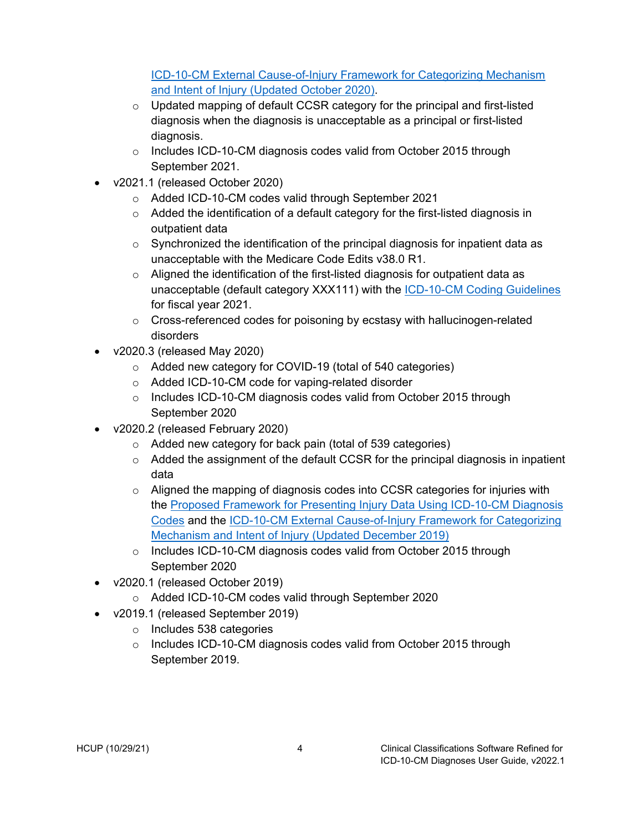[ICD-10-CM External Cause-of-Injury Framework for Categorizing Mechanism](https://www.cdc.gov/nchs/injury/injury_tools.htm)  [and Intent of Injury \(Updated October 2020\).](https://www.cdc.gov/nchs/injury/injury_tools.htm)

- $\circ$  Updated mapping of default CCSR category for the principal and first-listed diagnosis when the diagnosis is unacceptable as a principal or first-listed diagnosis.
- o Includes ICD-10-CM diagnosis codes valid from October 2015 through September 2021.
- v2021.1 (released October 2020)
	- o Added ICD-10-CM codes valid through September 2021
	- $\circ$  Added the identification of a default category for the first-listed diagnosis in outpatient data
	- $\circ$  Synchronized the identification of the principal diagnosis for inpatient data as unacceptable with the Medicare Code Edits v38.0 R1.
	- o Aligned the identification of the first-listed diagnosis for outpatient data as unacceptable (default category XXX111) with the **ICD-10-CM Coding Guidelines** for fiscal year 2021.
	- $\circ$  Cross-referenced codes for poisoning by ecstasy with hallucinogen-related disorders
- v2020.3 (released May 2020)
	- o Added new category for COVID-19 (total of 540 categories)
	- o Added ICD-10-CM code for vaping-related disorder
	- o Includes ICD-10-CM diagnosis codes valid from October 2015 through September 2020
- v2020.2 (released February 2020)
	- o Added new category for back pain (total of 539 categories)
	- $\circ$  Added the assignment of the default CCSR for the principal diagnosis in inpatient data
	- $\circ$  Aligned the mapping of diagnosis codes into CCSR categories for injuries with the [Proposed Framework for Presenting Injury Data Using ICD-10-CM Diagnosis](https://www.cdc.gov/nchs/data/nhsr/nhsr089.pdf)  [Codes](https://www.cdc.gov/nchs/data/nhsr/nhsr089.pdf) and the [ICD-10-CM External Cause-of-Injury Framework for Categorizing](https://www.cdc.gov/nchs/data/injury/nhsr136-508.pdf)  [Mechanism and Intent of Injury \(Updated December 2019\)](https://www.cdc.gov/nchs/data/injury/nhsr136-508.pdf)
	- o Includes ICD-10-CM diagnosis codes valid from October 2015 through September 2020
- v2020.1 (released October 2019)
	- o Added ICD-10-CM codes valid through September 2020
- v2019.1 (released September 2019)
	- o Includes 538 categories
	- o Includes ICD-10-CM diagnosis codes valid from October 2015 through September 2019.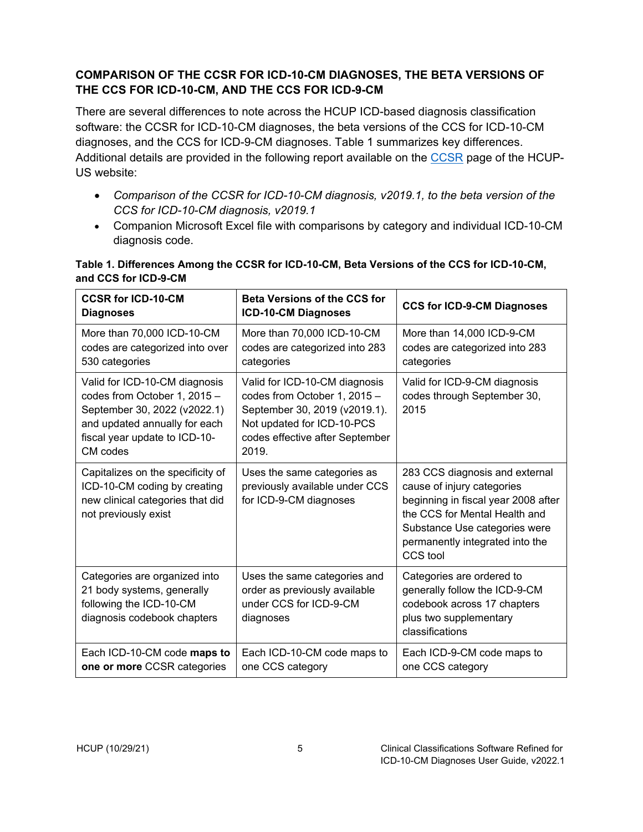### <span id="page-9-0"></span>**COMPARISON OF THE CCSR FOR ICD-10-CM DIAGNOSES, THE BETA VERSIONS OF THE CCS FOR ICD-10-CM, AND THE CCS FOR ICD-9-CM**

There are several differences to note across the HCUP ICD-based diagnosis classification software: the CCSR for ICD-10-CM diagnoses, the beta versions of the CCS for ICD-10-CM diagnoses, and the CCS for ICD-9-CM diagnoses. Table 1 summarizes key differences. Additional details are provided in the following report available on the [CCSR](https://www.hcup-us.ahrq.gov/toolssoftware/ccsr/ccs_refined.jsp) page of the HCUP-US website:

- *Comparison of the CCSR for ICD-10-CM diagnosis, v2019.1, to the beta version of the CCS for ICD-10-CM diagnosis, v2019.1*
- Companion Microsoft Excel file with comparisons by category and individual ICD-10-CM diagnosis code.

| <b>CCSR for ICD-10-CM</b><br><b>Diagnoses</b>                                                                                                                               | <b>Beta Versions of the CCS for</b><br><b>ICD-10-CM Diagnoses</b>                                                                                                        | <b>CCS for ICD-9-CM Diagnoses</b>                                                                                                                                                                                    |
|-----------------------------------------------------------------------------------------------------------------------------------------------------------------------------|--------------------------------------------------------------------------------------------------------------------------------------------------------------------------|----------------------------------------------------------------------------------------------------------------------------------------------------------------------------------------------------------------------|
| More than 70,000 ICD-10-CM<br>codes are categorized into over<br>530 categories                                                                                             | More than 70,000 ICD-10-CM<br>codes are categorized into 283<br>categories                                                                                               | More than 14,000 ICD-9-CM<br>codes are categorized into 283<br>categories                                                                                                                                            |
| Valid for ICD-10-CM diagnosis<br>codes from October 1, 2015 -<br>September 30, 2022 (v2022.1)<br>and updated annually for each<br>fiscal year update to ICD-10-<br>CM codes | Valid for ICD-10-CM diagnosis<br>codes from October 1, 2015 -<br>September 30, 2019 (v2019.1).<br>Not updated for ICD-10-PCS<br>codes effective after September<br>2019. | Valid for ICD-9-CM diagnosis<br>codes through September 30,<br>2015                                                                                                                                                  |
| Capitalizes on the specificity of<br>ICD-10-CM coding by creating<br>new clinical categories that did<br>not previously exist                                               | Uses the same categories as<br>previously available under CCS<br>for ICD-9-CM diagnoses                                                                                  | 283 CCS diagnosis and external<br>cause of injury categories<br>beginning in fiscal year 2008 after<br>the CCS for Mental Health and<br>Substance Use categories were<br>permanently integrated into the<br>CCS tool |
| Categories are organized into<br>21 body systems, generally<br>following the ICD-10-CM<br>diagnosis codebook chapters                                                       | Uses the same categories and<br>order as previously available<br>under CCS for ICD-9-CM<br>diagnoses                                                                     | Categories are ordered to<br>generally follow the ICD-9-CM<br>codebook across 17 chapters<br>plus two supplementary<br>classifications                                                                               |
| Each ICD-10-CM code maps to<br>one or more CCSR categories                                                                                                                  | Each ICD-10-CM code maps to<br>one CCS category                                                                                                                          | Each ICD-9-CM code maps to<br>one CCS category                                                                                                                                                                       |

### <span id="page-9-1"></span>**Table 1. Differences Among the CCSR for ICD-10-CM, Beta Versions of the CCS for ICD-10-CM, and CCS for ICD-9-CM**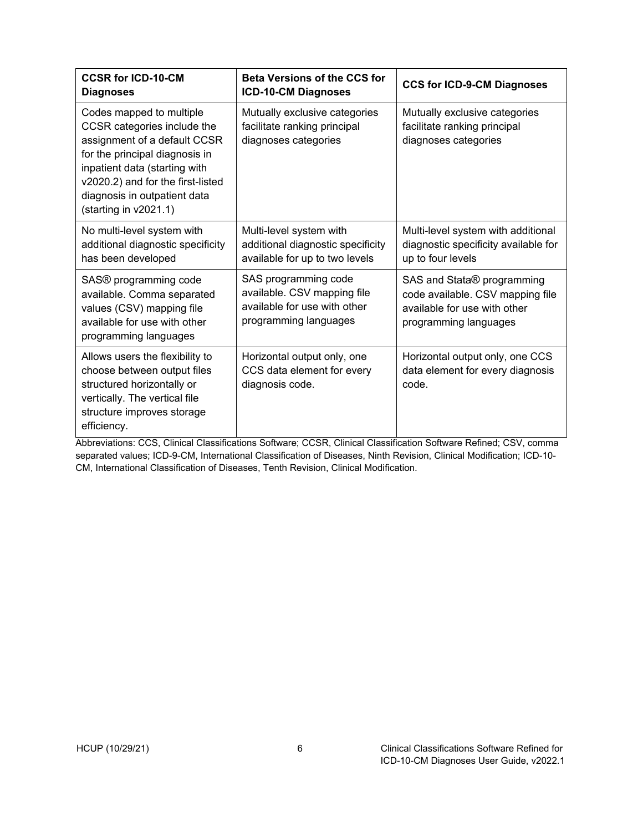| <b>CCSR for ICD-10-CM</b><br><b>Diagnoses</b>                                                                                                                                                                                                            | <b>Beta Versions of the CCS for</b><br>ICD-10-CM Diagnoses                                                   | <b>CCS for ICD-9-CM Diagnoses</b>                                                                                                   |
|----------------------------------------------------------------------------------------------------------------------------------------------------------------------------------------------------------------------------------------------------------|--------------------------------------------------------------------------------------------------------------|-------------------------------------------------------------------------------------------------------------------------------------|
| Codes mapped to multiple<br>CCSR categories include the<br>assignment of a default CCSR<br>for the principal diagnosis in<br>inpatient data (starting with<br>v2020.2) and for the first-listed<br>diagnosis in outpatient data<br>(starting in v2021.1) | Mutually exclusive categories<br>facilitate ranking principal<br>diagnoses categories                        | Mutually exclusive categories<br>facilitate ranking principal<br>diagnoses categories                                               |
| No multi-level system with<br>additional diagnostic specificity<br>has been developed                                                                                                                                                                    | Multi-level system with<br>additional diagnostic specificity<br>available for up to two levels               | Multi-level system with additional<br>diagnostic specificity available for<br>up to four levels                                     |
| SAS® programming code<br>available. Comma separated<br>values (CSV) mapping file<br>available for use with other<br>programming languages                                                                                                                | SAS programming code<br>available. CSV mapping file<br>available for use with other<br>programming languages | SAS and Stata <sup>®</sup> programming<br>code available. CSV mapping file<br>available for use with other<br>programming languages |
| Allows users the flexibility to<br>choose between output files<br>structured horizontally or<br>vertically. The vertical file<br>structure improves storage<br>efficiency.                                                                               | Horizontal output only, one<br>CCS data element for every<br>diagnosis code.                                 | Horizontal output only, one CCS<br>data element for every diagnosis<br>code.                                                        |

Abbreviations: CCS, Clinical Classifications Software; CCSR, Clinical Classification Software Refined; CSV, comma separated values; ICD-9-CM, International Classification of Diseases, Ninth Revision, Clinical Modification; ICD-10- CM, International Classification of Diseases, Tenth Revision, Clinical Modification.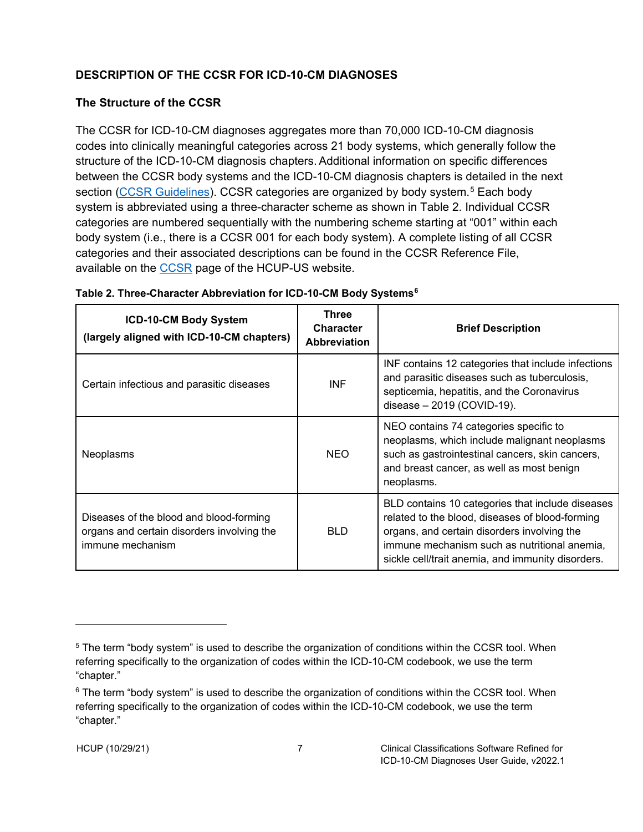## <span id="page-11-0"></span>**DESCRIPTION OF THE CCSR FOR ICD-10-CM DIAGNOSES**

### <span id="page-11-1"></span>**The Structure of the CCSR**

The CCSR for ICD-10-CM diagnoses aggregates more than 70,000 ICD-10-CM diagnosis codes into clinically meaningful categories across 21 body systems, which generally follow the structure of the ICD-10-CM diagnosis chapters. Additional information on specific differences between the CCSR body systems and the ICD-10-CM diagnosis chapters is detailed in the next section [\(CCSR Guidelines\)](#page-14-0). CCSR categories are organized by body system.<sup>[5](#page-11-3)</sup> Each body system is abbreviated using a three-character scheme as shown in Table 2. Individual CCSR categories are numbered sequentially with the numbering scheme starting at "001" within each body system (i.e., there is a CCSR 001 for each body system). A complete listing of all CCSR categories and their associated descriptions can be found in the CCSR Reference File, available on the [CCSR](http://www.hcup-us.ahrq.gov/toolssoftware/ccsr/ccs_refined.jsp) page of the HCUP-US website.

| ICD-10-CM Body System<br>(largely aligned with ICD-10-CM chapters)                                        | <b>Three</b><br><b>Character</b><br><b>Abbreviation</b> | <b>Brief Description</b>                                                                                                                                                                                                                                |
|-----------------------------------------------------------------------------------------------------------|---------------------------------------------------------|---------------------------------------------------------------------------------------------------------------------------------------------------------------------------------------------------------------------------------------------------------|
| Certain infectious and parasitic diseases                                                                 | <b>INF</b>                                              | INF contains 12 categories that include infections<br>and parasitic diseases such as tuberculosis,<br>septicemia, hepatitis, and the Coronavirus<br>disease - 2019 (COVID-19).                                                                          |
| <b>Neoplasms</b>                                                                                          | <b>NEO</b>                                              | NEO contains 74 categories specific to<br>neoplasms, which include malignant neoplasms<br>such as gastrointestinal cancers, skin cancers,<br>and breast cancer, as well as most benign<br>neoplasms.                                                    |
| Diseases of the blood and blood-forming<br>organs and certain disorders involving the<br>immune mechanism | <b>BLD</b>                                              | BLD contains 10 categories that include diseases<br>related to the blood, diseases of blood-forming<br>organs, and certain disorders involving the<br>immune mechanism such as nutritional anemia,<br>sickle cell/trait anemia, and immunity disorders. |

<span id="page-11-2"></span>

| Table 2. Three-Character Abbreviation for ICD-10-CM Body Systems <sup>6</sup> |  |  |
|-------------------------------------------------------------------------------|--|--|
|                                                                               |  |  |

<span id="page-11-3"></span><sup>5</sup> The term "body system" is used to describe the organization of conditions within the CCSR tool. When referring specifically to the organization of codes within the ICD-10-CM codebook, we use the term "chapter."

<span id="page-11-4"></span> $6$  The term "body system" is used to describe the organization of conditions within the CCSR tool. When referring specifically to the organization of codes within the ICD-10-CM codebook, we use the term "chapter."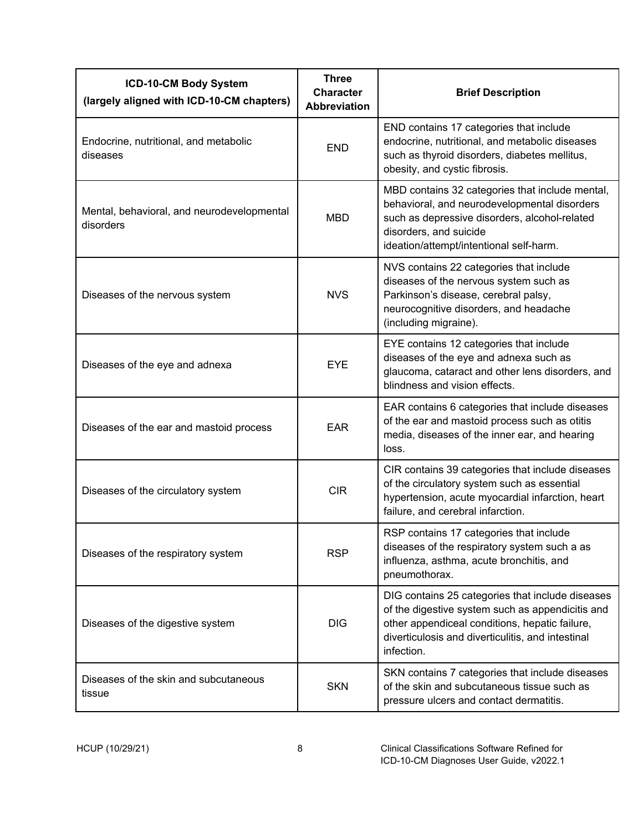| ICD-10-CM Body System<br>(largely aligned with ICD-10-CM chapters) | <b>Three</b><br><b>Character</b><br><b>Abbreviation</b> | <b>Brief Description</b>                                                                                                                                                                                                  |
|--------------------------------------------------------------------|---------------------------------------------------------|---------------------------------------------------------------------------------------------------------------------------------------------------------------------------------------------------------------------------|
| Endocrine, nutritional, and metabolic<br>diseases                  | <b>END</b>                                              | END contains 17 categories that include<br>endocrine, nutritional, and metabolic diseases<br>such as thyroid disorders, diabetes mellitus,<br>obesity, and cystic fibrosis.                                               |
| Mental, behavioral, and neurodevelopmental<br>disorders            | <b>MBD</b>                                              | MBD contains 32 categories that include mental,<br>behavioral, and neurodevelopmental disorders<br>such as depressive disorders, alcohol-related<br>disorders, and suicide<br>ideation/attempt/intentional self-harm.     |
| Diseases of the nervous system                                     | <b>NVS</b>                                              | NVS contains 22 categories that include<br>diseases of the nervous system such as<br>Parkinson's disease, cerebral palsy,<br>neurocognitive disorders, and headache<br>(including migraine).                              |
| Diseases of the eye and adnexa                                     | <b>EYE</b>                                              | EYE contains 12 categories that include<br>diseases of the eye and adnexa such as<br>glaucoma, cataract and other lens disorders, and<br>blindness and vision effects.                                                    |
| Diseases of the ear and mastoid process                            | <b>EAR</b>                                              | EAR contains 6 categories that include diseases<br>of the ear and mastoid process such as otitis<br>media, diseases of the inner ear, and hearing<br>loss.                                                                |
| Diseases of the circulatory system                                 | <b>CIR</b>                                              | CIR contains 39 categories that include diseases<br>of the circulatory system such as essential<br>hypertension, acute myocardial infarction, heart<br>failure, and cerebral infarction.                                  |
| Diseases of the respiratory system                                 | <b>RSP</b>                                              | RSP contains 17 categories that include<br>diseases of the respiratory system such a as<br>influenza, asthma, acute bronchitis, and<br>pneumothorax.                                                                      |
| Diseases of the digestive system                                   | <b>DIG</b>                                              | DIG contains 25 categories that include diseases<br>of the digestive system such as appendicitis and<br>other appendiceal conditions, hepatic failure,<br>diverticulosis and diverticulitis, and intestinal<br>infection. |
| Diseases of the skin and subcutaneous<br>tissue                    | <b>SKN</b>                                              | SKN contains 7 categories that include diseases<br>of the skin and subcutaneous tissue such as<br>pressure ulcers and contact dermatitis.                                                                                 |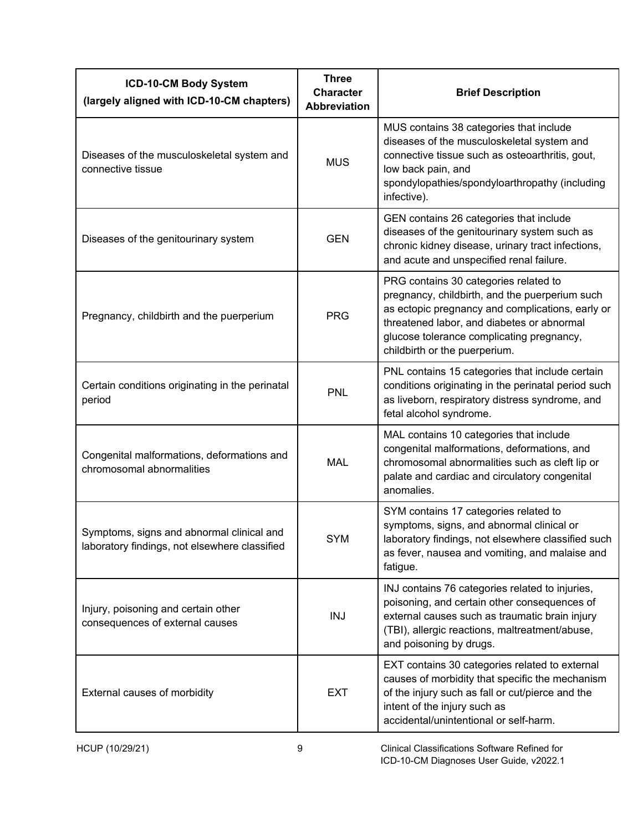| ICD-10-CM Body System<br>(largely aligned with ICD-10-CM chapters)                         | <b>Three</b><br><b>Character</b><br><b>Abbreviation</b> | <b>Brief Description</b>                                                                                                                                                                                                                                                |
|--------------------------------------------------------------------------------------------|---------------------------------------------------------|-------------------------------------------------------------------------------------------------------------------------------------------------------------------------------------------------------------------------------------------------------------------------|
| Diseases of the musculoskeletal system and<br>connective tissue                            | <b>MUS</b>                                              | MUS contains 38 categories that include<br>diseases of the musculoskeletal system and<br>connective tissue such as osteoarthritis, gout,<br>low back pain, and<br>spondylopathies/spondyloarthropathy (including<br>infective).                                         |
| Diseases of the genitourinary system                                                       | <b>GEN</b>                                              | GEN contains 26 categories that include<br>diseases of the genitourinary system such as<br>chronic kidney disease, urinary tract infections,<br>and acute and unspecified renal failure.                                                                                |
| Pregnancy, childbirth and the puerperium                                                   | <b>PRG</b>                                              | PRG contains 30 categories related to<br>pregnancy, childbirth, and the puerperium such<br>as ectopic pregnancy and complications, early or<br>threatened labor, and diabetes or abnormal<br>glucose tolerance complicating pregnancy,<br>childbirth or the puerperium. |
| Certain conditions originating in the perinatal<br>period                                  | <b>PNL</b>                                              | PNL contains 15 categories that include certain<br>conditions originating in the perinatal period such<br>as liveborn, respiratory distress syndrome, and<br>fetal alcohol syndrome.                                                                                    |
| Congenital malformations, deformations and<br>chromosomal abnormalities                    | <b>MAL</b>                                              | MAL contains 10 categories that include<br>congenital malformations, deformations, and<br>chromosomal abnormalities such as cleft lip or<br>palate and cardiac and circulatory congenital<br>anomalies.                                                                 |
| Symptoms, signs and abnormal clinical and<br>laboratory findings, not elsewhere classified | <b>SYM</b>                                              | SYM contains 17 categories related to<br>symptoms, signs, and abnormal clinical or<br>laboratory findings, not elsewhere classified such<br>as fever, nausea and vomiting, and malaise and<br>fatigue.                                                                  |
| Injury, poisoning and certain other<br>consequences of external causes                     | <b>INJ</b>                                              | INJ contains 76 categories related to injuries,<br>poisoning, and certain other consequences of<br>external causes such as traumatic brain injury<br>(TBI), allergic reactions, maltreatment/abuse,<br>and poisoning by drugs.                                          |
| External causes of morbidity                                                               | <b>EXT</b>                                              | EXT contains 30 categories related to external<br>causes of morbidity that specific the mechanism<br>of the injury such as fall or cut/pierce and the<br>intent of the injury such as<br>accidental/unintentional or self-harm.                                         |
| HCUP (10/29/21)                                                                            | 9                                                       | Clinical Classifications Software Refined for                                                                                                                                                                                                                           |

ICD-10-CM Diagnoses User Guide, v2022.1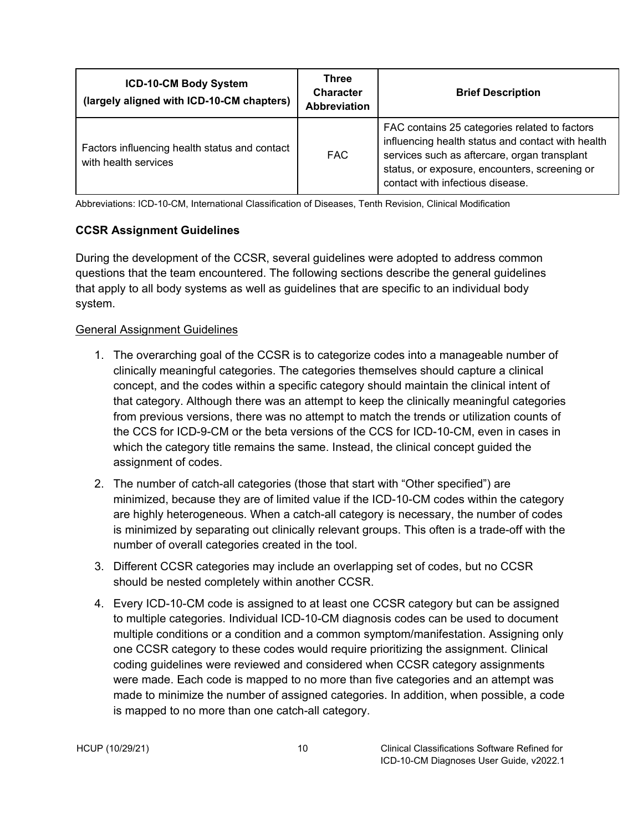| ICD-10-CM Body System<br>(largely aligned with ICD-10-CM chapters)    | <b>Three</b><br><b>Character</b><br><b>Abbreviation</b> | <b>Brief Description</b>                                                                                                                                                                                                                |  |
|-----------------------------------------------------------------------|---------------------------------------------------------|-----------------------------------------------------------------------------------------------------------------------------------------------------------------------------------------------------------------------------------------|--|
| Factors influencing health status and contact<br>with health services | FAC.                                                    | FAC contains 25 categories related to factors<br>influencing health status and contact with health<br>services such as aftercare, organ transplant<br>status, or exposure, encounters, screening or<br>contact with infectious disease. |  |

Abbreviations: ICD-10-CM, International Classification of Diseases, Tenth Revision, Clinical Modification

#### <span id="page-14-0"></span>**CCSR Assignment Guidelines**

During the development of the CCSR, several guidelines were adopted to address common questions that the team encountered. The following sections describe the general guidelines that apply to all body systems as well as guidelines that are specific to an individual body system.

#### <span id="page-14-1"></span>General Assignment Guidelines

- 1. The overarching goal of the CCSR is to categorize codes into a manageable number of clinically meaningful categories. The categories themselves should capture a clinical concept, and the codes within a specific category should maintain the clinical intent of that category. Although there was an attempt to keep the clinically meaningful categories from previous versions, there was no attempt to match the trends or utilization counts of the CCS for ICD-9-CM or the beta versions of the CCS for ICD-10-CM, even in cases in which the category title remains the same. Instead, the clinical concept guided the assignment of codes.
- 2. The number of catch-all categories (those that start with "Other specified") are minimized, because they are of limited value if the ICD-10-CM codes within the category are highly heterogeneous. When a catch-all category is necessary, the number of codes is minimized by separating out clinically relevant groups. This often is a trade-off with the number of overall categories created in the tool.
- 3. Different CCSR categories may include an overlapping set of codes, but no CCSR should be nested completely within another CCSR.
- 4. Every ICD-10-CM code is assigned to at least one CCSR category but can be assigned to multiple categories. Individual ICD-10-CM diagnosis codes can be used to document multiple conditions or a condition and a common symptom/manifestation. Assigning only one CCSR category to these codes would require prioritizing the assignment. Clinical coding guidelines were reviewed and considered when CCSR category assignments were made. Each code is mapped to no more than five categories and an attempt was made to minimize the number of assigned categories. In addition, when possible, a code is mapped to no more than one catch-all category.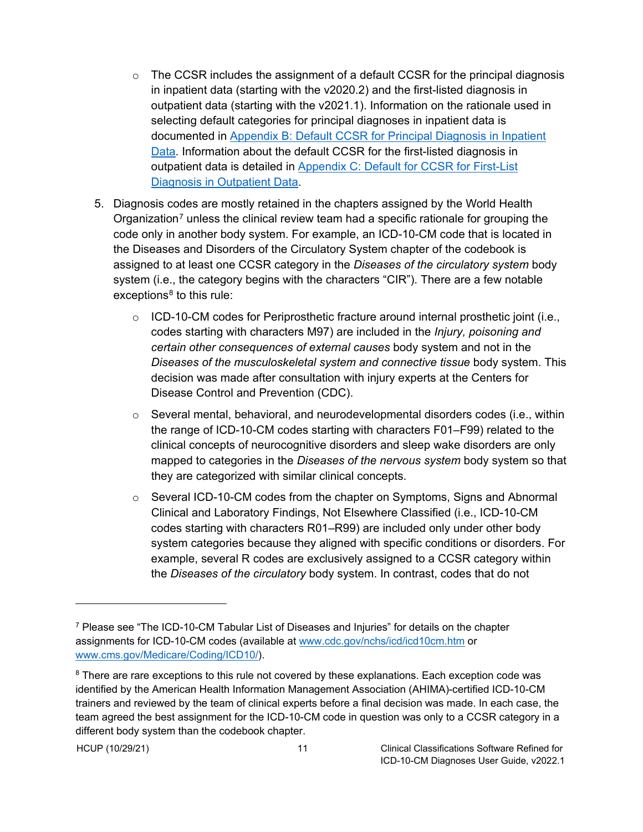- $\circ$  The CCSR includes the assignment of a default CCSR for the principal diagnosis in inpatient data (starting with the v2020.2) and the first-listed diagnosis in outpatient data (starting with the v2021.1). Information on the rationale used in selecting default categories for principal diagnoses in inpatient data is documented in [Appendix B: Default CCSR for Principal Diagnosis in Inpatient](#page-43-0)  [Data.](#page-43-0) Information about the default CCSR for the first-listed diagnosis in outpatient data is detailed in [Appendix C: Default for CCSR for First-List](#page-52-0)  [Diagnosis in Outpatient](#page-52-0) Data.
- 5. Diagnosis codes are mostly retained in the chapters assigned by the World Health Organization<sup>[7](#page-15-0)</sup> unless the clinical review team had a specific rationale for grouping the code only in another body system. For example, an ICD-10-CM code that is located in the Diseases and Disorders of the Circulatory System chapter of the codebook is assigned to at least one CCSR category in the *Diseases of the circulatory system* body system (i.e., the category begins with the characters "CIR"). There are a few notable  $exceptions<sup>8</sup>$  $exceptions<sup>8</sup>$  $exceptions<sup>8</sup>$  to this rule:
	- $\circ$  ICD-10-CM codes for Periprosthetic fracture around internal prosthetic joint (i.e., codes starting with characters M97) are included in the *Injury, poisoning and certain other consequences of external causes* body system and not in the *Diseases of the musculoskeletal system and connective tissue* body system. This decision was made after consultation with injury experts at the Centers for Disease Control and Prevention (CDC).
	- $\circ$  Several mental, behavioral, and neurodevelopmental disorders codes (i.e., within the range of ICD-10-CM codes starting with characters F01–F99) related to the clinical concepts of neurocognitive disorders and sleep wake disorders are only mapped to categories in the *Diseases of the nervous system* body system so that they are categorized with similar clinical concepts.
	- $\circ$  Several ICD-10-CM codes from the chapter on Symptoms, Signs and Abnormal Clinical and Laboratory Findings, Not Elsewhere Classified (i.e., ICD-10-CM codes starting with characters R01–R99) are included only under other body system categories because they aligned with specific conditions or disorders. For example, several R codes are exclusively assigned to a CCSR category within the *Diseases of the circulatory* body system. In contrast, codes that do not

<span id="page-15-0"></span> $7$  Please see "The ICD-10-CM Tabular List of Diseases and Injuries" for details on the chapter assignments for ICD-10-CM codes (available at [www.cdc.gov/nchs/icd/icd10cm.htm](http://www.cdc.gov/nchs/icd/icd10cm.htm) or [www.cms.gov/Medicare/Coding/ICD10/\)](http://www.cms.gov/Medicare/Coding/ICD10/).

<span id="page-15-1"></span><sup>&</sup>lt;sup>8</sup> There are rare exceptions to this rule not covered by these explanations. Each exception code was identified by the American Health Information Management Association (AHIMA)-certified ICD-10-CM trainers and reviewed by the team of clinical experts before a final decision was made. In each case, the team agreed the best assignment for the ICD-10-CM code in question was only to a CCSR category in a different body system than the codebook chapter.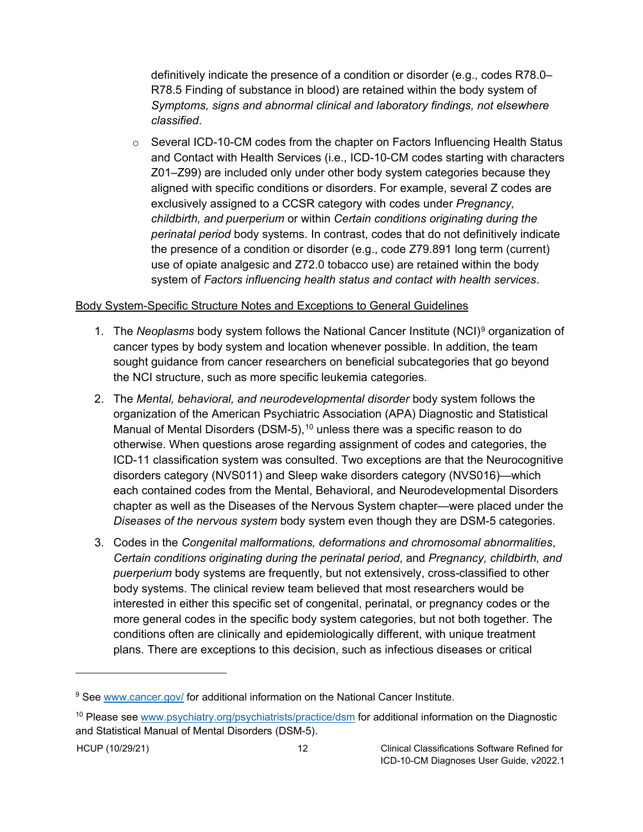definitively indicate the presence of a condition or disorder (e.g., codes R78.0– R78.5 Finding of substance in blood) are retained within the body system of *Symptoms, signs and abnormal clinical and laboratory findings, not elsewhere classified*.

 $\circ$  Several ICD-10-CM codes from the chapter on Factors Influencing Health Status and Contact with Health Services (i.e., ICD-10-CM codes starting with characters Z01–Z99) are included only under other body system categories because they aligned with specific conditions or disorders. For example, several Z codes are exclusively assigned to a CCSR category with codes under *Pregnancy, childbirth, and puerperium* or within *Certain conditions originating during the perinatal period* body systems. In contrast, codes that do not definitively indicate the presence of a condition or disorder (e.g., code Z79.891 long term (current) use of opiate analgesic and Z72.0 tobacco use) are retained within the body system of *Factors influencing health status and contact with health services*.

#### <span id="page-16-0"></span>Body System-Specific Structure Notes and Exceptions to General Guidelines

- 1. The *Neoplasms* body system follows the National Cancer Institute (NCI)[9](#page-16-1) organization of cancer types by body system and location whenever possible. In addition, the team sought guidance from cancer researchers on beneficial subcategories that go beyond the NCI structure, such as more specific leukemia categories.
- 2. The *Mental, behavioral, and neurodevelopmental disorder* body system follows the organization of the American Psychiatric Association (APA) Diagnostic and Statistical Manual of Mental Disorders (DSM-5),  $10$  unless there was a specific reason to do otherwise. When questions arose regarding assignment of codes and categories, the ICD-11 classification system was consulted. Two exceptions are that the Neurocognitive disorders category (NVS011) and Sleep wake disorders category (NVS016)—which each contained codes from the Mental, Behavioral, and Neurodevelopmental Disorders chapter as well as the Diseases of the Nervous System chapter—were placed under the *Diseases of the nervous system* body system even though they are DSM-5 categories.
- 3. Codes in the *Congenital malformations, deformations and chromosomal abnormalities*, *Certain conditions originating during the perinatal period*, and *Pregnancy, childbirth, and puerperium* body systems are frequently, but not extensively, cross-classified to other body systems. The clinical review team believed that most researchers would be interested in either this specific set of congenital, perinatal, or pregnancy codes or the more general codes in the specific body system categories, but not both together. The conditions often are clinically and epidemiologically different, with unique treatment plans. There are exceptions to this decision, such as infectious diseases or critical

<span id="page-16-1"></span><sup>9</sup> See [www.cancer.gov/](http://www.cancer.gov/) for additional information on the National Cancer Institute.

<span id="page-16-2"></span><sup>&</sup>lt;sup>10</sup> Please see [www.psychiatry.org/psychiatrists/practice/dsm](http://www.psychiatry.org/psychiatrists/practice/dsm) for additional information on the Diagnostic and Statistical Manual of Mental Disorders (DSM-5).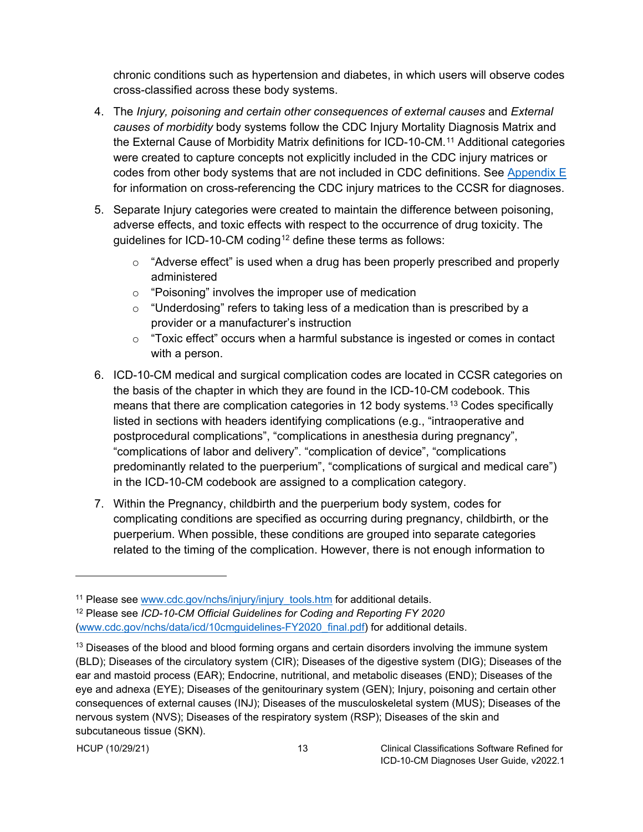chronic conditions such as hypertension and diabetes, in which users will observe codes cross-classified across these body systems.

- 4. The *Injury, poisoning and certain other consequences of external causes* and *External causes of morbidity* body systems follow the CDC Injury Mortality Diagnosis Matrix and the External Cause of Morbidity Matrix definitions for ICD-10-CM.[11](#page-17-0) Additional categories were created to capture concepts not explicitly included in the CDC injury matrices or codes from other body systems that are not included in CDC definitions. See [Appendix E](#page-59-0) for information on cross-referencing the CDC injury matrices to the CCSR for diagnoses.
- 5. Separate Injury categories were created to maintain the difference between poisoning, adverse effects, and toxic effects with respect to the occurrence of drug toxicity. The guidelines for ICD-10-CM coding<sup>[12](#page-17-1)</sup> define these terms as follows:
	- $\circ$  "Adverse effect" is used when a drug has been properly prescribed and properly administered
	- o "Poisoning" involves the improper use of medication
	- $\circ$  "Underdosing" refers to taking less of a medication than is prescribed by a provider or a manufacturer's instruction
	- $\circ$  "Toxic effect" occurs when a harmful substance is ingested or comes in contact with a person.
- 6. ICD-10-CM medical and surgical complication codes are located in CCSR categories on the basis of the chapter in which they are found in the ICD-10-CM codebook. This means that there are complication categories in 12 body systems.<sup>[13](#page-17-2)</sup> Codes specifically listed in sections with headers identifying complications (e.g., "intraoperative and postprocedural complications", "complications in anesthesia during pregnancy", "complications of labor and delivery". "complication of device", "complications predominantly related to the puerperium", "complications of surgical and medical care") in the ICD-10-CM codebook are assigned to a complication category.
- 7. Within the Pregnancy, childbirth and the puerperium body system, codes for complicating conditions are specified as occurring during pregnancy, childbirth, or the puerperium. When possible, these conditions are grouped into separate categories related to the timing of the complication. However, there is not enough information to

<span id="page-17-0"></span><sup>&</sup>lt;sup>11</sup> Please see [www.cdc.gov/nchs/injury/injury\\_tools.htm](http://www.cdc.gov/nchs/injury/injury_tools.htm) for additional details.

<span id="page-17-1"></span><sup>12</sup> Please see *ICD-10-CM Official Guidelines for Coding and Reporting FY 2020* [\(www.cdc.gov/nchs/data/icd/10cmguidelines-FY2020\\_final.pdf\)](https://www.cdc.gov/nchs/data/icd/10cmguidelines-FY2020_final.pdf) for additional details.

<span id="page-17-2"></span><sup>&</sup>lt;sup>13</sup> Diseases of the blood and blood forming organs and certain disorders involving the immune system (BLD); Diseases of the circulatory system (CIR); Diseases of the digestive system (DIG); Diseases of the ear and mastoid process (EAR); Endocrine, nutritional, and metabolic diseases (END); Diseases of the eye and adnexa (EYE); Diseases of the genitourinary system (GEN); Injury, poisoning and certain other consequences of external causes (INJ); Diseases of the musculoskeletal system (MUS); Diseases of the nervous system (NVS); Diseases of the respiratory system (RSP); Diseases of the skin and subcutaneous tissue (SKN).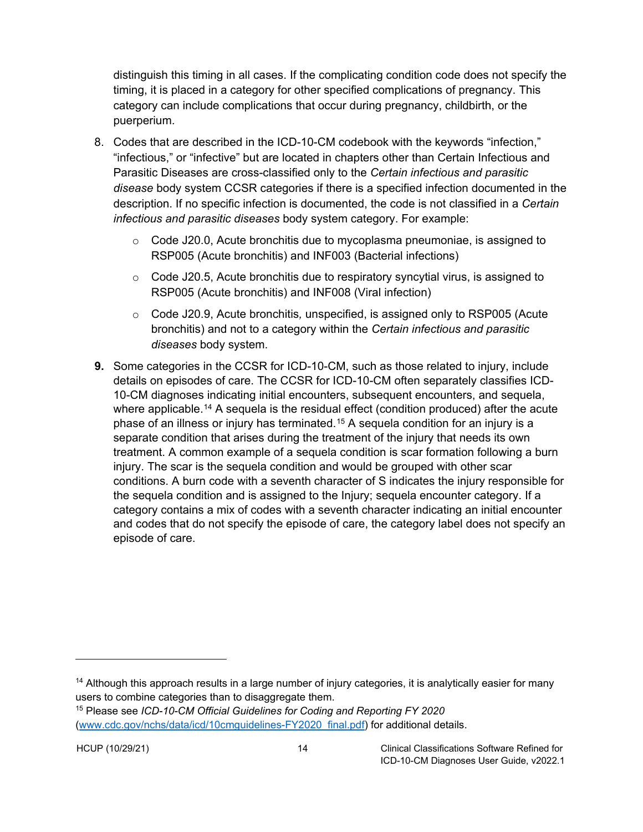distinguish this timing in all cases. If the complicating condition code does not specify the timing, it is placed in a category for other specified complications of pregnancy. This category can include complications that occur during pregnancy, childbirth, or the puerperium.

- 8. Codes that are described in the ICD-10-CM codebook with the keywords "infection," "infectious," or "infective" but are located in chapters other than Certain Infectious and Parasitic Diseases are cross-classified only to the *Certain infectious and parasitic disease* body system CCSR categories if there is a specified infection documented in the description. If no specific infection is documented, the code is not classified in a *Certain infectious and parasitic diseases* body system category. For example:
	- $\circ$  Code J20.0, Acute bronchitis due to mycoplasma pneumoniae, is assigned to RSP005 (Acute bronchitis) and INF003 (Bacterial infections)
	- $\circ$  Code J20.5, Acute bronchitis due to respiratory syncytial virus, is assigned to RSP005 (Acute bronchitis) and INF008 (Viral infection)
	- o Code J20.9, Acute bronchitis*,* unspecified, is assigned only to RSP005 (Acute bronchitis) and not to a category within the *Certain infectious and parasitic diseases* body system.
- **9.** Some categories in the CCSR for ICD-10-CM, such as those related to injury, include details on episodes of care. The CCSR for ICD-10-CM often separately classifies ICD-10-CM diagnoses indicating initial encounters, subsequent encounters, and sequela, where applicable.<sup>[14](#page-18-1)</sup> A sequela is the residual effect (condition produced) after the acute phase of an illness or injury has terminated.<sup>[15](#page-18-2)</sup> A sequela condition for an injury is a separate condition that arises during the treatment of the injury that needs its own treatment. A common example of a sequela condition is scar formation following a burn injury. The scar is the sequela condition and would be grouped with other scar conditions. A burn code with a seventh character of S indicates the injury responsible for the sequela condition and is assigned to the Injury; sequela encounter category. If a category contains a mix of codes with a seventh character indicating an initial encounter and codes that do not specify the episode of care, the category label does not specify an episode of care.

<span id="page-18-1"></span><span id="page-18-0"></span><sup>&</sup>lt;sup>14</sup> Although this approach results in a large number of injury categories, it is analytically easier for many users to combine categories than to disaggregate them.

<span id="page-18-2"></span><sup>15</sup> Please see *ICD-10-CM Official Guidelines for Coding and Reporting FY 2020* [\(www.cdc.gov/nchs/data/icd/10cmguidelines-FY2020\\_final.pdf\)](https://www.cdc.gov/nchs/data/icd/10cmguidelines-FY2020_final.pdf) for additional details.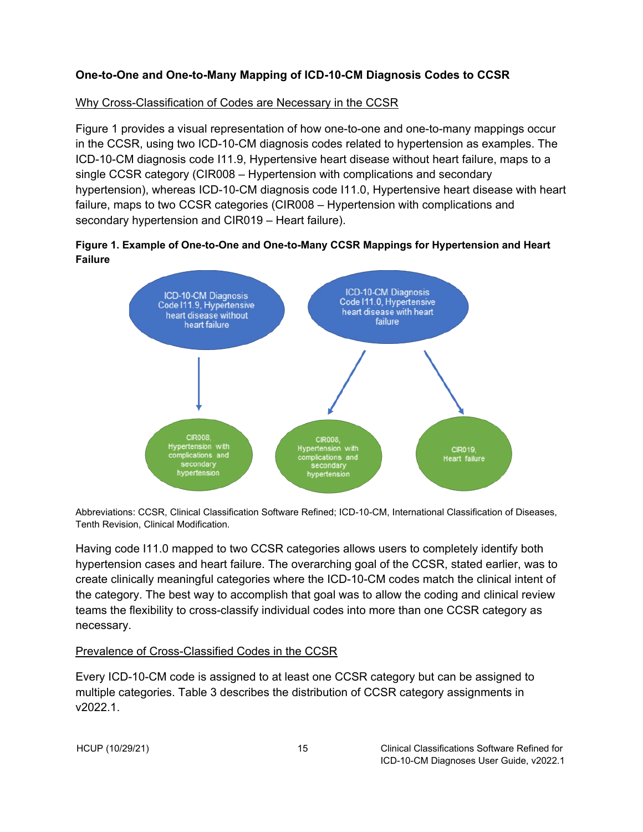#### **One-to-One and One-to-Many Mapping of ICD-10-CM Diagnosis Codes to CCSR**

#### <span id="page-19-0"></span>Why Cross-Classification of Codes are Necessary in the CCSR

Figure 1 provides a visual representation of how one-to-one and one-to-many mappings occur in the CCSR, using two ICD-10-CM diagnosis codes related to hypertension as examples. The ICD-10-CM diagnosis code I11.9, Hypertensive heart disease without heart failure, maps to a single CCSR category (CIR008 – Hypertension with complications and secondary hypertension), whereas ICD-10-CM diagnosis code I11.0, Hypertensive heart disease with heart failure, maps to two CCSR categories (CIR008 – Hypertension with complications and secondary hypertension and CIR019 – Heart failure).

<span id="page-19-2"></span>



Abbreviations: CCSR, Clinical Classification Software Refined; ICD-10-CM, International Classification of Diseases, Tenth Revision, Clinical Modification.

Having code I11.0 mapped to two CCSR categories allows users to completely identify both hypertension cases and heart failure. The overarching goal of the CCSR, stated earlier, was to create clinically meaningful categories where the ICD-10-CM codes match the clinical intent of the category. The best way to accomplish that goal was to allow the coding and clinical review teams the flexibility to cross-classify individual codes into more than one CCSR category as necessary.

#### <span id="page-19-1"></span>Prevalence of Cross-Classified Codes in the CCSR

Every ICD-10-CM code is assigned to at least one CCSR category but can be assigned to multiple categories. Table 3 describes the distribution of CCSR category assignments in v2022.1.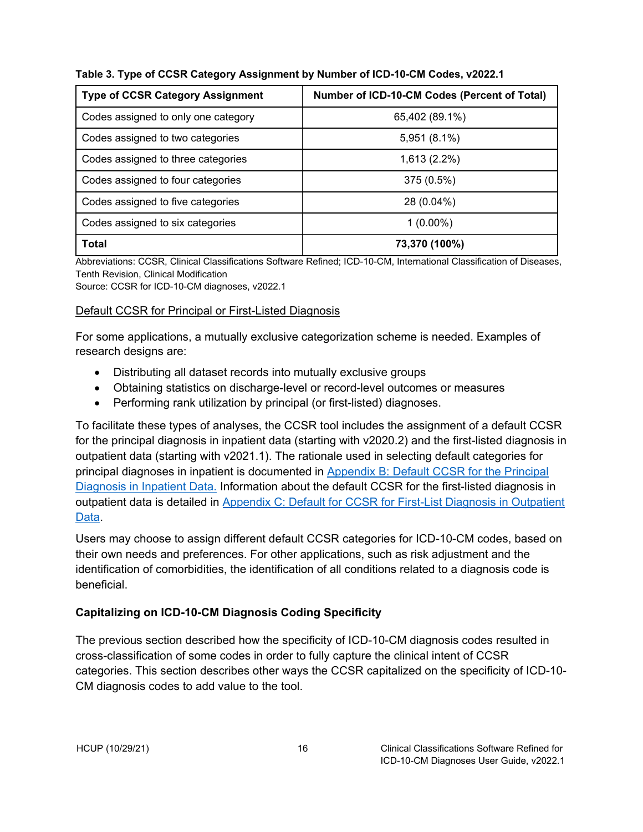| <b>Type of CCSR Category Assignment</b> | Number of ICD-10-CM Codes (Percent of Total) |
|-----------------------------------------|----------------------------------------------|
| Codes assigned to only one category     | 65,402 (89.1%)                               |
| Codes assigned to two categories        | 5,951 (8.1%)                                 |
| Codes assigned to three categories      | 1,613 (2.2%)                                 |
| Codes assigned to four categories       | 375 (0.5%)                                   |
| Codes assigned to five categories       | 28 (0.04%)                                   |
| Codes assigned to six categories        | $1(0.00\%)$                                  |
| <b>Total</b>                            | 73,370 (100%)                                |

<span id="page-20-2"></span>**Table 3. Type of CCSR Category Assignment by Number of ICD-10-CM Codes, v2022.1**

Abbreviations: CCSR, Clinical Classifications Software Refined; ICD-10-CM, International Classification of Diseases, Tenth Revision, Clinical Modification

Source: CCSR for ICD-10-CM diagnoses, v2022.1

#### <span id="page-20-0"></span>Default CCSR for Principal or First-Listed Diagnosis

For some applications, a mutually exclusive categorization scheme is needed. Examples of research designs are:

- Distributing all dataset records into mutually exclusive groups
- Obtaining statistics on discharge-level or record-level outcomes or measures
- Performing rank utilization by principal (or first-listed) diagnoses.

To facilitate these types of analyses, the CCSR tool includes the assignment of a default CCSR for the principal diagnosis in inpatient data (starting with v2020.2) and the first-listed diagnosis in outpatient data (starting with v2021.1). The rationale used in selecting default categories for principal diagnoses in inpatient is documented in [Appendix B: Default CCSR for the Principal](#page-43-0)  Diagnosis [in Inpatient Data.](#page-43-0) Information about the default CCSR for the first-listed diagnosis in outpatient data is detailed in [Appendix C: Default for CCSR for First-List Diagnosis in Outpatient](#page-52-0) [Data.](#page-52-0)

Users may choose to assign different default CCSR categories for ICD-10-CM codes, based on their own needs and preferences. For other applications, such as risk adjustment and the identification of comorbidities, the identification of all conditions related to a diagnosis code is beneficial.

## <span id="page-20-1"></span>**Capitalizing on ICD-10-CM Diagnosis Coding Specificity**

The previous section described how the specificity of ICD-10-CM diagnosis codes resulted in cross-classification of some codes in order to fully capture the clinical intent of CCSR categories. This section describes other ways the CCSR capitalized on the specificity of ICD-10- CM diagnosis codes to add value to the tool.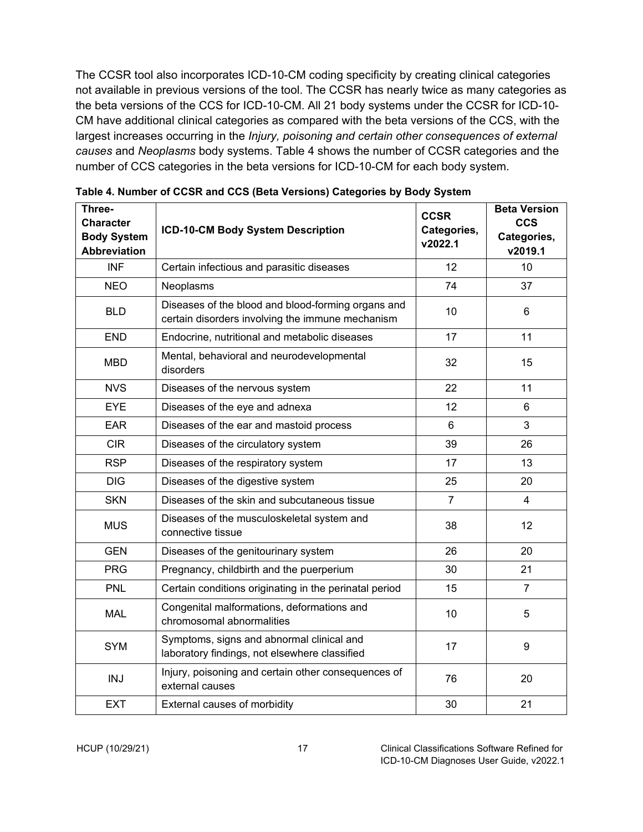The CCSR tool also incorporates ICD-10-CM coding specificity by creating clinical categories not available in previous versions of the tool. The CCSR has nearly twice as many categories as the beta versions of the CCS for ICD-10-CM. All 21 body systems under the CCSR for ICD-10- CM have additional clinical categories as compared with the beta versions of the CCS, with the largest increases occurring in the *Injury, poisoning and certain other consequences of external causes* and *Neoplasms* body systems. Table 4 shows the number of CCSR categories and the number of CCS categories in the beta versions for ICD-10-CM for each body system.

| Three-<br><b>Character</b><br><b>Body System</b><br><b>Abbreviation</b> | ICD-10-CM Body System Description                                                                      | <b>CCSR</b><br>Categories,<br>v2022.1 | <b>Beta Version</b><br><b>CCS</b><br>Categories,<br>v2019.1 |
|-------------------------------------------------------------------------|--------------------------------------------------------------------------------------------------------|---------------------------------------|-------------------------------------------------------------|
| <b>INF</b>                                                              | Certain infectious and parasitic diseases                                                              | 12                                    | 10                                                          |
| <b>NEO</b>                                                              | Neoplasms                                                                                              | 74                                    | 37                                                          |
| <b>BLD</b>                                                              | Diseases of the blood and blood-forming organs and<br>certain disorders involving the immune mechanism | 10                                    | 6                                                           |
| <b>END</b>                                                              | Endocrine, nutritional and metabolic diseases                                                          | 17                                    | 11                                                          |
| <b>MBD</b>                                                              | Mental, behavioral and neurodevelopmental<br>disorders                                                 | 32                                    | 15                                                          |
| <b>NVS</b>                                                              | Diseases of the nervous system                                                                         | 22                                    | 11                                                          |
| <b>EYE</b>                                                              | Diseases of the eye and adnexa                                                                         | 12                                    | 6                                                           |
| <b>EAR</b>                                                              | Diseases of the ear and mastoid process                                                                | 6                                     | 3                                                           |
| <b>CIR</b>                                                              | Diseases of the circulatory system                                                                     | 39                                    | 26                                                          |
| <b>RSP</b>                                                              | Diseases of the respiratory system                                                                     | 17                                    | 13                                                          |
| <b>DIG</b>                                                              | Diseases of the digestive system                                                                       | 25                                    | 20                                                          |
| <b>SKN</b>                                                              | Diseases of the skin and subcutaneous tissue                                                           | $\overline{7}$                        | 4                                                           |
| <b>MUS</b>                                                              | Diseases of the musculoskeletal system and<br>connective tissue                                        | 38                                    | 12                                                          |
| <b>GEN</b>                                                              | Diseases of the genitourinary system                                                                   | 26                                    | 20                                                          |
| <b>PRG</b>                                                              | Pregnancy, childbirth and the puerperium                                                               | 30                                    | 21                                                          |
| <b>PNL</b>                                                              | Certain conditions originating in the perinatal period                                                 | 15                                    | $\overline{7}$                                              |
| <b>MAL</b>                                                              | Congenital malformations, deformations and<br>chromosomal abnormalities                                | 10                                    | 5                                                           |
| <b>SYM</b>                                                              | Symptoms, signs and abnormal clinical and<br>laboratory findings, not elsewhere classified             | 17                                    | 9                                                           |
| <b>INJ</b>                                                              | Injury, poisoning and certain other consequences of<br>external causes                                 | 76                                    | 20                                                          |
| <b>EXT</b>                                                              | External causes of morbidity                                                                           | 30                                    | 21                                                          |

<span id="page-21-0"></span>**Table 4. Number of CCSR and CCS (Beta Versions) Categories by Body System**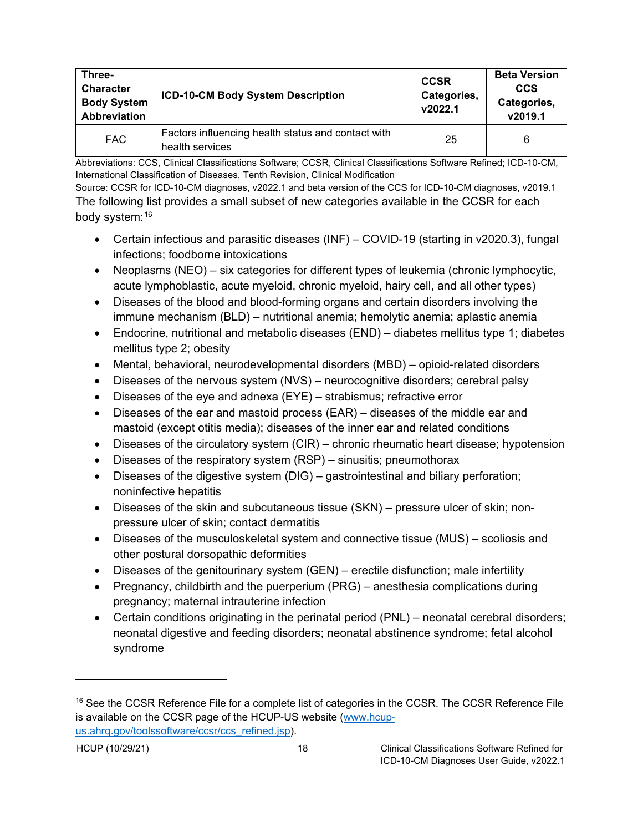| Three-<br>Character<br><b>Body System</b><br><b>Abbreviation</b> | ICD-10-CM Body System Description                                     | <b>CCSR</b><br>Categories,<br>v2022.1 | <b>Beta Version</b><br><b>CCS</b><br>Categories,<br>v2019.1 |  |
|------------------------------------------------------------------|-----------------------------------------------------------------------|---------------------------------------|-------------------------------------------------------------|--|
| <b>FAC</b>                                                       | Factors influencing health status and contact with<br>health services | 25                                    | 6                                                           |  |

Abbreviations: CCS, Clinical Classifications Software; CCSR, Clinical Classifications Software Refined; ICD-10-CM, International Classification of Diseases, Tenth Revision, Clinical Modification

Source: CCSR for ICD-10-CM diagnoses, v2022.1 and beta version of the CCS for ICD-10-CM diagnoses, v2019.1 The following list provides a small subset of new categories available in the CCSR for each body system: [16](#page-22-0)

- Certain infectious and parasitic diseases (INF) COVID-19 (starting in v2020.3), fungal infections; foodborne intoxications
- Neoplasms (NEO) six categories for different types of leukemia (chronic lymphocytic, acute lymphoblastic, acute myeloid, chronic myeloid, hairy cell, and all other types)
- Diseases of the blood and blood-forming organs and certain disorders involving the immune mechanism (BLD) – nutritional anemia; hemolytic anemia; aplastic anemia
- Endocrine, nutritional and metabolic diseases (END) diabetes mellitus type 1; diabetes mellitus type 2; obesity
- Mental, behavioral, neurodevelopmental disorders (MBD) opioid-related disorders
- Diseases of the nervous system (NVS) neurocognitive disorders; cerebral palsy
- Diseases of the eye and adnexa (EYE) strabismus; refractive error
- Diseases of the ear and mastoid process (EAR) diseases of the middle ear and mastoid (except otitis media); diseases of the inner ear and related conditions
- Diseases of the circulatory system (CIR) chronic rheumatic heart disease; hypotension
- Diseases of the respiratory system (RSP) sinusitis; pneumothorax
- Diseases of the digestive system (DIG) gastrointestinal and biliary perforation; noninfective hepatitis
- Diseases of the skin and subcutaneous tissue (SKN) pressure ulcer of skin; nonpressure ulcer of skin; contact dermatitis
- Diseases of the musculoskeletal system and connective tissue (MUS) scoliosis and other postural dorsopathic deformities
- Diseases of the genitourinary system (GEN) erectile disfunction; male infertility
- Pregnancy, childbirth and the puerperium (PRG) anesthesia complications during pregnancy; maternal intrauterine infection
- Certain conditions originating in the perinatal period (PNL) neonatal cerebral disorders; neonatal digestive and feeding disorders; neonatal abstinence syndrome; fetal alcohol syndrome

<span id="page-22-0"></span><sup>&</sup>lt;sup>16</sup> See the CCSR Reference File for a complete list of categories in the CCSR. The CCSR Reference File is available on the CCSR page of the HCUP-US website [\(www.hcup](https://www.hcup-us.ahrq.gov/toolssoftware/ccsr/ccs_refined.jsp)[us.ahrq.gov/toolssoftware/ccsr/ccs\\_refined.jsp\)](https://www.hcup-us.ahrq.gov/toolssoftware/ccsr/ccs_refined.jsp).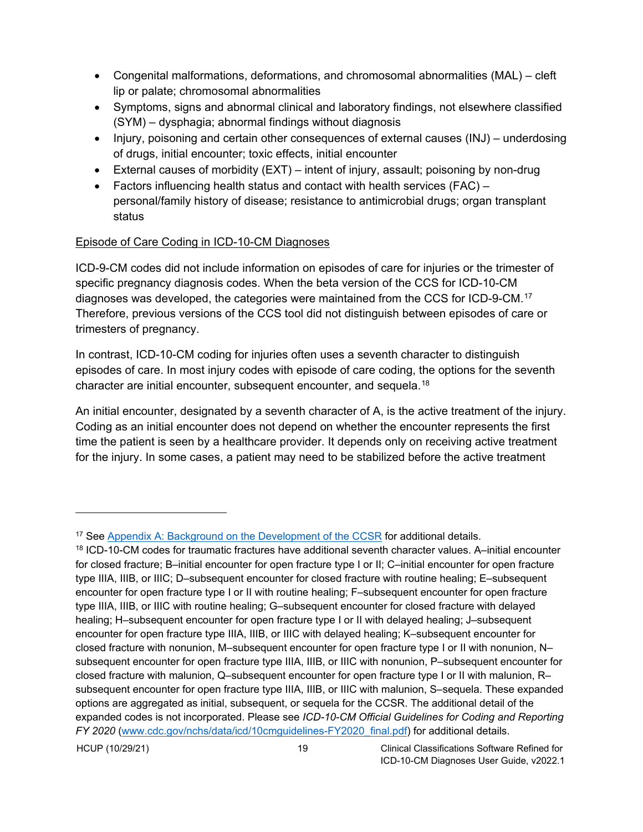- Congenital malformations, deformations, and chromosomal abnormalities (MAL) cleft lip or palate; chromosomal abnormalities
- Symptoms, signs and abnormal clinical and laboratory findings, not elsewhere classified (SYM) – dysphagia; abnormal findings without diagnosis
- Injury, poisoning and certain other consequences of external causes (INJ) underdosing of drugs, initial encounter; toxic effects, initial encounter
- External causes of morbidity (EXT) intent of injury, assault; poisoning by non-drug
- Factors influencing health status and contact with health services (FAC) personal/family history of disease; resistance to antimicrobial drugs; organ transplant status

## <span id="page-23-0"></span>Episode of Care Coding in ICD-10-CM Diagnoses

ICD-9-CM codes did not include information on episodes of care for injuries or the trimester of specific pregnancy diagnosis codes. When the beta version of the CCS for ICD-10-CM diagnoses was developed, the categories were maintained from the CCS for ICD-9-CM.[17](#page-23-1) Therefore, previous versions of the CCS tool did not distinguish between episodes of care or trimesters of pregnancy.

In contrast, ICD-10-CM coding for injuries often uses a seventh character to distinguish episodes of care. In most injury codes with episode of care coding, the options for the seventh character are initial encounter, subsequent encounter, and sequela.[18](#page-23-2)

An initial encounter, designated by a seventh character of A, is the active treatment of the injury. Coding as an initial encounter does not depend on whether the encounter represents the first time the patient is seen by a healthcare provider. It depends only on receiving active treatment for the injury. In some cases, a patient may need to be stabilized before the active treatment

<span id="page-23-1"></span><sup>&</sup>lt;sup>17</sup> See [Appendix A: Background on the Development of the CCSR](#page--1-0) for additional details.

<span id="page-23-2"></span> $18$  ICD-10-CM codes for traumatic fractures have additional seventh character values. A–initial encounter for closed fracture; B–initial encounter for open fracture type I or II; C–initial encounter for open fracture type IIIA, IIIB, or IIIC; D–subsequent encounter for closed fracture with routine healing; E–subsequent encounter for open fracture type I or II with routine healing; F–subsequent encounter for open fracture type IIIA, IIIB, or IIIC with routine healing; G–subsequent encounter for closed fracture with delayed healing; H–subsequent encounter for open fracture type I or II with delayed healing; J–subsequent encounter for open fracture type IIIA, IIIB, or IIIC with delayed healing; K–subsequent encounter for closed fracture with nonunion, M–subsequent encounter for open fracture type I or II with nonunion, N– subsequent encounter for open fracture type IIIA, IIIB, or IIIC with nonunion, P–subsequent encounter for closed fracture with malunion, Q–subsequent encounter for open fracture type I or II with malunion, R– subsequent encounter for open fracture type IIIA, IIIB, or IIIC with malunion, S–sequela. These expanded options are aggregated as initial, subsequent, or sequela for the CCSR. The additional detail of the expanded codes is not incorporated. Please see *ICD-10-CM Official Guidelines for Coding and Reporting FY 2020* [\(www.cdc.gov/nchs/data/icd/10cmguidelines-FY2020\\_final.pdf\)](https://www.cdc.gov/nchs/data/icd/10cmguidelines-FY2020_final.pdf) for additional details.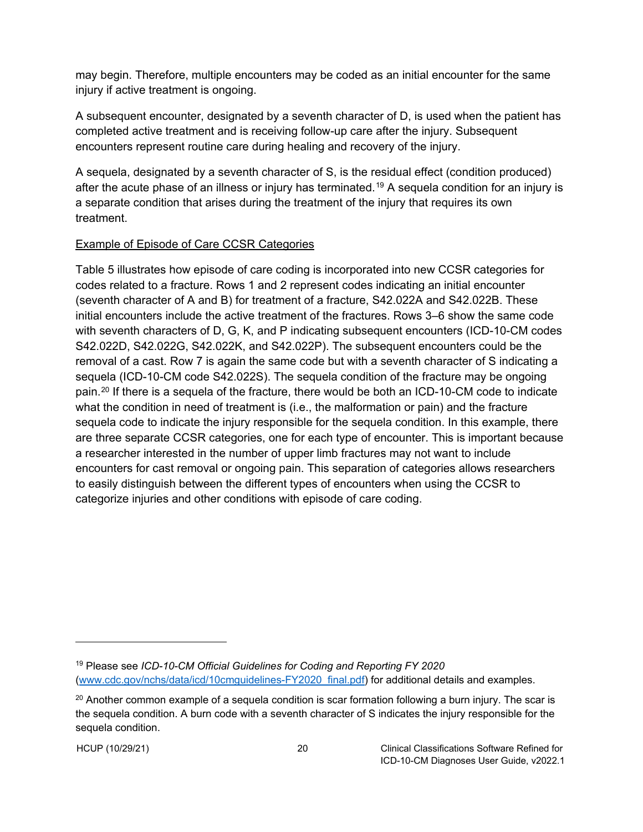may begin. Therefore, multiple encounters may be coded as an initial encounter for the same injury if active treatment is ongoing.

A subsequent encounter, designated by a seventh character of D, is used when the patient has completed active treatment and is receiving follow-up care after the injury. Subsequent encounters represent routine care during healing and recovery of the injury.

A sequela, designated by a seventh character of S, is the residual effect (condition produced) after the acute phase of an illness or injury has terminated.<sup>[19](#page-24-1)</sup> A sequela condition for an injury is a separate condition that arises during the treatment of the injury that requires its own treatment.

#### <span id="page-24-0"></span>Example of Episode of Care CCSR Categories

Table 5 illustrates how episode of care coding is incorporated into new CCSR categories for codes related to a fracture. Rows 1 and 2 represent codes indicating an initial encounter (seventh character of A and B) for treatment of a fracture, S42.022A and S42.022B. These initial encounters include the active treatment of the fractures. Rows 3–6 show the same code with seventh characters of D, G, K, and P indicating subsequent encounters (ICD-10-CM codes S42.022D, S42.022G, S42.022K, and S42.022P). The subsequent encounters could be the removal of a cast. Row 7 is again the same code but with a seventh character of S indicating a sequela (ICD-10-CM code S42.022S). The sequela condition of the fracture may be ongoing pain.[20](#page-24-2) If there is a sequela of the fracture, there would be both an ICD-10-CM code to indicate what the condition in need of treatment is (i.e., the malformation or pain) and the fracture sequela code to indicate the injury responsible for the sequela condition. In this example, there are three separate CCSR categories, one for each type of encounter. This is important because a researcher interested in the number of upper limb fractures may not want to include encounters for cast removal or ongoing pain. This separation of categories allows researchers to easily distinguish between the different types of encounters when using the CCSR to categorize injuries and other conditions with episode of care coding.

<span id="page-24-1"></span><sup>19</sup> Please see *ICD-10-CM Official Guidelines for Coding and Reporting FY 2020* [\(www.cdc.gov/nchs/data/icd/10cmguidelines-FY2020\\_final.pdf\)](https://www.cdc.gov/nchs/data/icd/10cmguidelines-FY2020_final.pdf) for additional details and examples.

<span id="page-24-2"></span> $20$  Another common example of a sequela condition is scar formation following a burn injury. The scar is the sequela condition. A burn code with a seventh character of S indicates the injury responsible for the sequela condition.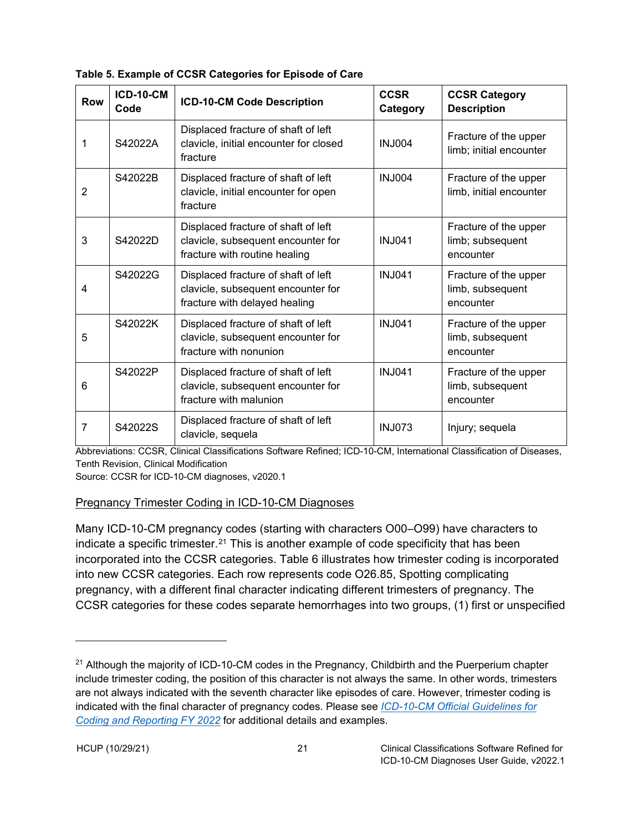| <b>Row</b>     | <b>ICD-10-CM</b><br>Code | <b>ICD-10-CM Code Description</b>                                                                          | <b>CCSR</b><br>Category                          | <b>CCSR Category</b><br><b>Description</b>             |
|----------------|--------------------------|------------------------------------------------------------------------------------------------------------|--------------------------------------------------|--------------------------------------------------------|
| 1              | S42022A                  | Displaced fracture of shaft of left<br>clavicle, initial encounter for closed<br>fracture                  | <b>INJ004</b>                                    | Fracture of the upper<br>limb; initial encounter       |
| $\overline{2}$ | S42022B                  | Displaced fracture of shaft of left<br>clavicle, initial encounter for open<br>fracture                    | Fracture of the upper<br>limb, initial encounter |                                                        |
| 3              | S42022D                  | Displaced fracture of shaft of left<br>clavicle, subsequent encounter for<br>fracture with routine healing | <b>INJ041</b>                                    | Fracture of the upper<br>limb; subsequent<br>encounter |
| 4              | S42022G                  | Displaced fracture of shaft of left<br>clavicle, subsequent encounter for<br>fracture with delayed healing | <b>INJ041</b>                                    | Fracture of the upper<br>limb, subsequent<br>encounter |
| 5              | S42022K                  | Displaced fracture of shaft of left<br>clavicle, subsequent encounter for<br>fracture with nonunion        | <b>INJ041</b>                                    | Fracture of the upper<br>limb, subsequent<br>encounter |
| 6              | S42022P                  | Displaced fracture of shaft of left<br>clavicle, subsequent encounter for<br>fracture with malunion        | <b>INJ041</b>                                    | Fracture of the upper<br>limb, subsequent<br>encounter |
| 7              | S42022S                  | Displaced fracture of shaft of left<br>clavicle, sequela                                                   | <b>INJ073</b>                                    | Injury; sequela                                        |

<span id="page-25-1"></span>

Abbreviations: CCSR, Clinical Classifications Software Refined; ICD-10-CM, International Classification of Diseases, Tenth Revision, Clinical Modification

Source: CCSR for ICD-10-CM diagnoses, v2020.1

#### <span id="page-25-0"></span>Pregnancy Trimester Coding in ICD-10-CM Diagnoses

Many ICD-10-CM pregnancy codes (starting with characters O00–O99) have characters to indicate a specific trimester.<sup>[21](#page-25-2)</sup> This is another example of code specificity that has been incorporated into the CCSR categories. Table 6 illustrates how trimester coding is incorporated into new CCSR categories. Each row represents code O26.85, Spotting complicating pregnancy, with a different final character indicating different trimesters of pregnancy. The CCSR categories for these codes separate hemorrhages into two groups, (1) first or unspecified

<span id="page-25-2"></span> $21$  Although the majority of ICD-10-CM codes in the Pregnancy, Childbirth and the Puerperium chapter include trimester coding, the position of this character is not always the same. In other words, trimesters are not always indicated with the seventh character like episodes of care. However, trimester coding is indicated with the final character of pregnancy codes. Please see *[ICD-10-CM Official Guidelines for](https://www.cms.gov/files/document/fy-2022-icd-10-cm-coding-guidelines.pdf)  [Coding and Reporting FY 2022](https://www.cms.gov/files/document/fy-2022-icd-10-cm-coding-guidelines.pdf)* for additional details and examples.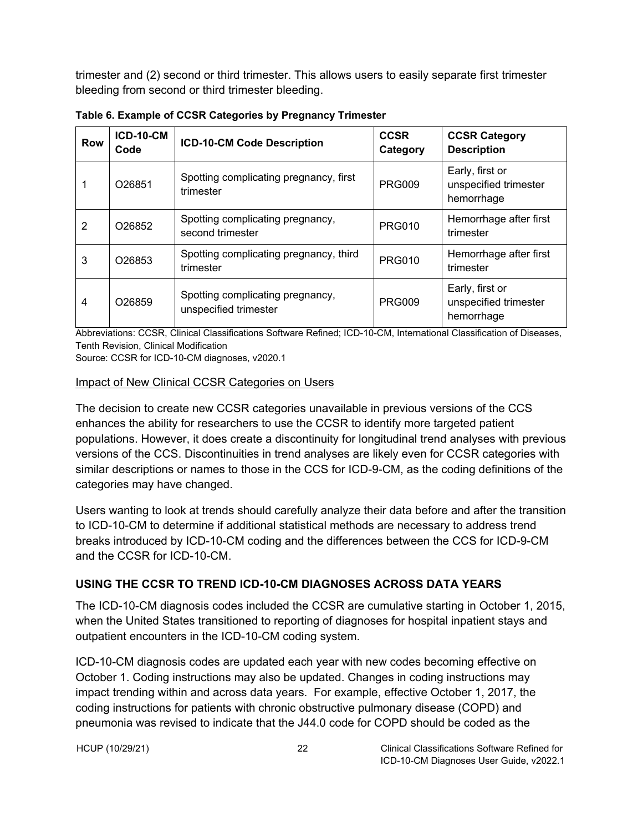trimester and (2) second or third trimester. This allows users to easily separate first trimester bleeding from second or third trimester bleeding.

| Row | <b>ICD-10-CM</b><br>Code                                            | ICD-10-CM Code Description                           | <b>CCSR</b><br>Category | <b>CCSR Category</b><br><b>Description</b>             |
|-----|---------------------------------------------------------------------|------------------------------------------------------|-------------------------|--------------------------------------------------------|
|     | O26851                                                              | Spotting complicating pregnancy, first<br>trimester  | <b>PRG009</b>           | Early, first or<br>unspecified trimester<br>hemorrhage |
| 2   | O <sub>26852</sub>                                                  | Spotting complicating pregnancy,<br>second trimester | <b>PRG010</b>           | Hemorrhage after first<br>trimester                    |
| 3   | O <sub>26853</sub>                                                  | Spotting complicating pregnancy, third<br>trimester  | <b>PRG010</b>           | Hemorrhage after first<br>trimester                    |
| 4   | Spotting complicating pregnancy,<br>O26859<br>unspecified trimester |                                                      | <b>PRG009</b>           | Early, first or<br>unspecified trimester<br>hemorrhage |

<span id="page-26-2"></span>**Table 6. Example of CCSR Categories by Pregnancy Trimester**

Abbreviations: CCSR, Clinical Classifications Software Refined; ICD-10-CM, International Classification of Diseases, Tenth Revision, Clinical Modification

Source: CCSR for ICD-10-CM diagnoses, v2020.1

#### <span id="page-26-0"></span>Impact of New Clinical CCSR Categories on Users

The decision to create new CCSR categories unavailable in previous versions of the CCS enhances the ability for researchers to use the CCSR to identify more targeted patient populations. However, it does create a discontinuity for longitudinal trend analyses with previous versions of the CCS. Discontinuities in trend analyses are likely even for CCSR categories with similar descriptions or names to those in the CCS for ICD-9-CM, as the coding definitions of the categories may have changed.

Users wanting to look at trends should carefully analyze their data before and after the transition to ICD-10-CM to determine if additional statistical methods are necessary to address trend breaks introduced by ICD-10-CM coding and the differences between the CCS for ICD-9-CM and the CCSR for ICD-10-CM.

#### <span id="page-26-1"></span>**USING THE CCSR TO TREND ICD-10-CM DIAGNOSES ACROSS DATA YEARS**

The ICD-10-CM diagnosis codes included the CCSR are cumulative starting in October 1, 2015, when the United States transitioned to reporting of diagnoses for hospital inpatient stays and outpatient encounters in the ICD-10-CM coding system.

ICD-10-CM diagnosis codes are updated each year with new codes becoming effective on October 1. Coding instructions may also be updated. Changes in coding instructions may impact trending within and across data years. For example, effective October 1, 2017, the coding instructions for patients with chronic obstructive pulmonary disease (COPD) and pneumonia was revised to indicate that the J44.0 code for COPD should be coded as the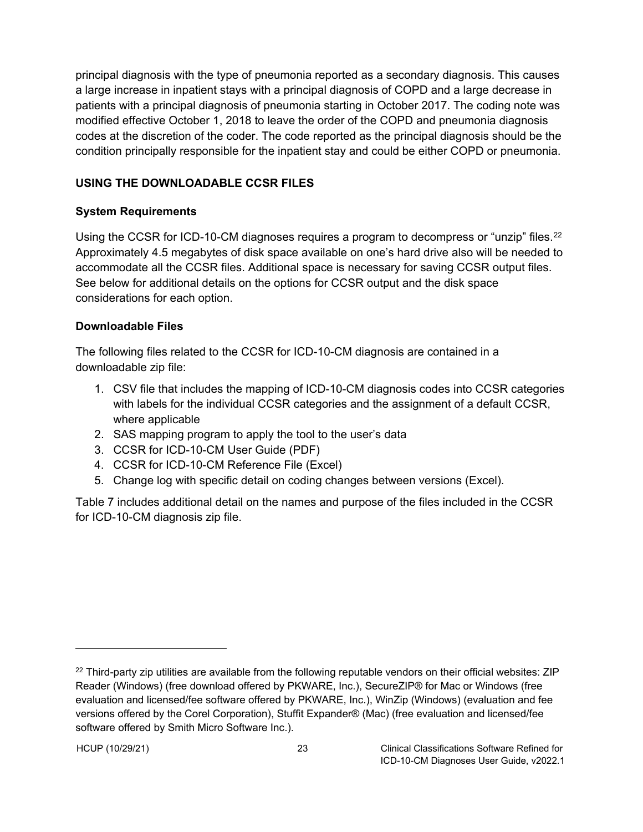principal diagnosis with the type of pneumonia reported as a secondary diagnosis. This causes a large increase in inpatient stays with a principal diagnosis of COPD and a large decrease in patients with a principal diagnosis of pneumonia starting in October 2017. The coding note was modified effective October 1, 2018 to leave the order of the COPD and pneumonia diagnosis codes at the discretion of the coder. The code reported as the principal diagnosis should be the condition principally responsible for the inpatient stay and could be either COPD or pneumonia.

### <span id="page-27-0"></span>**USING THE DOWNLOADABLE CCSR FILES**

### <span id="page-27-1"></span>**System Requirements**

Using the CCSR for ICD-10-CM diagnoses requires a program to decompress or "unzip" files.<sup>[22](#page-27-3)</sup> Approximately 4.5 megabytes of disk space available on one's hard drive also will be needed to accommodate all the CCSR files. Additional space is necessary for saving CCSR output files. See below for additional details on the options for CCSR output and the disk space considerations for each option.

### <span id="page-27-2"></span>**Downloadable Files**

The following files related to the CCSR for ICD-10-CM diagnosis are contained in a downloadable zip file:

- 1. CSV file that includes the mapping of ICD-10-CM diagnosis codes into CCSR categories with labels for the individual CCSR categories and the assignment of a default CCSR, where applicable
- 2. SAS mapping program to apply the tool to the user's data
- 3. CCSR for ICD-10-CM User Guide (PDF)
- 4. CCSR for ICD-10-CM Reference File (Excel)
- 5. Change log with specific detail on coding changes between versions (Excel).

Table 7 includes additional detail on the names and purpose of the files included in the CCSR for ICD-10-CM diagnosis zip file.

<span id="page-27-3"></span> $22$  Third-party zip utilities are available from the following reputable vendors on their official websites: ZIP Reader (Windows) (free download offered by PKWARE, Inc.), SecureZIP® for Mac or Windows (free evaluation and licensed/fee software offered by PKWARE, Inc.), WinZip (Windows) (evaluation and fee versions offered by the Corel Corporation), Stuffit Expander® (Mac) (free evaluation and licensed/fee software offered by Smith Micro Software Inc.).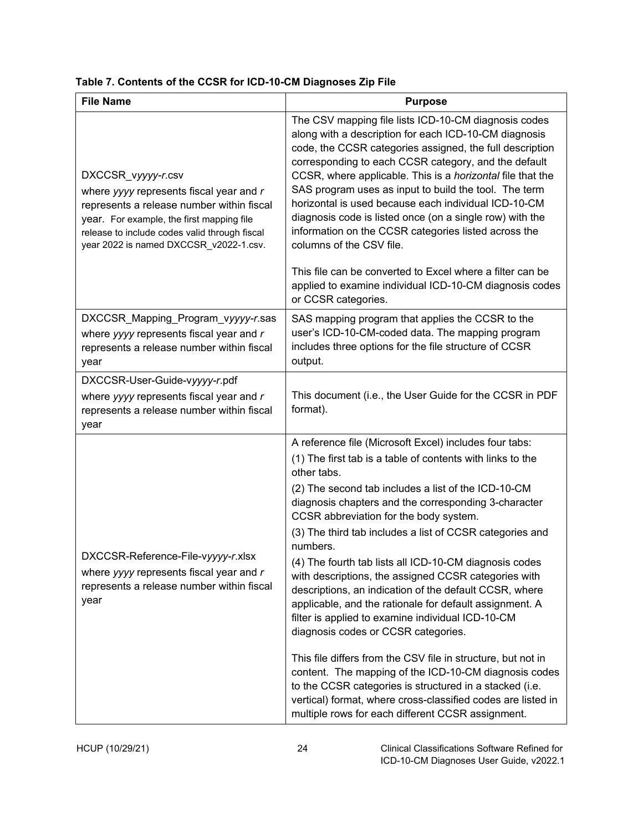<span id="page-28-0"></span>

| <b>File Name</b>                                                                                                                                                                                                                                   | <b>Purpose</b>                                                                                                                                                                                                                                                                                                                                                                                                                                                                                                                                                   |  |  |  |  |
|----------------------------------------------------------------------------------------------------------------------------------------------------------------------------------------------------------------------------------------------------|------------------------------------------------------------------------------------------------------------------------------------------------------------------------------------------------------------------------------------------------------------------------------------------------------------------------------------------------------------------------------------------------------------------------------------------------------------------------------------------------------------------------------------------------------------------|--|--|--|--|
| DXCCSR_vyyyy-r.csv<br>where yyyy represents fiscal year and r<br>represents a release number within fiscal<br>year. For example, the first mapping file<br>release to include codes valid through fiscal<br>year 2022 is named DXCCSR_v2022-1.csv. | The CSV mapping file lists ICD-10-CM diagnosis codes<br>along with a description for each ICD-10-CM diagnosis<br>code, the CCSR categories assigned, the full description<br>corresponding to each CCSR category, and the default<br>CCSR, where applicable. This is a horizontal file that the<br>SAS program uses as input to build the tool. The term<br>horizontal is used because each individual ICD-10-CM<br>diagnosis code is listed once (on a single row) with the<br>information on the CCSR categories listed across the<br>columns of the CSV file. |  |  |  |  |
|                                                                                                                                                                                                                                                    | This file can be converted to Excel where a filter can be<br>applied to examine individual ICD-10-CM diagnosis codes<br>or CCSR categories.                                                                                                                                                                                                                                                                                                                                                                                                                      |  |  |  |  |
| DXCCSR_Mapping_Program_vyyyy-r.sas<br>where yyyy represents fiscal year and r<br>represents a release number within fiscal<br>year                                                                                                                 | SAS mapping program that applies the CCSR to the<br>user's ICD-10-CM-coded data. The mapping program<br>includes three options for the file structure of CCSR<br>output.                                                                                                                                                                                                                                                                                                                                                                                         |  |  |  |  |
| DXCCSR-User-Guide-vyyyy-r.pdf                                                                                                                                                                                                                      |                                                                                                                                                                                                                                                                                                                                                                                                                                                                                                                                                                  |  |  |  |  |
| where yyyy represents fiscal year and r<br>represents a release number within fiscal<br>year                                                                                                                                                       | This document (i.e., the User Guide for the CCSR in PDF<br>format).                                                                                                                                                                                                                                                                                                                                                                                                                                                                                              |  |  |  |  |
|                                                                                                                                                                                                                                                    | A reference file (Microsoft Excel) includes four tabs:                                                                                                                                                                                                                                                                                                                                                                                                                                                                                                           |  |  |  |  |
|                                                                                                                                                                                                                                                    | (1) The first tab is a table of contents with links to the<br>other tabs.                                                                                                                                                                                                                                                                                                                                                                                                                                                                                        |  |  |  |  |
|                                                                                                                                                                                                                                                    | (2) The second tab includes a list of the ICD-10-CM<br>diagnosis chapters and the corresponding 3-character<br>CCSR abbreviation for the body system.                                                                                                                                                                                                                                                                                                                                                                                                            |  |  |  |  |
|                                                                                                                                                                                                                                                    | (3) The third tab includes a list of CCSR categories and<br>numbers.                                                                                                                                                                                                                                                                                                                                                                                                                                                                                             |  |  |  |  |
| DXCCSR-Reference-File-vyyyy-r.xlsx<br>where yyyy represents fiscal year and r<br>represents a release number within fiscal<br>year                                                                                                                 | (4) The fourth tab lists all ICD-10-CM diagnosis codes<br>with descriptions, the assigned CCSR categories with<br>descriptions, an indication of the default CCSR, where<br>applicable, and the rationale for default assignment. A<br>filter is applied to examine individual ICD-10-CM<br>diagnosis codes or CCSR categories.                                                                                                                                                                                                                                  |  |  |  |  |
|                                                                                                                                                                                                                                                    | This file differs from the CSV file in structure, but not in<br>content. The mapping of the ICD-10-CM diagnosis codes<br>to the CCSR categories is structured in a stacked (i.e.<br>vertical) format, where cross-classified codes are listed in<br>multiple rows for each different CCSR assignment.                                                                                                                                                                                                                                                            |  |  |  |  |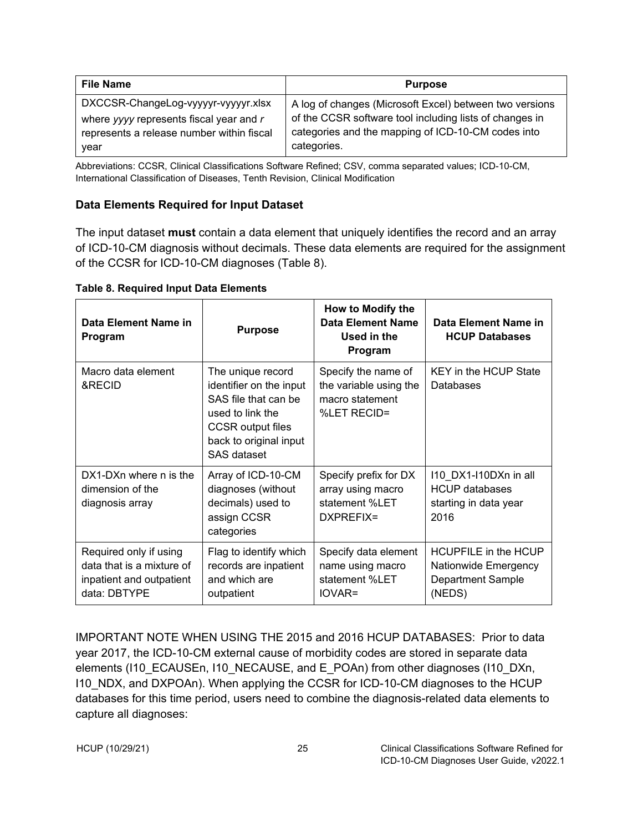| <b>File Name</b>                                                                                                            | <b>Purpose</b>                                                                                                                                                           |
|-----------------------------------------------------------------------------------------------------------------------------|--------------------------------------------------------------------------------------------------------------------------------------------------------------------------|
| DXCCSR-ChangeLog-vyyyyr-vyyyyr.xlsx<br>where yyyy represents fiscal year and r<br>represents a release number within fiscal | A log of changes (Microsoft Excel) between two versions<br>of the CCSR software tool including lists of changes in<br>categories and the mapping of ICD-10-CM codes into |
| year                                                                                                                        | categories.                                                                                                                                                              |

Abbreviations: CCSR, Clinical Classifications Software Refined; CSV, comma separated values; ICD-10-CM, International Classification of Diseases, Tenth Revision, Clinical Modification

#### <span id="page-29-0"></span>**Data Elements Required for Input Dataset**

The input dataset **must** contain a data element that uniquely identifies the record and an array of ICD-10-CM diagnosis without decimals. These data elements are required for the assignment of the CCSR for ICD-10-CM diagnoses (Table 8).

<span id="page-29-1"></span>**Table 8. Required Input Data Elements**

| Data Element Name in<br>Program                                                                 | <b>Purpose</b>                                                                                                                                                | How to Modify the<br>Data Element Name<br>Used in the<br>Program                | Data Element Name in<br><b>HCUP Databases</b>                                      |  |  |
|-------------------------------------------------------------------------------------------------|---------------------------------------------------------------------------------------------------------------------------------------------------------------|---------------------------------------------------------------------------------|------------------------------------------------------------------------------------|--|--|
| Macro data element<br>&RECID                                                                    | The unique record<br>identifier on the input<br>SAS file that can be<br>used to link the<br><b>CCSR</b> output files<br>back to original input<br>SAS dataset | Specify the name of<br>the variable using the<br>macro statement<br>%LET RECID= | <b>KEY</b> in the HCUP State<br>Databases                                          |  |  |
| DX1-DXn where n is the<br>dimension of the<br>diagnosis array                                   | Array of ICD-10-CM<br>diagnoses (without<br>decimals) used to<br>assign CCSR<br>categories                                                                    | Specify prefix for DX<br>array using macro<br>statement %LET<br>DXPREFIX=       | 110 DX1-110DXn in all<br><b>HCUP</b> databases<br>starting in data year<br>2016    |  |  |
| Required only if using<br>data that is a mixture of<br>inpatient and outpatient<br>data: DBTYPE | Flag to identify which<br>records are inpatient<br>and which are<br>outpatient                                                                                | Specify data element<br>name using macro<br>statement %LET<br>$IOVAR =$         | <b>HCUPFILE in the HCUP</b><br>Nationwide Emergency<br>Department Sample<br>(NEDS) |  |  |

IMPORTANT NOTE WHEN USING THE 2015 and 2016 HCUP DATABASES: Prior to data year 2017, the ICD-10-CM external cause of morbidity codes are stored in separate data elements (I10\_ECAUSEn, I10\_NECAUSE, and E\_POAn) from other diagnoses (I10\_DXn, I10 NDX, and DXPOAn). When applying the CCSR for ICD-10-CM diagnoses to the HCUP databases for this time period, users need to combine the diagnosis-related data elements to capture all diagnoses: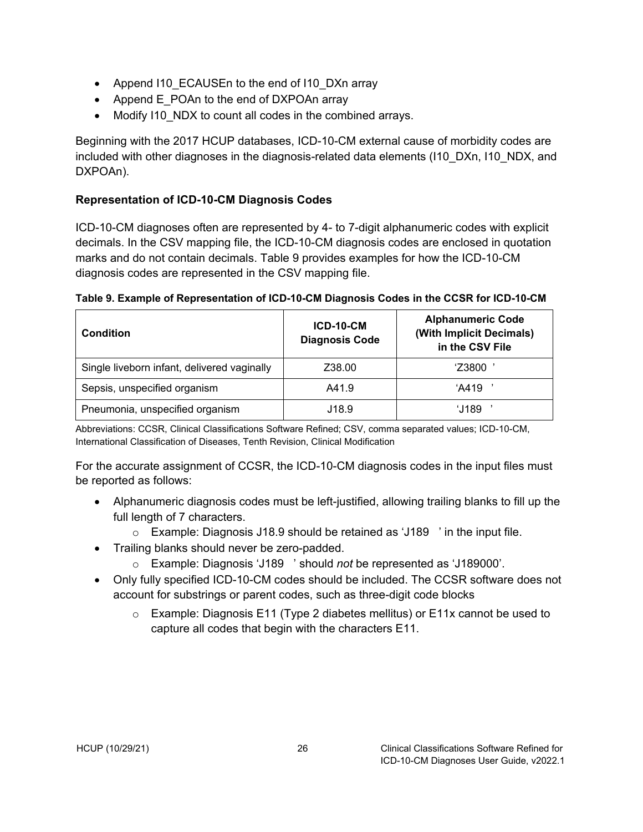- Append I10 ECAUSEn to the end of I10 DXn array
- Append E\_POAn to the end of DXPOAn array
- Modify I10\_NDX to count all codes in the combined arrays.

Beginning with the 2017 HCUP databases, ICD-10-CM external cause of morbidity codes are included with other diagnoses in the diagnosis-related data elements (I10 DXn, I10 NDX, and DXPOAn).

### <span id="page-30-0"></span>**Representation of ICD-10-CM Diagnosis Codes**

ICD-10-CM diagnoses often are represented by 4- to 7-digit alphanumeric codes with explicit decimals. In the CSV mapping file, the ICD-10-CM diagnosis codes are enclosed in quotation marks and do not contain decimals. Table 9 provides examples for how the ICD-10-CM diagnosis codes are represented in the CSV mapping file.

| <b>Condition</b>                            | <b>ICD-10-CM</b><br><b>Diagnosis Code</b> | <b>Alphanumeric Code</b><br>(With Implicit Decimals)<br>in the CSV File |  |  |
|---------------------------------------------|-------------------------------------------|-------------------------------------------------------------------------|--|--|
| Single liveborn infant, delivered vaginally | Z38.00                                    | 'Z3800                                                                  |  |  |
| Sepsis, unspecified organism                | A41.9                                     | 'A419                                                                   |  |  |
| Pneumonia, unspecified organism             | J18.9                                     | 'J189                                                                   |  |  |

<span id="page-30-1"></span>**Table 9. Example of Representation of ICD-10-CM Diagnosis Codes in the CCSR for ICD-10-CM**

Abbreviations: CCSR, Clinical Classifications Software Refined; CSV, comma separated values; ICD-10-CM, International Classification of Diseases, Tenth Revision, Clinical Modification

For the accurate assignment of CCSR, the ICD-10-CM diagnosis codes in the input files must be reported as follows:

- Alphanumeric diagnosis codes must be left-justified, allowing trailing blanks to fill up the full length of 7 characters.
	- o Example: Diagnosis J18.9 should be retained as 'J189 ' in the input file.
- Trailing blanks should never be zero-padded.
	- o Example: Diagnosis 'J189 ' should *not* be represented as 'J189000'.
- Only fully specified ICD-10-CM codes should be included. The CCSR software does not account for substrings or parent codes, such as three-digit code blocks
	- $\circ$  Example: Diagnosis E11 (Type 2 diabetes mellitus) or E11x cannot be used to capture all codes that begin with the characters E11.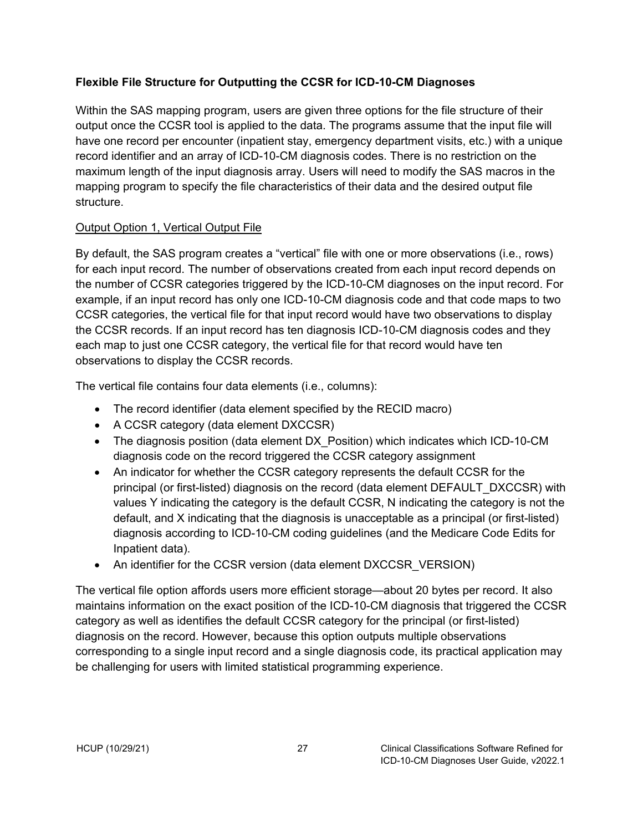#### <span id="page-31-0"></span>**Flexible File Structure for Outputting the CCSR for ICD-10-CM Diagnoses**

Within the SAS mapping program, users are given three options for the file structure of their output once the CCSR tool is applied to the data. The programs assume that the input file will have one record per encounter (inpatient stay, emergency department visits, etc.) with a unique record identifier and an array of ICD-10-CM diagnosis codes. There is no restriction on the maximum length of the input diagnosis array. Users will need to modify the SAS macros in the mapping program to specify the file characteristics of their data and the desired output file structure.

#### <span id="page-31-1"></span>Output Option 1, Vertical Output File

By default, the SAS program creates a "vertical" file with one or more observations (i.e., rows) for each input record. The number of observations created from each input record depends on the number of CCSR categories triggered by the ICD-10-CM diagnoses on the input record. For example, if an input record has only one ICD-10-CM diagnosis code and that code maps to two CCSR categories, the vertical file for that input record would have two observations to display the CCSR records. If an input record has ten diagnosis ICD-10-CM diagnosis codes and they each map to just one CCSR category, the vertical file for that record would have ten observations to display the CCSR records.

The vertical file contains four data elements (i.e., columns):

- The record identifier (data element specified by the RECID macro)
- A CCSR category (data element DXCCSR)
- The diagnosis position (data element DX Position) which indicates which ICD-10-CM diagnosis code on the record triggered the CCSR category assignment
- An indicator for whether the CCSR category represents the default CCSR for the principal (or first-listed) diagnosis on the record (data element DEFAULT\_DXCCSR) with values Y indicating the category is the default CCSR, N indicating the category is not the default, and X indicating that the diagnosis is unacceptable as a principal (or first-listed) diagnosis according to ICD-10-CM coding guidelines (and the Medicare Code Edits for Inpatient data).
- An identifier for the CCSR version (data element DXCCSR\_VERSION)

The vertical file option affords users more efficient storage—about 20 bytes per record. It also maintains information on the exact position of the ICD-10-CM diagnosis that triggered the CCSR category as well as identifies the default CCSR category for the principal (or first-listed) diagnosis on the record. However, because this option outputs multiple observations corresponding to a single input record and a single diagnosis code, its practical application may be challenging for users with limited statistical programming experience.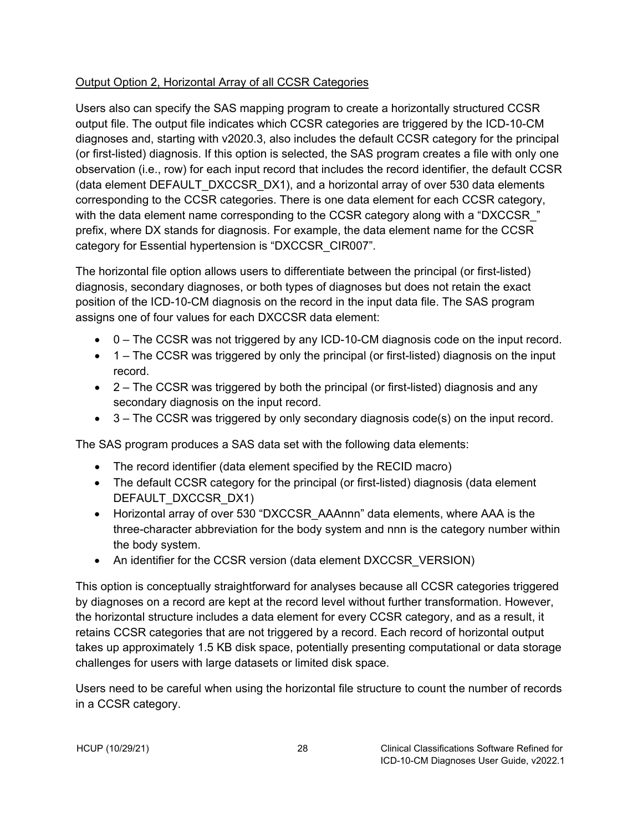#### <span id="page-32-0"></span>Output Option 2, Horizontal Array of all CCSR Categories

Users also can specify the SAS mapping program to create a horizontally structured CCSR output file. The output file indicates which CCSR categories are triggered by the ICD-10-CM diagnoses and, starting with v2020.3, also includes the default CCSR category for the principal (or first-listed) diagnosis. If this option is selected, the SAS program creates a file with only one observation (i.e., row) for each input record that includes the record identifier, the default CCSR (data element DEFAULT\_DXCCSR\_DX1), and a horizontal array of over 530 data elements corresponding to the CCSR categories. There is one data element for each CCSR category, with the data element name corresponding to the CCSR category along with a "DXCCSR" prefix, where DX stands for diagnosis. For example, the data element name for the CCSR category for Essential hypertension is "DXCCSR\_CIR007".

The horizontal file option allows users to differentiate between the principal (or first-listed) diagnosis, secondary diagnoses, or both types of diagnoses but does not retain the exact position of the ICD-10-CM diagnosis on the record in the input data file. The SAS program assigns one of four values for each DXCCSR data element:

- 0 The CCSR was not triggered by any ICD-10-CM diagnosis code on the input record.
- 1 The CCSR was triggered by only the principal (or first-listed) diagnosis on the input record.
- 2 The CCSR was triggered by both the principal (or first-listed) diagnosis and any secondary diagnosis on the input record.
- $\bullet$  3 The CCSR was triggered by only secondary diagnosis code(s) on the input record.

The SAS program produces a SAS data set with the following data elements:

- The record identifier (data element specified by the RECID macro)
- The default CCSR category for the principal (or first-listed) diagnosis (data element DEFAULT\_DXCCSR\_DX1)
- Horizontal array of over 530 "DXCCSR\_AAAnnn" data elements, where AAA is the three-character abbreviation for the body system and nnn is the category number within the body system.
- An identifier for the CCSR version (data element DXCCSR VERSION)

This option is conceptually straightforward for analyses because all CCSR categories triggered by diagnoses on a record are kept at the record level without further transformation. However, the horizontal structure includes a data element for every CCSR category, and as a result, it retains CCSR categories that are not triggered by a record. Each record of horizontal output takes up approximately 1.5 KB disk space, potentially presenting computational or data storage challenges for users with large datasets or limited disk space.

Users need to be careful when using the horizontal file structure to count the number of records in a CCSR category.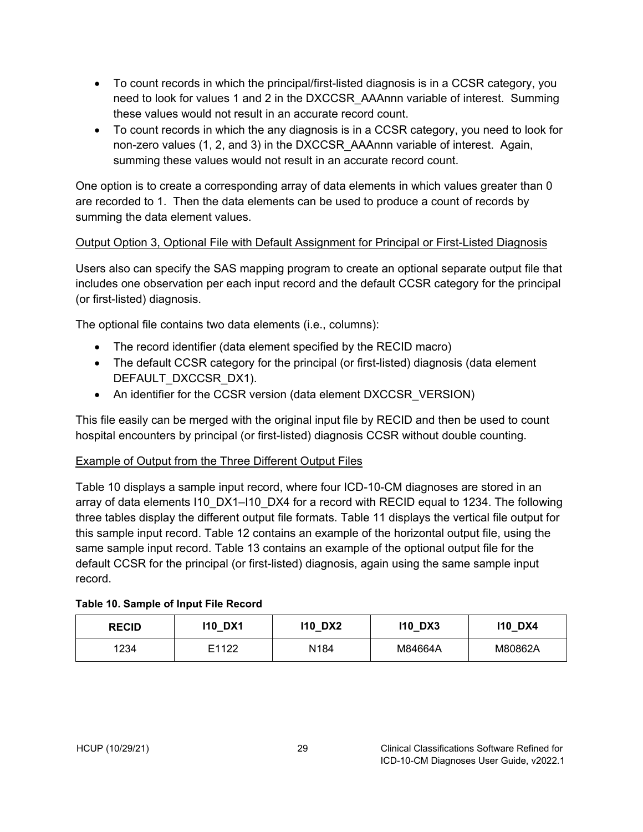- To count records in which the principal/first-listed diagnosis is in a CCSR category, you need to look for values 1 and 2 in the DXCCSR\_AAAnnn variable of interest. Summing these values would not result in an accurate record count.
- To count records in which the any diagnosis is in a CCSR category, you need to look for non-zero values (1, 2, and 3) in the DXCCSR\_AAAnnn variable of interest. Again, summing these values would not result in an accurate record count.

One option is to create a corresponding array of data elements in which values greater than 0 are recorded to 1. Then the data elements can be used to produce a count of records by summing the data element values.

#### <span id="page-33-0"></span>Output Option 3, Optional File with Default Assignment for Principal or First-Listed Diagnosis

Users also can specify the SAS mapping program to create an optional separate output file that includes one observation per each input record and the default CCSR category for the principal (or first-listed) diagnosis.

The optional file contains two data elements (i.e., columns):

- The record identifier (data element specified by the RECID macro)
- The default CCSR category for the principal (or first-listed) diagnosis (data element DEFAULT\_DXCCSR\_DX1).
- An identifier for the CCSR version (data element DXCCSR\_VERSION)

This file easily can be merged with the original input file by RECID and then be used to count hospital encounters by principal (or first-listed) diagnosis CCSR without double counting.

#### <span id="page-33-1"></span>Example of Output from the Three Different Output Files

Table 10 displays a sample input record, where four ICD-10-CM diagnoses are stored in an array of data elements I10\_DX1–I10\_DX4 for a record with RECID equal to 1234. The following three tables display the different output file formats. Table 11 displays the vertical file output for this sample input record. Table 12 contains an example of the horizontal output file, using the same sample input record. Table 13 contains an example of the optional output file for the default CCSR for the principal (or first-listed) diagnosis, again using the same sample input record.

| DX1<br>110<br><b>RECID</b> |       | 110 DX2 | DX3<br>110 | DX4<br>110 |  |
|----------------------------|-------|---------|------------|------------|--|
| 1234                       | E1122 | N184    | M84664A    | M80862A    |  |

#### <span id="page-33-2"></span>**Table 10. Sample of Input File Record**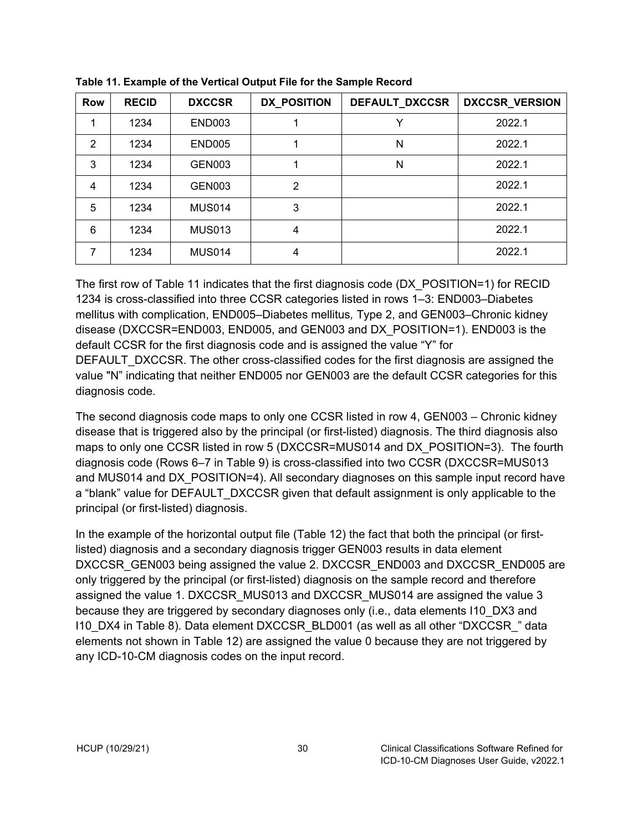| <b>Row</b> | <b>RECID</b> | <b>DXCCSR</b> | <b>DX_POSITION</b><br>DEFAULT_DXCCSR |   | DXCCSR_VERSION |
|------------|--------------|---------------|--------------------------------------|---|----------------|
|            | 1234         | <b>END003</b> |                                      |   | 2022.1         |
| 2          | 1234         | <b>END005</b> |                                      | N | 2022.1         |
| 3          | 1234         | <b>GEN003</b> |                                      | N | 2022.1         |
| 4          | 1234         | <b>GEN003</b> | $\overline{2}$                       |   | 2022.1         |
| 5          | 1234         | <b>MUS014</b> | 3                                    |   | 2022.1         |
| 6          | 1234         | <b>MUS013</b> | 4                                    |   | 2022.1         |
| 7          | 1234         | <b>MUS014</b> | 4                                    |   | 2022.1         |

<span id="page-34-0"></span>**Table 11. Example of the Vertical Output File for the Sample Record**

The first row of Table 11 indicates that the first diagnosis code (DX\_POSITION=1) for RECID 1234 is cross-classified into three CCSR categories listed in rows 1–3: END003–Diabetes mellitus with complication, END005–Diabetes mellitus*,* Type 2, and GEN003–Chronic kidney disease (DXCCSR=END003, END005, and GEN003 and DX\_POSITION=1). END003 is the default CCSR for the first diagnosis code and is assigned the value "Y" for DEFAULT\_DXCCSR. The other cross-classified codes for the first diagnosis are assigned the value "N" indicating that neither END005 nor GEN003 are the default CCSR categories for this diagnosis code.

The second diagnosis code maps to only one CCSR listed in row 4, GEN003 – Chronic kidney disease that is triggered also by the principal (or first-listed) diagnosis. The third diagnosis also maps to only one CCSR listed in row 5 (DXCCSR=MUS014 and DX\_POSITION=3). The fourth diagnosis code (Rows 6–7 in Table 9) is cross-classified into two CCSR (DXCCSR=MUS013 and MUS014 and DX POSITION=4). All secondary diagnoses on this sample input record have a "blank" value for DEFAULT\_DXCCSR given that default assignment is only applicable to the principal (or first-listed) diagnosis.

In the example of the horizontal output file (Table 12) the fact that both the principal (or firstlisted) diagnosis and a secondary diagnosis trigger GEN003 results in data element DXCCSR\_GEN003 being assigned the value 2. DXCCSR\_END003 and DXCCSR\_END005 are only triggered by the principal (or first-listed) diagnosis on the sample record and therefore assigned the value 1. DXCCSR\_MUS013 and DXCCSR\_MUS014 are assigned the value 3 because they are triggered by secondary diagnoses only (i.e., data elements I10\_DX3 and I10\_DX4 in Table 8). Data element DXCCSR\_BLD001 (as well as all other "DXCCSR\_" data elements not shown in Table 12) are assigned the value 0 because they are not triggered by any ICD-10-CM diagnosis codes on the input record.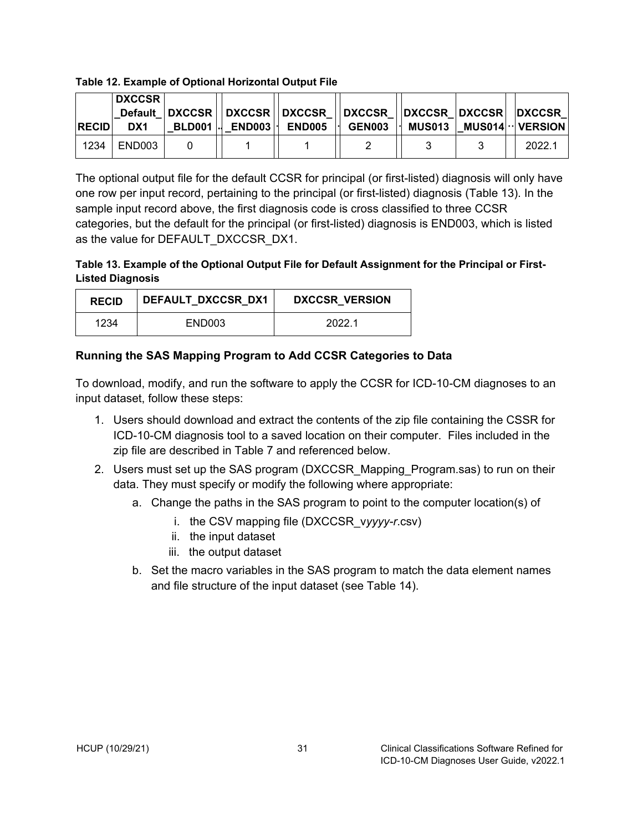#### <span id="page-35-1"></span>**Table 12. Example of Optional Horizontal Output File**

| <b>RECID</b> | DXCCSR  <br>DX1 |  | Default   DXCCSR   DXCCSR   DXCCSR   DXCCSR     DXCCSR   DXCCSR   DXCCSR  <br>BLD001 . END003   END005   GEN003   MUS013   MUS014 · VERSION |  |  |        |
|--------------|-----------------|--|---------------------------------------------------------------------------------------------------------------------------------------------|--|--|--------|
| 1234         | END003          |  |                                                                                                                                             |  |  | 2022.1 |

The optional output file for the default CCSR for principal (or first-listed) diagnosis will only have one row per input record, pertaining to the principal (or first-listed) diagnosis (Table 13). In the sample input record above, the first diagnosis code is cross classified to three CCSR categories, but the default for the principal (or first-listed) diagnosis is END003, which is listed as the value for DEFAULT\_DXCCSR\_DX1.

#### <span id="page-35-2"></span>**Table 13. Example of the Optional Output File for Default Assignment for the Principal or First-Listed Diagnosis**

| <b>RECID</b> | DEFAULT DXCCSR DX1 | <b>DXCCSR VERSION</b> |
|--------------|--------------------|-----------------------|
| 1234         | END003             | 2022.1                |

#### <span id="page-35-0"></span>**Running the SAS Mapping Program to Add CCSR Categories to Data**

To download, modify, and run the software to apply the CCSR for ICD-10-CM diagnoses to an input dataset, follow these steps:

- 1. Users should download and extract the contents of the zip file containing the CSSR for ICD-10-CM diagnosis tool to a saved location on their computer. Files included in the zip file are described in Table 7 and referenced below.
- 2. Users must set up the SAS program (DXCCSR\_Mapping\_Program.sas) to run on their data. They must specify or modify the following where appropriate:
	- a. Change the paths in the SAS program to point to the computer location(s) of
		- i. the CSV mapping file (DXCCSR\_v*yyyy-r*.csv)
		- ii. the input dataset
		- iii. the output dataset
	- b. Set the macro variables in the SAS program to match the data element names and file structure of the input dataset (see Table 14).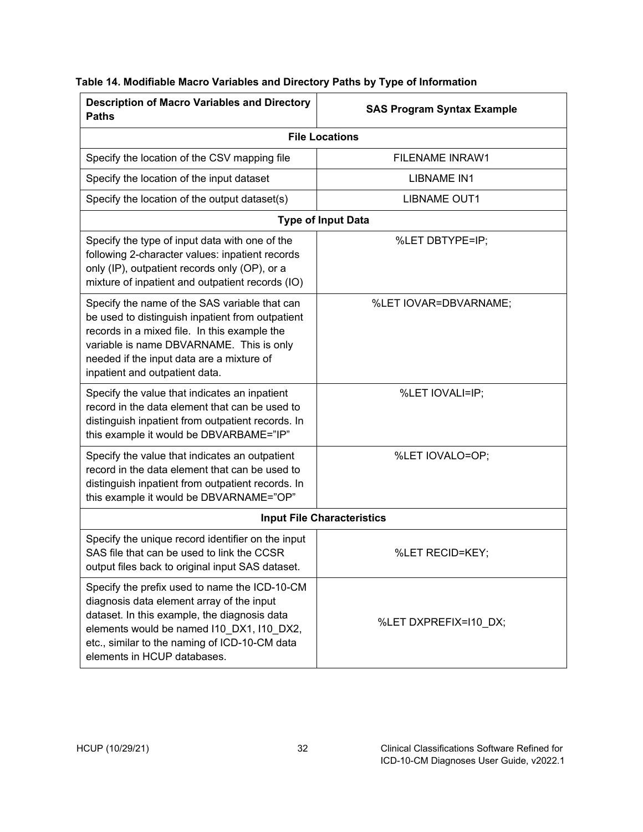| <b>Description of Macro Variables and Directory</b><br><b>Paths</b>                                                                                                                                                                                                          | <b>SAS Program Syntax Example</b> |
|------------------------------------------------------------------------------------------------------------------------------------------------------------------------------------------------------------------------------------------------------------------------------|-----------------------------------|
|                                                                                                                                                                                                                                                                              | <b>File Locations</b>             |
| Specify the location of the CSV mapping file                                                                                                                                                                                                                                 | <b>FILENAME INRAW1</b>            |
| Specify the location of the input dataset                                                                                                                                                                                                                                    | <b>LIBNAME IN1</b>                |
| Specify the location of the output dataset(s)                                                                                                                                                                                                                                | <b>LIBNAME OUT1</b>               |
|                                                                                                                                                                                                                                                                              | <b>Type of Input Data</b>         |
| Specify the type of input data with one of the<br>following 2-character values: inpatient records<br>only (IP), outpatient records only (OP), or a<br>mixture of inpatient and outpatient records (IO)                                                                       | %LET DBTYPE=IP;                   |
| Specify the name of the SAS variable that can<br>be used to distinguish inpatient from outpatient<br>records in a mixed file. In this example the<br>variable is name DBVARNAME. This is only<br>needed if the input data are a mixture of<br>inpatient and outpatient data. | %LET IOVAR=DBVARNAME;             |
| Specify the value that indicates an inpatient<br>record in the data element that can be used to<br>distinguish inpatient from outpatient records. In<br>this example it would be DBVARBAME="IP"                                                                              | %LET IOVALI=IP;                   |
| Specify the value that indicates an outpatient<br>record in the data element that can be used to<br>distinguish inpatient from outpatient records. In<br>this example it would be DBVARNAME="OP"                                                                             | %LET IOVALO=OP;                   |
|                                                                                                                                                                                                                                                                              | <b>Input File Characteristics</b> |
| Specify the unique record identifier on the input<br>SAS file that can be used to link the CCSR<br>output files back to original input SAS dataset.                                                                                                                          | %LET RECID=KEY;                   |
| Specify the prefix used to name the ICD-10-CM<br>diagnosis data element array of the input<br>dataset. In this example, the diagnosis data<br>elements would be named I10_DX1, I10_DX2,<br>etc., similar to the naming of ICD-10-CM data<br>elements in HCUP databases.      | %LET DXPREFIX=I10_DX;             |

#### <span id="page-36-0"></span>**Table 14. Modifiable Macro Variables and Directory Paths by Type of Information**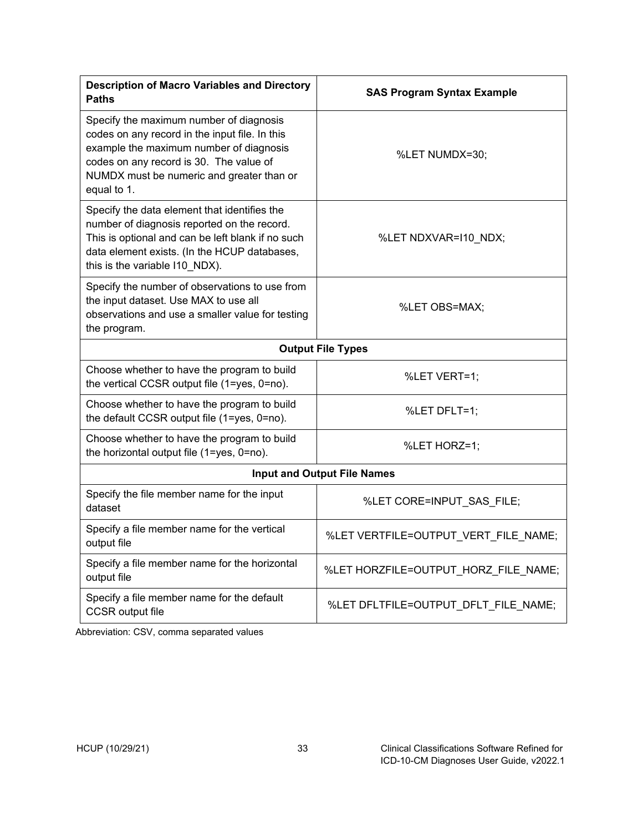| <b>Description of Macro Variables and Directory</b><br><b>Paths</b>                                                                                                                                                                         | <b>SAS Program Syntax Example</b>    |
|---------------------------------------------------------------------------------------------------------------------------------------------------------------------------------------------------------------------------------------------|--------------------------------------|
| Specify the maximum number of diagnosis<br>codes on any record in the input file. In this<br>example the maximum number of diagnosis<br>codes on any record is 30. The value of<br>NUMDX must be numeric and greater than or<br>equal to 1. | %LET NUMDX=30;                       |
| Specify the data element that identifies the<br>number of diagnosis reported on the record.<br>This is optional and can be left blank if no such<br>data element exists. (In the HCUP databases,<br>this is the variable I10_NDX).          | %LET NDXVAR=110_NDX;                 |
| Specify the number of observations to use from<br>the input dataset. Use MAX to use all<br>observations and use a smaller value for testing<br>the program.                                                                                 | %LET OBS=MAX;                        |
|                                                                                                                                                                                                                                             | <b>Output File Types</b>             |
| Choose whether to have the program to build<br>the vertical CCSR output file (1=yes, 0=no).                                                                                                                                                 | %LET VERT=1;                         |
| Choose whether to have the program to build<br>the default CCSR output file (1=yes, 0=no).                                                                                                                                                  | %LET DFLT=1;                         |
| Choose whether to have the program to build<br>the horizontal output file (1=yes, 0=no).                                                                                                                                                    | %LET HORZ=1;                         |
|                                                                                                                                                                                                                                             | <b>Input and Output File Names</b>   |
| Specify the file member name for the input<br>dataset                                                                                                                                                                                       | %LET CORE=INPUT_SAS_FILE;            |
| Specify a file member name for the vertical<br>output file                                                                                                                                                                                  | %LET VERTFILE=OUTPUT VERT FILE NAME; |
| Specify a file member name for the horizontal<br>output file                                                                                                                                                                                | %LET HORZFILE=OUTPUT_HORZ_FILE_NAME; |
| Specify a file member name for the default<br><b>CCSR</b> output file                                                                                                                                                                       | %LET DFLTFILE=OUTPUT_DFLT_FILE_NAME; |

Abbreviation: CSV, comma separated values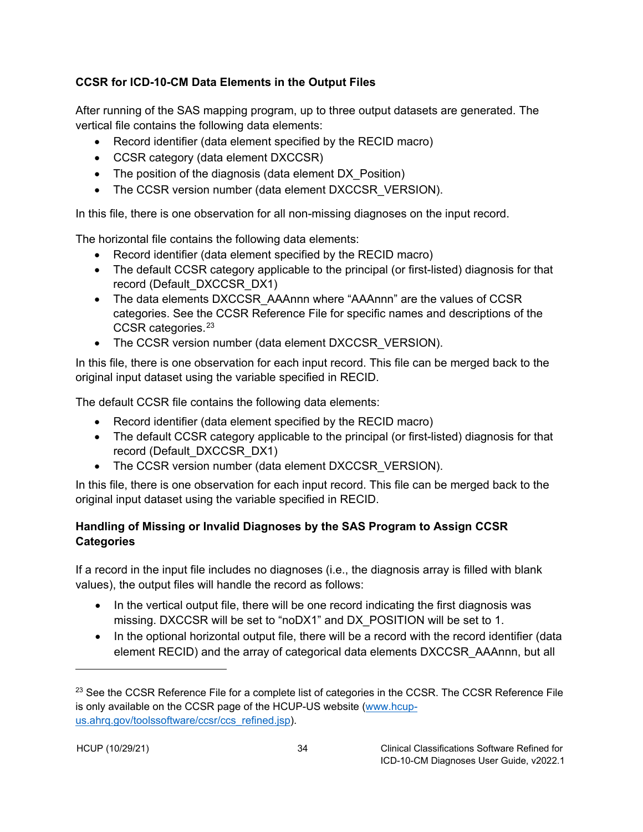### <span id="page-38-0"></span>**CCSR for ICD-10-CM Data Elements in the Output Files**

After running of the SAS mapping program, up to three output datasets are generated. The vertical file contains the following data elements:

- Record identifier (data element specified by the RECID macro)
- CCSR category (data element DXCCSR)
- The position of the diagnosis (data element DX Position)
- The CCSR version number (data element DXCCSR\_VERSION).

In this file, there is one observation for all non-missing diagnoses on the input record.

The horizontal file contains the following data elements:

- Record identifier (data element specified by the RECID macro)
- The default CCSR category applicable to the principal (or first-listed) diagnosis for that record (Default\_DXCCSR\_DX1)
- The data elements DXCCSR\_AAAnnn where "AAAnnn" are the values of CCSR categories. See the CCSR Reference File for specific names and descriptions of the CCSR categories.[23](#page-38-2)
- The CCSR version number (data element DXCCSR\_VERSION).

In this file, there is one observation for each input record. This file can be merged back to the original input dataset using the variable specified in RECID.

The default CCSR file contains the following data elements:

- Record identifier (data element specified by the RECID macro)
- The default CCSR category applicable to the principal (or first-listed) diagnosis for that record (Default\_DXCCSR\_DX1)
- The CCSR version number (data element DXCCSR\_VERSION).

In this file, there is one observation for each input record. This file can be merged back to the original input dataset using the variable specified in RECID.

## <span id="page-38-1"></span>**Handling of Missing or Invalid Diagnoses by the SAS Program to Assign CCSR Categories**

If a record in the input file includes no diagnoses (i.e., the diagnosis array is filled with blank values), the output files will handle the record as follows:

- In the vertical output file, there will be one record indicating the first diagnosis was missing. DXCCSR will be set to "noDX1" and DX\_POSITION will be set to 1.
- In the optional horizontal output file, there will be a record with the record identifier (data element RECID) and the array of categorical data elements DXCCSR\_AAAnnn, but all

<span id="page-38-2"></span><sup>&</sup>lt;sup>23</sup> See the CCSR Reference File for a complete list of categories in the CCSR. The CCSR Reference File is only available on the CCSR page of the HCUP-US website [\(www.hcup](https://www.hcup-us.ahrq.gov/toolssoftware/ccsr/ccs_refined.jsp)[us.ahrq.gov/toolssoftware/ccsr/ccs\\_refined.jsp\)](https://www.hcup-us.ahrq.gov/toolssoftware/ccsr/ccs_refined.jsp).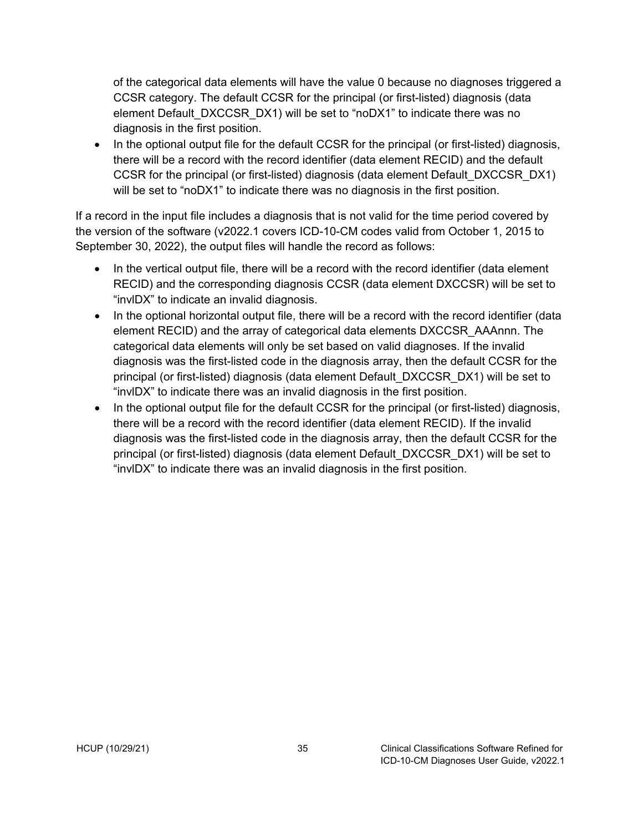of the categorical data elements will have the value 0 because no diagnoses triggered a CCSR category. The default CCSR for the principal (or first-listed) diagnosis (data element Default\_DXCCSR\_DX1) will be set to "noDX1" to indicate there was no diagnosis in the first position.

• In the optional output file for the default CCSR for the principal (or first-listed) diagnosis, there will be a record with the record identifier (data element RECID) and the default CCSR for the principal (or first-listed) diagnosis (data element Default\_DXCCSR\_DX1) will be set to "noDX1" to indicate there was no diagnosis in the first position.

If a record in the input file includes a diagnosis that is not valid for the time period covered by the version of the software (v2022.1 covers ICD-10-CM codes valid from October 1, 2015 to September 30, 2022), the output files will handle the record as follows:

- In the vertical output file, there will be a record with the record identifier (data element RECID) and the corresponding diagnosis CCSR (data element DXCCSR) will be set to "invlDX" to indicate an invalid diagnosis.
- In the optional horizontal output file, there will be a record with the record identifier (data element RECID) and the array of categorical data elements DXCCSR\_AAAnnn. The categorical data elements will only be set based on valid diagnoses. If the invalid diagnosis was the first-listed code in the diagnosis array, then the default CCSR for the principal (or first-listed) diagnosis (data element Default\_DXCCSR\_DX1) will be set to "invlDX" to indicate there was an invalid diagnosis in the first position.
- In the optional output file for the default CCSR for the principal (or first-listed) diagnosis, there will be a record with the record identifier (data element RECID). If the invalid diagnosis was the first-listed code in the diagnosis array, then the default CCSR for the principal (or first-listed) diagnosis (data element Default\_DXCCSR\_DX1) will be set to "invlDX" to indicate there was an invalid diagnosis in the first position.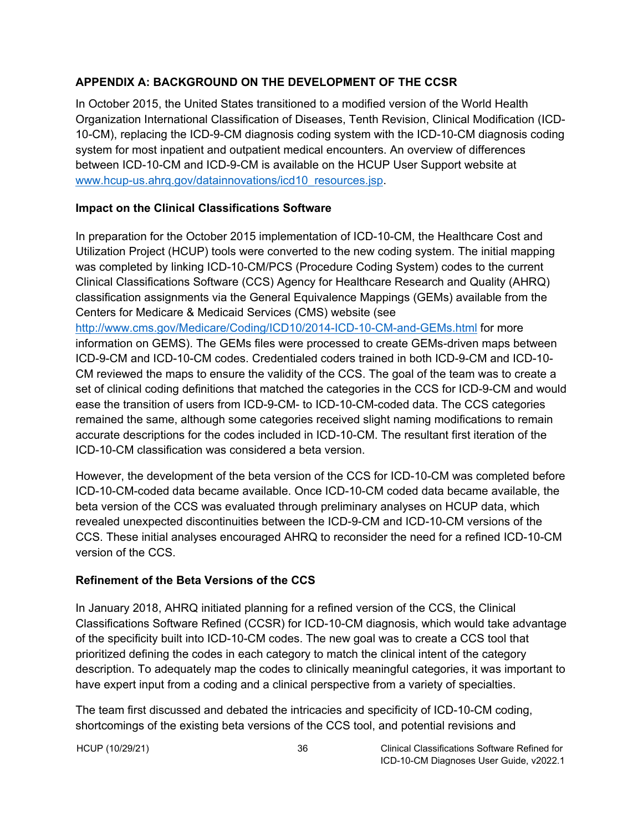#### <span id="page-40-0"></span>**APPENDIX A: BACKGROUND ON THE DEVELOPMENT OF THE CCSR**

In October 2015, the United States transitioned to a modified version of the World Health Organization International Classification of Diseases, Tenth Revision, Clinical Modification (ICD-10-CM), replacing the ICD-9-CM diagnosis coding system with the ICD-10-CM diagnosis coding system for most inpatient and outpatient medical encounters. An overview of differences between ICD-10-CM and ICD-9-CM is available on the HCUP User Support website at www.hcup-us.ahrg.gov/datainnovations/icd10\_resources.jsp.

#### **Impact on the Clinical Classifications Software**

In preparation for the October 2015 implementation of ICD-10-CM, the Healthcare Cost and Utilization Project (HCUP) tools were converted to the new coding system. The initial mapping was completed by linking ICD-10-CM/PCS (Procedure Coding System) codes to the current Clinical Classifications Software (CCS) Agency for Healthcare Research and Quality (AHRQ) classification assignments via the General Equivalence Mappings (GEMs) available from the Centers for Medicare & Medicaid Services (CMS) website (see <http://www.cms.gov/Medicare/Coding/ICD10/2014-ICD-10-CM-and-GEMs.html> for more information on GEMS). The GEMs files were processed to create GEMs-driven maps between ICD-9-CM and ICD-10-CM codes. Credentialed coders trained in both ICD-9-CM and ICD-10- CM reviewed the maps to ensure the validity of the CCS. The goal of the team was to create a set of clinical coding definitions that matched the categories in the CCS for ICD-9-CM and would ease the transition of users from ICD-9-CM- to ICD-10-CM-coded data. The CCS categories

remained the same, although some categories received slight naming modifications to remain accurate descriptions for the codes included in ICD-10-CM. The resultant first iteration of the ICD-10-CM classification was considered a beta version.

However, the development of the beta version of the CCS for ICD-10-CM was completed before ICD-10-CM-coded data became available. Once ICD-10-CM coded data became available, the beta version of the CCS was evaluated through preliminary analyses on HCUP data, which revealed unexpected discontinuities between the ICD-9-CM and ICD-10-CM versions of the CCS. These initial analyses encouraged AHRQ to reconsider the need for a refined ICD-10-CM version of the CCS.

## **Refinement of the Beta Versions of the CCS**

In January 2018, AHRQ initiated planning for a refined version of the CCS, the Clinical Classifications Software Refined (CCSR) for ICD-10-CM diagnosis, which would take advantage of the specificity built into ICD-10-CM codes. The new goal was to create a CCS tool that prioritized defining the codes in each category to match the clinical intent of the category description. To adequately map the codes to clinically meaningful categories, it was important to have expert input from a coding and a clinical perspective from a variety of specialties.

The team first discussed and debated the intricacies and specificity of ICD-10-CM coding, shortcomings of the existing beta versions of the CCS tool, and potential revisions and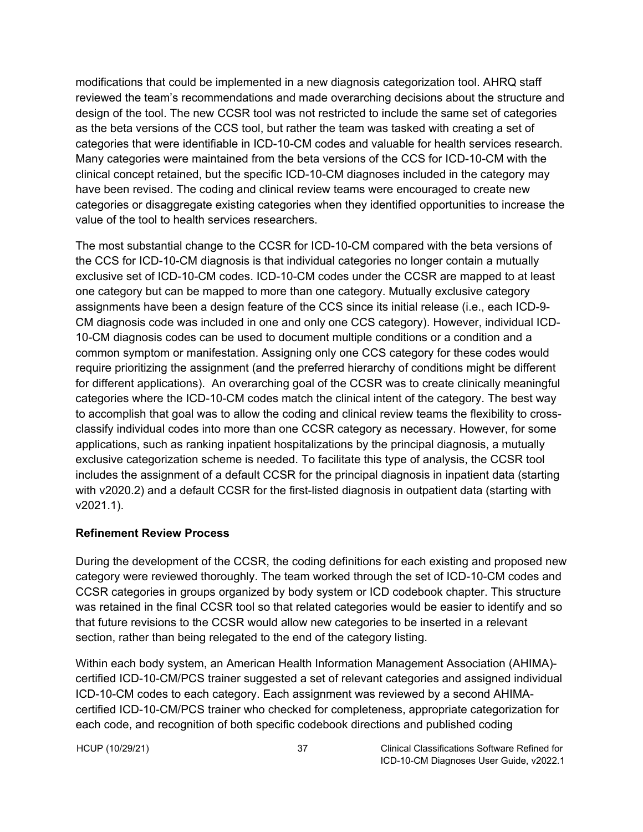<span id="page-41-0"></span>modifications that could be implemented in a new diagnosis categorization tool. AHRQ staff reviewed the team's recommendations and made overarching decisions about the structure and design of the tool. The new CCSR tool was not restricted to include the same set of categories as the beta versions of the CCS tool, but rather the team was tasked with creating a set of categories that were identifiable in ICD-10-CM codes and valuable for health services research. Many categories were maintained from the beta versions of the CCS for ICD-10-CM with the clinical concept retained, but the specific ICD-10-CM diagnoses included in the category may have been revised. The coding and clinical review teams were encouraged to create new categories or disaggregate existing categories when they identified opportunities to increase the value of the tool to health services researchers.

The most substantial change to the CCSR for ICD-10-CM compared with the beta versions of the CCS for ICD-10-CM diagnosis is that individual categories no longer contain a mutually exclusive set of ICD-10-CM codes. ICD-10-CM codes under the CCSR are mapped to at least one category but can be mapped to more than one category. Mutually exclusive category assignments have been a design feature of the CCS since its initial release (i.e., each ICD-9- CM diagnosis code was included in one and only one CCS category). However, individual ICD-10-CM diagnosis codes can be used to document multiple conditions or a condition and a common symptom or manifestation. Assigning only one CCS category for these codes would require prioritizing the assignment (and the preferred hierarchy of conditions might be different for different applications). An overarching goal of the CCSR was to create clinically meaningful categories where the ICD-10-CM codes match the clinical intent of the category. The best way to accomplish that goal was to allow the coding and clinical review teams the flexibility to crossclassify individual codes into more than one CCSR category as necessary. However, for some applications, such as ranking inpatient hospitalizations by the principal diagnosis, a mutually exclusive categorization scheme is needed. To facilitate this type of analysis, the CCSR tool includes the assignment of a default CCSR for the principal diagnosis in inpatient data (starting with v2020.2) and a default CCSR for the first-listed diagnosis in outpatient data (starting with v2021.1).

#### **Refinement Review Process**

During the development of the CCSR, the coding definitions for each existing and proposed new category were reviewed thoroughly. The team worked through the set of ICD-10-CM codes and CCSR categories in groups organized by body system or ICD codebook chapter. This structure was retained in the final CCSR tool so that related categories would be easier to identify and so that future revisions to the CCSR would allow new categories to be inserted in a relevant section, rather than being relegated to the end of the category listing.

Within each body system, an American Health Information Management Association (AHIMA) certified ICD-10-CM/PCS trainer suggested a set of relevant categories and assigned individual ICD-10-CM codes to each category. Each assignment was reviewed by a second AHIMAcertified ICD-10-CM/PCS trainer who checked for completeness, appropriate categorization for each code, and recognition of both specific codebook directions and published coding

HCUP (10/29/21) 37 Clinical Classifications Software Refined for ICD-10-CM Diagnoses User Guide, v2022.1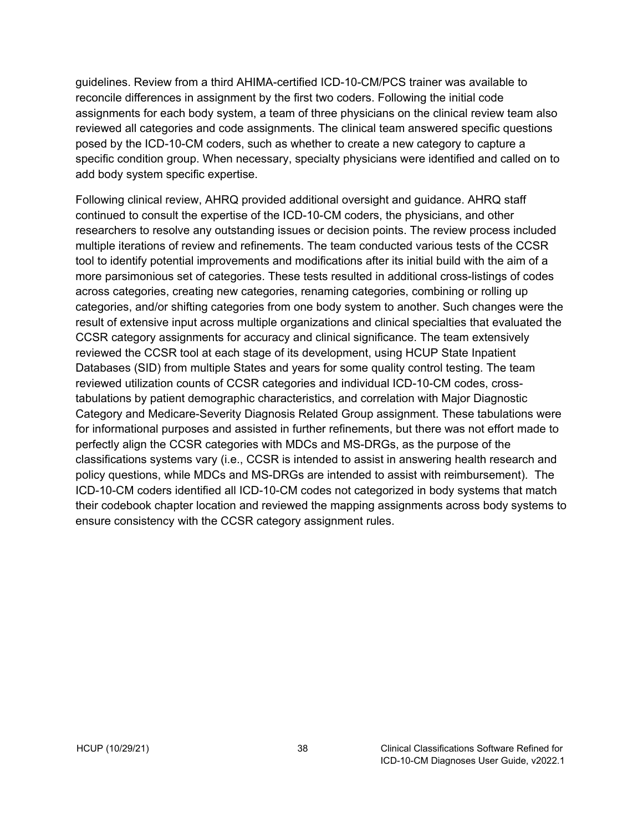guidelines. Review from a third AHIMA-certified ICD-10-CM/PCS trainer was available to reconcile differences in assignment by the first two coders. Following the initial code assignments for each body system, a team of three physicians on the clinical review team also reviewed all categories and code assignments. The clinical team answered specific questions posed by the ICD-10-CM coders, such as whether to create a new category to capture a specific condition group. When necessary, specialty physicians were identified and called on to add body system specific expertise.

Following clinical review, AHRQ provided additional oversight and guidance. AHRQ staff continued to consult the expertise of the ICD-10-CM coders, the physicians, and other researchers to resolve any outstanding issues or decision points. The review process included multiple iterations of review and refinements. The team conducted various tests of the CCSR tool to identify potential improvements and modifications after its initial build with the aim of a more parsimonious set of categories. These tests resulted in additional cross-listings of codes across categories, creating new categories, renaming categories, combining or rolling up categories, and/or shifting categories from one body system to another. Such changes were the result of extensive input across multiple organizations and clinical specialties that evaluated the CCSR category assignments for accuracy and clinical significance. The team extensively reviewed the CCSR tool at each stage of its development, using HCUP State Inpatient Databases (SID) from multiple States and years for some quality control testing. The team reviewed utilization counts of CCSR categories and individual ICD-10-CM codes, crosstabulations by patient demographic characteristics, and correlation with Major Diagnostic Category and Medicare-Severity Diagnosis Related Group assignment. These tabulations were for informational purposes and assisted in further refinements, but there was not effort made to perfectly align the CCSR categories with MDCs and MS-DRGs, as the purpose of the classifications systems vary (i.e., CCSR is intended to assist in answering health research and policy questions, while MDCs and MS-DRGs are intended to assist with reimbursement). The ICD-10-CM coders identified all ICD-10-CM codes not categorized in body systems that match their codebook chapter location and reviewed the mapping assignments across body systems to ensure consistency with the CCSR category assignment rules.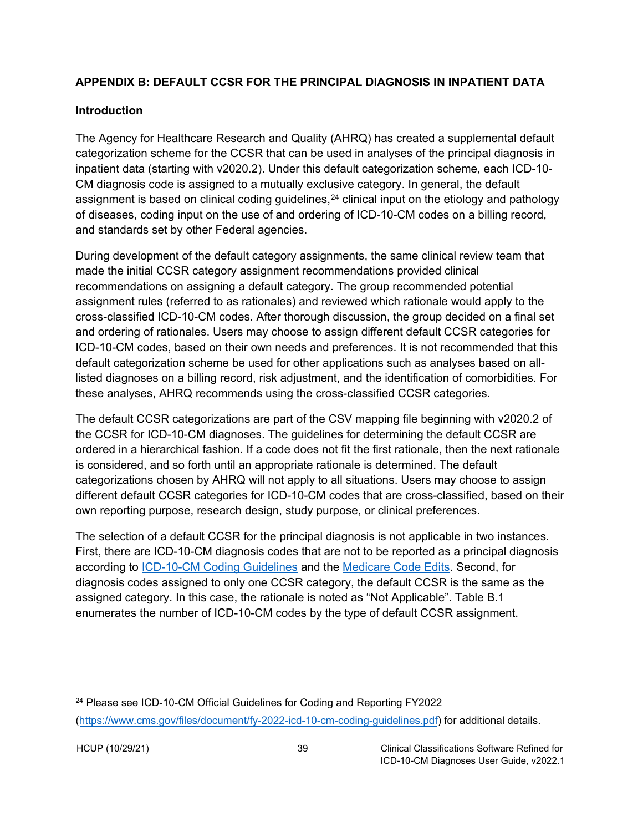### <span id="page-43-0"></span>**APPENDIX B: DEFAULT CCSR FOR THE PRINCIPAL DIAGNOSIS IN INPATIENT DATA**

#### <span id="page-43-1"></span>**Introduction**

The Agency for Healthcare Research and Quality (AHRQ) has created a supplemental default categorization scheme for the CCSR that can be used in analyses of the principal diagnosis in inpatient data (starting with v2020.2). Under this default categorization scheme, each ICD-10- CM diagnosis code is assigned to a mutually exclusive category. In general, the default assignment is based on clinical coding guidelines,  $24$  clinical input on the etiology and pathology of diseases, coding input on the use of and ordering of ICD-10-CM codes on a billing record, and standards set by other Federal agencies.

During development of the default category assignments, the same clinical review team that made the initial CCSR category assignment recommendations provided clinical recommendations on assigning a default category. The group recommended potential assignment rules (referred to as rationales) and reviewed which rationale would apply to the cross-classified ICD-10-CM codes. After thorough discussion, the group decided on a final set and ordering of rationales. Users may choose to assign different default CCSR categories for ICD-10-CM codes, based on their own needs and preferences. It is not recommended that this default categorization scheme be used for other applications such as analyses based on alllisted diagnoses on a billing record, risk adjustment, and the identification of comorbidities. For these analyses, AHRQ recommends using the cross-classified CCSR categories.

The default CCSR categorizations are part of the CSV mapping file beginning with v2020.2 of the CCSR for ICD-10-CM diagnoses. The guidelines for determining the default CCSR are ordered in a hierarchical fashion. If a code does not fit the first rationale, then the next rationale is considered, and so forth until an appropriate rationale is determined. The default categorizations chosen by AHRQ will not apply to all situations. Users may choose to assign different default CCSR categories for ICD-10-CM codes that are cross-classified, based on their own reporting purpose, research design, study purpose, or clinical preferences.

The selection of a default CCSR for the principal diagnosis is not applicable in two instances. First, there are ICD-10-CM diagnosis codes that are not to be reported as a principal diagnosis according to [ICD-10-CM Coding Guidelines](https://www.cdc.gov/nchs/data/icd/10cmguidelines-FY2021.pdf) and the [Medicare Code Edits.](https://www.cms.gov/Medicare/Medicare-Fee-for-Service-Payment/AcuteInpatientPPS/MS-DRG-Classifications-and-Software#:%7E:text=Definition%20of%20Medicare%20Code%20Edits%20V37.1%20R1%20%28ZIP%29%3A,PDF%20and%20text%20file%20that%20is%20508%20compliant) Second, for diagnosis codes assigned to only one CCSR category, the default CCSR is the same as the assigned category. In this case, the rationale is noted as "Not Applicable". Table B.1 enumerates the number of ICD-10-CM codes by the type of default CCSR assignment.

<span id="page-43-2"></span><sup>24</sup> Please see ICD-10-CM Official Guidelines for Coding and Reporting FY2022 (https://www.cms.gov/[files/document/fy-2022-icd-10-cm-coding-](https://www.cms.gov/files/document/fy-2022-icd-10-cm-coding-guidelines.pdf)guidelines.pdf) for additional details.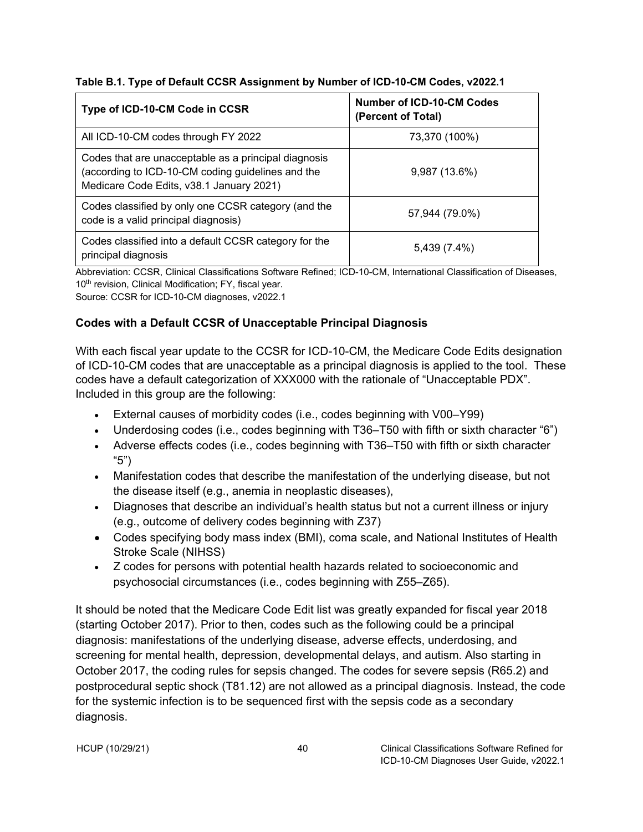<span id="page-44-1"></span>

|  |  | Table B.1. Type of Default CCSR Assignment by Number of ICD-10-CM Codes, v2022.1 |  |
|--|--|----------------------------------------------------------------------------------|--|
|  |  |                                                                                  |  |

| Type of ICD-10-CM Code in CCSR                                                                                                                        | Number of ICD-10-CM Codes<br>(Percent of Total) |
|-------------------------------------------------------------------------------------------------------------------------------------------------------|-------------------------------------------------|
| All ICD-10-CM codes through FY 2022                                                                                                                   | 73,370 (100%)                                   |
| Codes that are unacceptable as a principal diagnosis<br>(according to ICD-10-CM coding guidelines and the<br>Medicare Code Edits, v38.1 January 2021) | 9,987 (13.6%)                                   |
| Codes classified by only one CCSR category (and the<br>code is a valid principal diagnosis)                                                           | 57,944 (79.0%)                                  |
| Codes classified into a default CCSR category for the<br>principal diagnosis                                                                          | 5,439 (7.4%)                                    |

Abbreviation: CCSR, Clinical Classifications Software Refined; ICD-10-CM, International Classification of Diseases, 10<sup>th</sup> revision, Clinical Modification; FY, fiscal year.

Source: CCSR for ICD-10-CM diagnoses, v2022.1

### <span id="page-44-0"></span>**Codes with a Default CCSR of Unacceptable Principal Diagnosis**

With each fiscal year update to the CCSR for ICD-10-CM, the Medicare Code Edits designation of ICD-10-CM codes that are unacceptable as a principal diagnosis is applied to the tool. These codes have a default categorization of XXX000 with the rationale of "Unacceptable PDX". Included in this group are the following:

- External causes of morbidity codes (i.e., codes beginning with V00–Y99)
- Underdosing codes (i.e., codes beginning with T36–T50 with fifth or sixth character "6")
- Adverse effects codes (i.e., codes beginning with T36–T50 with fifth or sixth character "5")
- Manifestation codes that describe the manifestation of the underlying disease, but not the disease itself (e.g., anemia in neoplastic diseases),
- Diagnoses that describe an individual's health status but not a current illness or injury (e.g., outcome of delivery codes beginning with Z37)
- Codes specifying body mass index (BMI), coma scale, and National Institutes of Health Stroke Scale (NIHSS)
- Z codes for persons with potential health hazards related to socioeconomic and psychosocial circumstances (i.e., codes beginning with Z55–Z65).

It should be noted that the Medicare Code Edit list was greatly expanded for fiscal year 2018 (starting October 2017). Prior to then, codes such as the following could be a principal diagnosis: manifestations of the underlying disease, adverse effects, underdosing, and screening for mental health, depression, developmental delays, and autism. Also starting in October 2017, the coding rules for sepsis changed. The codes for severe sepsis (R65.2) and postprocedural septic shock (T81.12) are not allowed as a principal diagnosis. Instead, the code for the systemic infection is to be sequenced first with the sepsis code as a secondary diagnosis.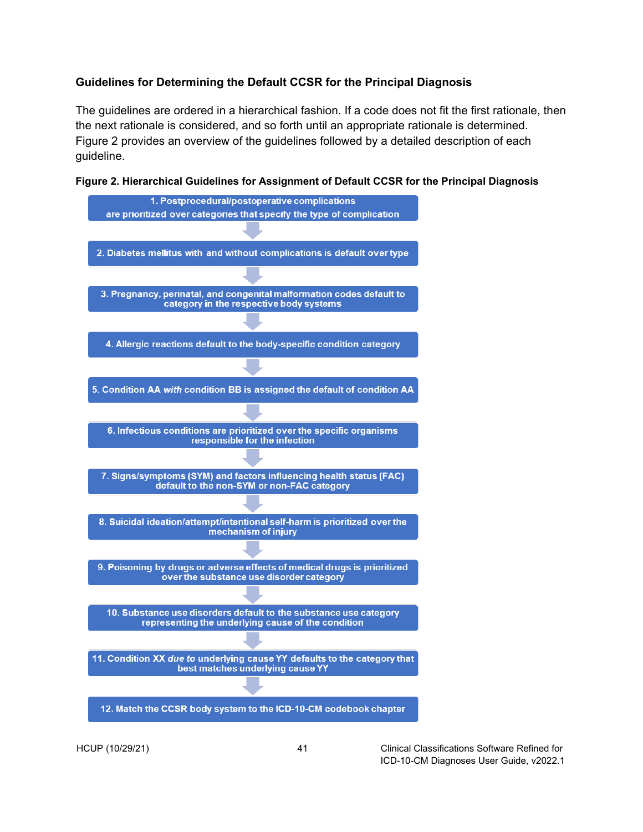#### <span id="page-45-0"></span>**Guidelines for Determining the Default CCSR for the Principal Diagnosis**

The guidelines are ordered in a hierarchical fashion. If a code does not fit the first rationale, then the next rationale is considered, and so forth until an appropriate rationale is determined. Figure 2 provides an overview of the guidelines followed by a detailed description of each guideline.

<span id="page-45-1"></span>

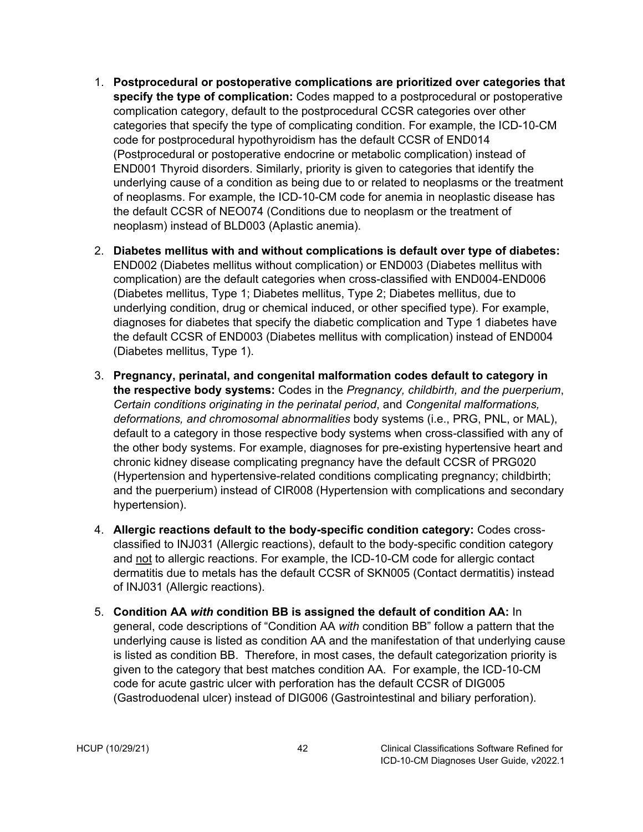- 1. **Postprocedural or postoperative complications are prioritized over categories that specify the type of complication:** Codes mapped to a postprocedural or postoperative complication category, default to the postprocedural CCSR categories over other categories that specify the type of complicating condition. For example, the ICD-10-CM code for postprocedural hypothyroidism has the default CCSR of END014 (Postprocedural or postoperative endocrine or metabolic complication) instead of END001 Thyroid disorders. Similarly, priority is given to categories that identify the underlying cause of a condition as being due to or related to neoplasms or the treatment of neoplasms. For example, the ICD-10-CM code for anemia in neoplastic disease has the default CCSR of NEO074 (Conditions due to neoplasm or the treatment of neoplasm) instead of BLD003 (Aplastic anemia).
- 2. **Diabetes mellitus with and without complications is default over type of diabetes:** END002 (Diabetes mellitus without complication) or END003 (Diabetes mellitus with complication) are the default categories when cross-classified with END004-END006 (Diabetes mellitus, Type 1; Diabetes mellitus, Type 2; Diabetes mellitus, due to underlying condition, drug or chemical induced, or other specified type). For example, diagnoses for diabetes that specify the diabetic complication and Type 1 diabetes have the default CCSR of END003 (Diabetes mellitus with complication) instead of END004 (Diabetes mellitus, Type 1).
- 3. **Pregnancy, perinatal, and congenital malformation codes default to category in the respective body systems:** Codes in the *Pregnancy, childbirth, and the puerperium*, *Certain conditions originating in the perinatal period*, and *Congenital malformations, deformations, and chromosomal abnormalities* body systems (i.e., PRG, PNL, or MAL), default to a category in those respective body systems when cross-classified with any of the other body systems. For example, diagnoses for pre-existing hypertensive heart and chronic kidney disease complicating pregnancy have the default CCSR of PRG020 (Hypertension and hypertensive-related conditions complicating pregnancy; childbirth; and the puerperium) instead of CIR008 (Hypertension with complications and secondary hypertension).
- 4. **Allergic reactions default to the body-specific condition category:** Codes crossclassified to INJ031 (Allergic reactions), default to the body-specific condition category and not to allergic reactions. For example, the ICD-10-CM code for allergic contact dermatitis due to metals has the default CCSR of SKN005 (Contact dermatitis) instead of INJ031 (Allergic reactions).
- 5. **Condition AA** *with* **condition BB is assigned the default of condition AA:** In general, code descriptions of "Condition AA *with* condition BB" follow a pattern that the underlying cause is listed as condition AA and the manifestation of that underlying cause is listed as condition BB. Therefore, in most cases, the default categorization priority is given to the category that best matches condition AA. For example, the ICD-10-CM code for acute gastric ulcer with perforation has the default CCSR of DIG005 (Gastroduodenal ulcer) instead of DIG006 (Gastrointestinal and biliary perforation).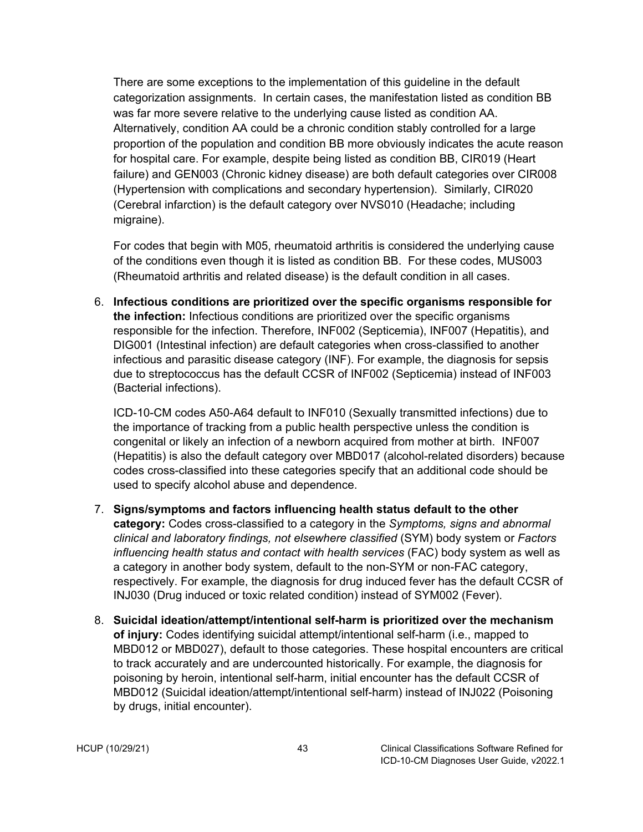There are some exceptions to the implementation of this guideline in the default categorization assignments. In certain cases, the manifestation listed as condition BB was far more severe relative to the underlying cause listed as condition AA. Alternatively, condition AA could be a chronic condition stably controlled for a large proportion of the population and condition BB more obviously indicates the acute reason for hospital care. For example, despite being listed as condition BB, CIR019 (Heart failure) and GEN003 (Chronic kidney disease) are both default categories over CIR008 (Hypertension with complications and secondary hypertension). Similarly, CIR020 (Cerebral infarction) is the default category over NVS010 (Headache; including migraine).

For codes that begin with M05, rheumatoid arthritis is considered the underlying cause of the conditions even though it is listed as condition BB. For these codes, MUS003 (Rheumatoid arthritis and related disease) is the default condition in all cases.

6. **Infectious conditions are prioritized over the specific organisms responsible for the infection:** Infectious conditions are prioritized over the specific organisms responsible for the infection. Therefore, INF002 (Septicemia), INF007 (Hepatitis), and DIG001 (Intestinal infection) are default categories when cross-classified to another infectious and parasitic disease category (INF). For example, the diagnosis for sepsis due to streptococcus has the default CCSR of INF002 (Septicemia) instead of INF003 (Bacterial infections).

ICD-10-CM codes A50-A64 default to INF010 (Sexually transmitted infections) due to the importance of tracking from a public health perspective unless the condition is congenital or likely an infection of a newborn acquired from mother at birth. INF007 (Hepatitis) is also the default category over MBD017 (alcohol-related disorders) because codes cross-classified into these categories specify that an additional code should be used to specify alcohol abuse and dependence.

- 7. **Signs/symptoms and factors influencing health status default to the other category:** Codes cross-classified to a category in the *Symptoms, signs and abnormal clinical and laboratory findings, not elsewhere classified* (SYM) body system or *Factors influencing health status and contact with health services* (FAC) body system as well as a category in another body system, default to the non-SYM or non-FAC category, respectively. For example, the diagnosis for drug induced fever has the default CCSR of INJ030 (Drug induced or toxic related condition) instead of SYM002 (Fever).
- 8. **Suicidal ideation/attempt/intentional self-harm is prioritized over the mechanism of injury:** Codes identifying suicidal attempt/intentional self-harm (i.e., mapped to MBD012 or MBD027), default to those categories. These hospital encounters are critical to track accurately and are undercounted historically. For example, the diagnosis for poisoning by heroin, intentional self-harm, initial encounter has the default CCSR of MBD012 (Suicidal ideation/attempt/intentional self-harm) instead of INJ022 (Poisoning by drugs, initial encounter).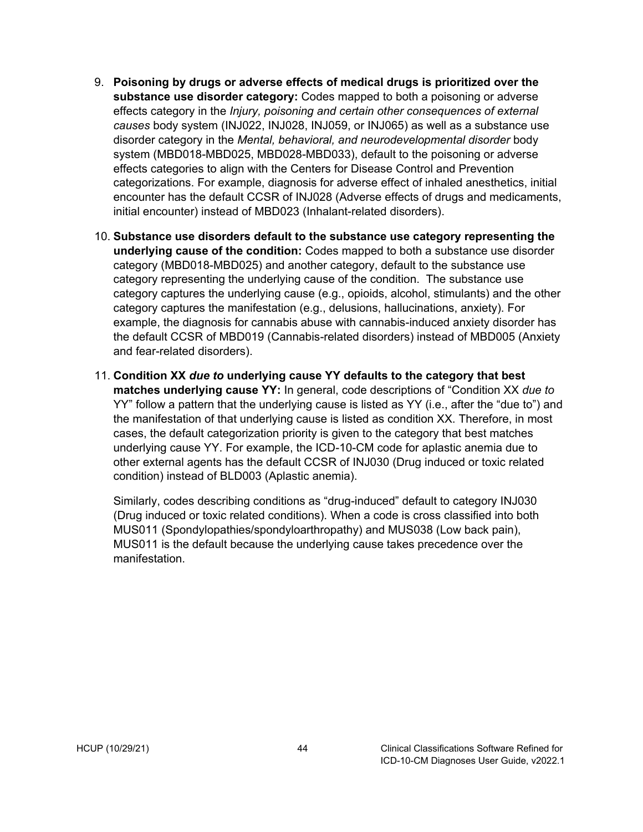- 9. **Poisoning by drugs or adverse effects of medical drugs is prioritized over the substance use disorder category:** Codes mapped to both a poisoning or adverse effects category in the *Injury, poisoning and certain other consequences of external causes* body system (INJ022, INJ028, INJ059, or INJ065) as well as a substance use disorder category in the *Mental, behavioral, and neurodevelopmental disorder* body system (MBD018-MBD025, MBD028-MBD033), default to the poisoning or adverse effects categories to align with the Centers for Disease Control and Prevention categorizations. For example, diagnosis for adverse effect of inhaled anesthetics, initial encounter has the default CCSR of INJ028 (Adverse effects of drugs and medicaments, initial encounter) instead of MBD023 (Inhalant-related disorders).
- 10. **Substance use disorders default to the substance use category representing the underlying cause of the condition:** Codes mapped to both a substance use disorder category (MBD018-MBD025) and another category, default to the substance use category representing the underlying cause of the condition. The substance use category captures the underlying cause (e.g., opioids, alcohol, stimulants) and the other category captures the manifestation (e.g., delusions, hallucinations, anxiety). For example, the diagnosis for cannabis abuse with cannabis-induced anxiety disorder has the default CCSR of MBD019 (Cannabis-related disorders) instead of MBD005 (Anxiety and fear-related disorders).
- 11. **Condition XX** *due to* **underlying cause YY defaults to the category that best matches underlying cause YY:** In general, code descriptions of "Condition XX *due to* YY" follow a pattern that the underlying cause is listed as YY (i.e., after the "due to") and the manifestation of that underlying cause is listed as condition XX. Therefore, in most cases, the default categorization priority is given to the category that best matches underlying cause YY. For example, the ICD-10-CM code for aplastic anemia due to other external agents has the default CCSR of INJ030 (Drug induced or toxic related condition) instead of BLD003 (Aplastic anemia).

Similarly, codes describing conditions as "drug-induced" default to category INJ030 (Drug induced or toxic related conditions). When a code is cross classified into both MUS011 (Spondylopathies/spondyloarthropathy) and MUS038 (Low back pain), MUS011 is the default because the underlying cause takes precedence over the manifestation.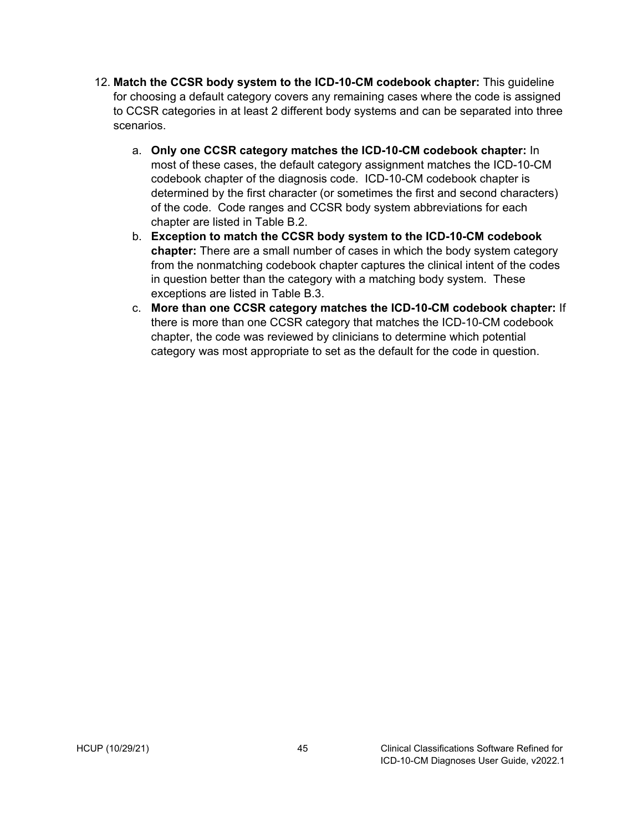- 12. **Match the CCSR body system to the ICD-10-CM codebook chapter:** This guideline for choosing a default category covers any remaining cases where the code is assigned to CCSR categories in at least 2 different body systems and can be separated into three scenarios.
	- a. **Only one CCSR category matches the ICD-10-CM codebook chapter:** In most of these cases, the default category assignment matches the ICD-10-CM codebook chapter of the diagnosis code. ICD-10-CM codebook chapter is determined by the first character (or sometimes the first and second characters) of the code. Code ranges and CCSR body system abbreviations for each chapter are listed in Table B.2.
	- b. **Exception to match the CCSR body system to the ICD-10-CM codebook chapter:** There are a small number of cases in which the body system category from the nonmatching codebook chapter captures the clinical intent of the codes in question better than the category with a matching body system. These exceptions are listed in Table B.3.
	- c. **More than one CCSR category matches the ICD-10-CM codebook chapter:** If there is more than one CCSR category that matches the ICD-10-CM codebook chapter, the code was reviewed by clinicians to determine which potential category was most appropriate to set as the default for the code in question.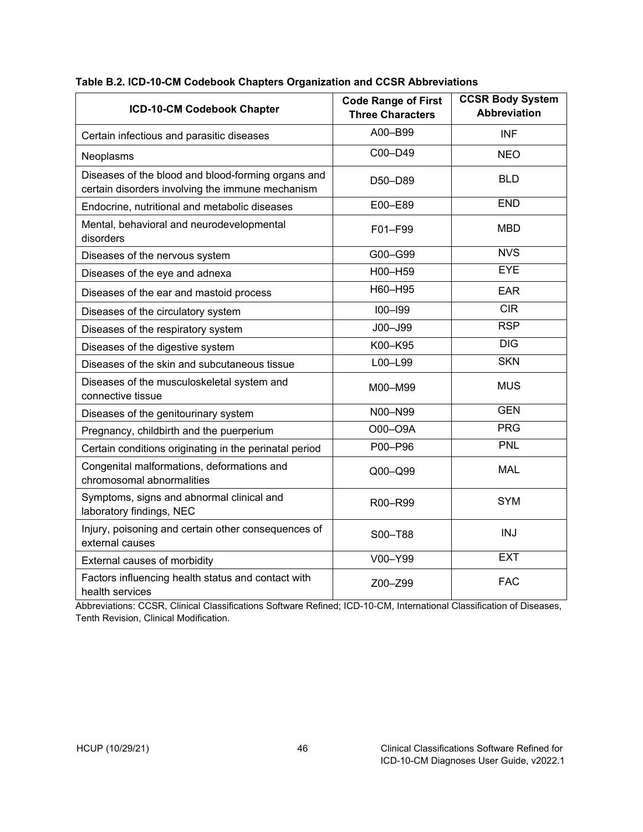| ICD-10-CM Codebook Chapter                                                                             | <b>Code Range of First</b><br><b>Three Characters</b> | <b>CCSR Body System</b><br><b>Abbreviation</b> |
|--------------------------------------------------------------------------------------------------------|-------------------------------------------------------|------------------------------------------------|
| Certain infectious and parasitic diseases                                                              | A00-B99                                               | <b>INF</b>                                     |
| Neoplasms                                                                                              | C00-D49                                               | <b>NEO</b>                                     |
| Diseases of the blood and blood-forming organs and<br>certain disorders involving the immune mechanism | D50-D89                                               | <b>BLD</b>                                     |
| Endocrine, nutritional and metabolic diseases                                                          | E00-E89                                               | <b>END</b>                                     |
| Mental, behavioral and neurodevelopmental<br>disorders                                                 | F01-F99                                               | <b>MBD</b>                                     |
| Diseases of the nervous system                                                                         | G00-G99                                               | <b>NVS</b>                                     |
| Diseases of the eye and adnexa                                                                         | H00-H59                                               | <b>EYE</b>                                     |
| Diseases of the ear and mastoid process                                                                | H60-H95                                               | <b>EAR</b>                                     |
| Diseases of the circulatory system                                                                     | $100 - 199$                                           | <b>CIR</b>                                     |
| Diseases of the respiratory system                                                                     | J00-J99                                               | <b>RSP</b>                                     |
| Diseases of the digestive system                                                                       | K00-K95                                               | <b>DIG</b>                                     |
| Diseases of the skin and subcutaneous tissue                                                           | L00-L99                                               | <b>SKN</b>                                     |
| Diseases of the musculoskeletal system and<br>connective tissue                                        | M00-M99                                               | <b>MUS</b>                                     |
| Diseases of the genitourinary system                                                                   | N00-N99                                               | <b>GEN</b>                                     |
| Pregnancy, childbirth and the puerperium                                                               | O00-O9A                                               | <b>PRG</b>                                     |
| Certain conditions originating in the perinatal period                                                 | P00-P96                                               | <b>PNL</b>                                     |
| Congenital malformations, deformations and<br>chromosomal abnormalities                                | Q00-Q99                                               | <b>MAL</b>                                     |
| Symptoms, signs and abnormal clinical and<br>laboratory findings, NEC                                  | R <sub>00</sub> -R <sub>99</sub>                      | <b>SYM</b>                                     |
| Injury, poisoning and certain other consequences of<br>external causes                                 | S00-T88                                               | <b>INJ</b>                                     |
| External causes of morbidity                                                                           | V00-Y99                                               | <b>EXT</b>                                     |
| Factors influencing health status and contact with<br>health services                                  | Z00-Z99                                               | <b>FAC</b>                                     |

#### <span id="page-50-0"></span>**Table B.2. ICD-10-CM Codebook Chapters Organization and CCSR Abbreviations**

Abbreviations: CCSR, Clinical Classifications Software Refined; ICD-10-CM, International Classification of Diseases, Tenth Revision, Clinical Modification.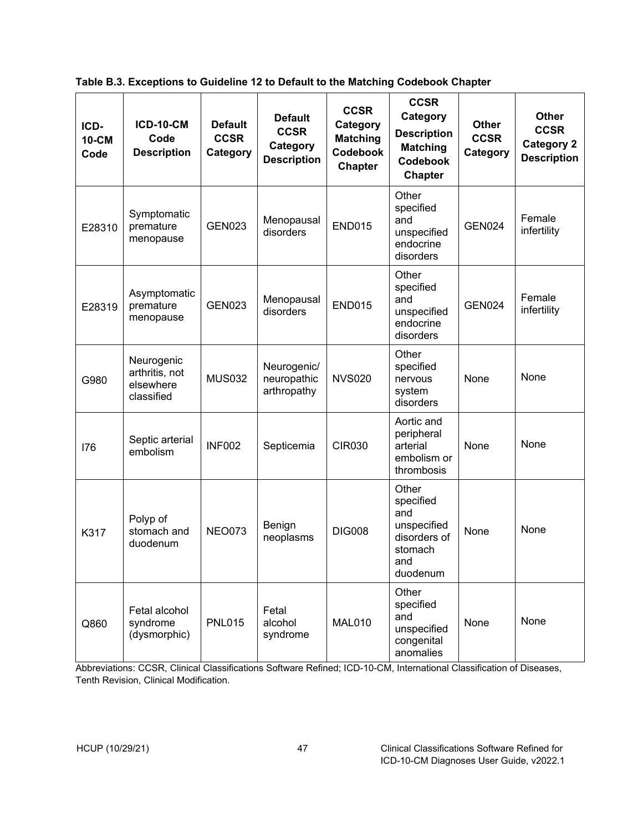<span id="page-51-0"></span>**Table B.3. Exceptions to Guideline 12 to Default to the Matching Codebook Chapter**

| ICD-<br>10-CM<br>Code | <b>ICD-10-CM</b><br>Code<br><b>Description</b>          | <b>Default</b><br><b>CCSR</b><br>Category | <b>Default</b><br><b>CCSR</b><br>Category<br><b>Description</b> | <b>CCSR</b><br>Category<br><b>Matching</b><br><b>Codebook</b><br><b>Chapter</b> | <b>CCSR</b><br>Category<br><b>Description</b><br><b>Matching</b><br><b>Codebook</b><br><b>Chapter</b> | <b>Other</b><br><b>CCSR</b><br>Category | Other<br><b>CCSR</b><br><b>Category 2</b><br><b>Description</b> |
|-----------------------|---------------------------------------------------------|-------------------------------------------|-----------------------------------------------------------------|---------------------------------------------------------------------------------|-------------------------------------------------------------------------------------------------------|-----------------------------------------|-----------------------------------------------------------------|
| E28310                | Symptomatic<br>premature<br>menopause                   | <b>GEN023</b>                             | Menopausal<br>disorders                                         | <b>END015</b>                                                                   | Other<br>specified<br>and<br>unspecified<br>endocrine<br>disorders                                    | <b>GEN024</b>                           | Female<br>infertility                                           |
| E28319                | Asymptomatic<br>premature<br>menopause                  | <b>GEN023</b>                             | Menopausal<br>disorders                                         | <b>END015</b>                                                                   | Other<br>specified<br>and<br>unspecified<br>endocrine<br>disorders                                    | <b>GEN024</b>                           | Female<br>infertility                                           |
| G980                  | Neurogenic<br>arthritis, not<br>elsewhere<br>classified | <b>MUS032</b>                             | Neurogenic/<br>neuropathic<br>arthropathy                       | <b>NVS020</b>                                                                   | Other<br>specified<br>nervous<br>system<br>disorders                                                  | None                                    | None                                                            |
| 176                   | Septic arterial<br>embolism                             | <b>INF002</b>                             | Septicemia                                                      | <b>CIR030</b>                                                                   | Aortic and<br>peripheral<br>arterial<br>embolism or<br>thrombosis                                     | None                                    | None                                                            |
| K317                  | Polyp of<br>stomach and<br>duodenum                     | <b>NEO073</b>                             | Benign<br>neoplasms                                             | <b>DIG008</b>                                                                   | Other<br>specified<br>and<br>unspecified<br>disorders of<br>stomach<br>and<br>duodenum                | None                                    | None                                                            |
| Q860                  | Fetal alcohol<br>syndrome<br>(dysmorphic)               | <b>PNL015</b>                             | Fetal<br>alcohol<br>syndrome                                    | MAL010                                                                          | Other<br>specified<br>and<br>unspecified<br>congenital<br>anomalies                                   | None                                    | None                                                            |

Abbreviations: CCSR, Clinical Classifications Software Refined; ICD-10-CM, International Classification of Diseases, Tenth Revision, Clinical Modification.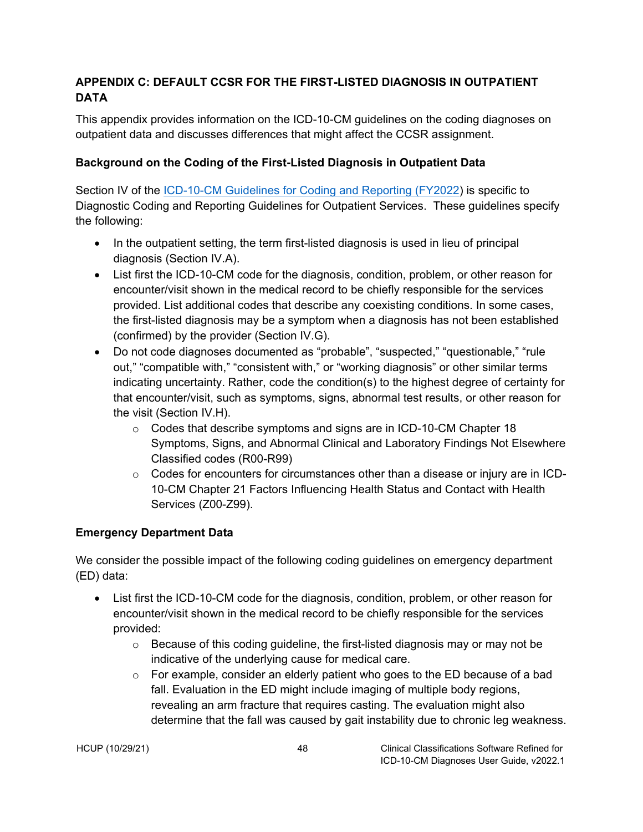## <span id="page-52-0"></span>**APPENDIX C: DEFAULT CCSR FOR THE FIRST-LISTED DIAGNOSIS IN OUTPATIENT DATA**

This appendix provides information on the ICD-10-CM guidelines on the coding diagnoses on outpatient data and discusses differences that might affect the CCSR assignment.

### <span id="page-52-1"></span>**Background on the Coding of the First-Listed Diagnosis in Outpatient Data**

Section IV of the [ICD-10-CM Guidelines for Coding and Reporting \(FY2022\)](https://www.cms.gov/files/document/fy-2022-icd-10-cm-coding-guidelines.pdf) is specific to Diagnostic Coding and Reporting Guidelines for Outpatient Services. These guidelines specify the following:

- In the outpatient setting, the term first-listed diagnosis is used in lieu of principal diagnosis (Section IV.A).
- List first the ICD-10-CM code for the diagnosis, condition, problem, or other reason for encounter/visit shown in the medical record to be chiefly responsible for the services provided. List additional codes that describe any coexisting conditions. In some cases, the first-listed diagnosis may be a symptom when a diagnosis has not been established (confirmed) by the provider (Section IV.G).
- Do not code diagnoses documented as "probable", "suspected," "questionable," "rule out," "compatible with," "consistent with," or "working diagnosis" or other similar terms indicating uncertainty. Rather, code the condition(s) to the highest degree of certainty for that encounter/visit, such as symptoms, signs, abnormal test results, or other reason for the visit (Section IV.H).
	- o Codes that describe symptoms and signs are in ICD-10-CM Chapter 18 Symptoms, Signs, and Abnormal Clinical and Laboratory Findings Not Elsewhere Classified codes (R00-R99)
	- $\circ$  Codes for encounters for circumstances other than a disease or injury are in ICD-10-CM Chapter 21 Factors Influencing Health Status and Contact with Health Services (Z00-Z99).

#### <span id="page-52-2"></span>**Emergency Department Data**

We consider the possible impact of the following coding guidelines on emergency department (ED) data:

- List first the ICD-10-CM code for the diagnosis, condition, problem, or other reason for encounter/visit shown in the medical record to be chiefly responsible for the services provided:
	- $\circ$  Because of this coding guideline, the first-listed diagnosis may or may not be indicative of the underlying cause for medical care.
	- $\circ$  For example, consider an elderly patient who goes to the ED because of a bad fall. Evaluation in the ED might include imaging of multiple body regions, revealing an arm fracture that requires casting. The evaluation might also determine that the fall was caused by gait instability due to chronic leg weakness.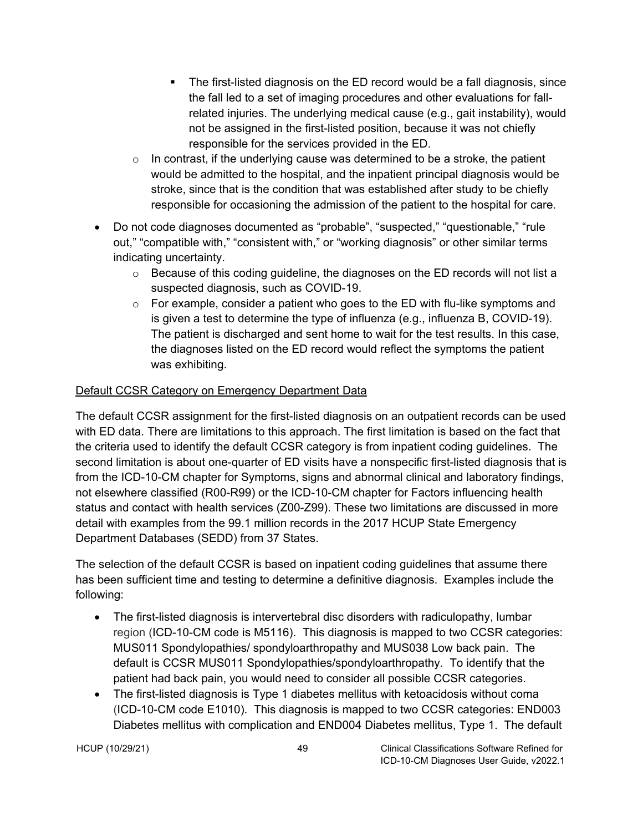- The first-listed diagnosis on the ED record would be a fall diagnosis, since the fall led to a set of imaging procedures and other evaluations for fallrelated injuries. The underlying medical cause (e.g., gait instability), would not be assigned in the first-listed position, because it was not chiefly responsible for the services provided in the ED.
- $\circ$  In contrast, if the underlying cause was determined to be a stroke, the patient would be admitted to the hospital, and the inpatient principal diagnosis would be stroke, since that is the condition that was established after study to be chiefly responsible for occasioning the admission of the patient to the hospital for care.
- Do not code diagnoses documented as "probable", "suspected," "questionable," "rule out," "compatible with," "consistent with," or "working diagnosis" or other similar terms indicating uncertainty.
	- $\circ$  Because of this coding quideline, the diagnoses on the ED records will not list a suspected diagnosis, such as COVID-19.
	- $\circ$  For example, consider a patient who goes to the ED with flu-like symptoms and is given a test to determine the type of influenza (e.g., influenza B, COVID-19). The patient is discharged and sent home to wait for the test results. In this case, the diagnoses listed on the ED record would reflect the symptoms the patient was exhibiting.

### <span id="page-53-0"></span>Default CCSR Category on Emergency Department Data

The default CCSR assignment for the first-listed diagnosis on an outpatient records can be used with ED data. There are limitations to this approach. The first limitation is based on the fact that the criteria used to identify the default CCSR category is from inpatient coding guidelines. The second limitation is about one-quarter of ED visits have a nonspecific first-listed diagnosis that is from the ICD-10-CM chapter for Symptoms, signs and abnormal clinical and laboratory findings, not elsewhere classified (R00-R99) or the ICD-10-CM chapter for Factors influencing health status and contact with health services (Z00-Z99). These two limitations are discussed in more detail with examples from the 99.1 million records in the 2017 HCUP State Emergency Department Databases (SEDD) from 37 States.

The selection of the default CCSR is based on inpatient coding guidelines that assume there has been sufficient time and testing to determine a definitive diagnosis. Examples include the following:

- The first-listed diagnosis is intervertebral disc disorders with radiculopathy, lumbar region (ICD-10-CM code is M5116). This diagnosis is mapped to two CCSR categories: MUS011 Spondylopathies/ spondyloarthropathy and MUS038 Low back pain. The default is CCSR MUS011 Spondylopathies/spondyloarthropathy. To identify that the patient had back pain, you would need to consider all possible CCSR categories.
- The first-listed diagnosis is Type 1 diabetes mellitus with ketoacidosis without coma (ICD-10-CM code E1010). This diagnosis is mapped to two CCSR categories: END003 Diabetes mellitus with complication and END004 Diabetes mellitus, Type 1. The default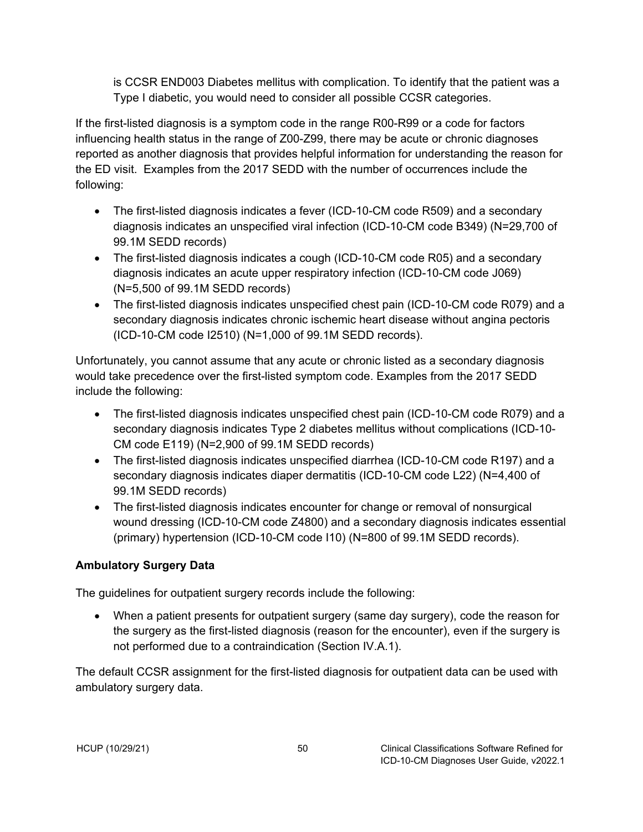is CCSR END003 Diabetes mellitus with complication. To identify that the patient was a Type I diabetic, you would need to consider all possible CCSR categories.

If the first-listed diagnosis is a symptom code in the range R00-R99 or a code for factors influencing health status in the range of Z00-Z99, there may be acute or chronic diagnoses reported as another diagnosis that provides helpful information for understanding the reason for the ED visit. Examples from the 2017 SEDD with the number of occurrences include the following:

- The first-listed diagnosis indicates a fever (ICD-10-CM code R509) and a secondary diagnosis indicates an unspecified viral infection (ICD-10-CM code B349) (N=29,700 of 99.1M SEDD records)
- The first-listed diagnosis indicates a cough (ICD-10-CM code R05) and a secondary diagnosis indicates an acute upper respiratory infection (ICD-10-CM code J069) (N=5,500 of 99.1M SEDD records)
- The first-listed diagnosis indicates unspecified chest pain (ICD-10-CM code R079) and a secondary diagnosis indicates chronic ischemic heart disease without angina pectoris (ICD-10-CM code I2510) (N=1,000 of 99.1M SEDD records).

Unfortunately, you cannot assume that any acute or chronic listed as a secondary diagnosis would take precedence over the first-listed symptom code. Examples from the 2017 SEDD include the following:

- The first-listed diagnosis indicates unspecified chest pain (ICD-10-CM code R079) and a secondary diagnosis indicates Type 2 diabetes mellitus without complications (ICD-10- CM code E119) (N=2,900 of 99.1M SEDD records)
- The first-listed diagnosis indicates unspecified diarrhea (ICD-10-CM code R197) and a secondary diagnosis indicates diaper dermatitis (ICD-10-CM code L22) (N=4,400 of 99.1M SEDD records)
- The first-listed diagnosis indicates encounter for change or removal of nonsurgical wound dressing (ICD-10-CM code Z4800) and a secondary diagnosis indicates essential (primary) hypertension (ICD-10-CM code I10) (N=800 of 99.1M SEDD records).

## <span id="page-54-0"></span>**Ambulatory Surgery Data**

The guidelines for outpatient surgery records include the following:

• When a patient presents for outpatient surgery (same day surgery), code the reason for the surgery as the first-listed diagnosis (reason for the encounter), even if the surgery is not performed due to a contraindication (Section IV.A.1).

The default CCSR assignment for the first-listed diagnosis for outpatient data can be used with ambulatory surgery data.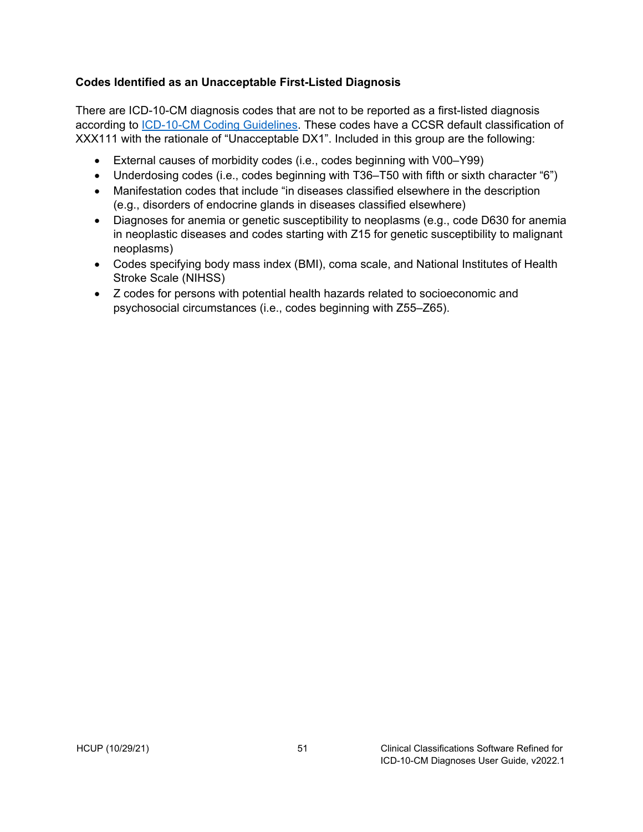#### <span id="page-55-0"></span>**Codes Identified as an Unacceptable First-Listed Diagnosis**

There are ICD-10-CM diagnosis codes that are not to be reported as a first-listed diagnosis according to [ICD-10-CM Coding Guidelines.](https://www.cdc.gov/nchs/data/icd/10cmguidelines-FY2021.pdf) These codes have a CCSR default classification of XXX111 with the rationale of "Unacceptable DX1". Included in this group are the following:

- External causes of morbidity codes (i.e., codes beginning with V00–Y99)
- Underdosing codes (i.e., codes beginning with T36–T50 with fifth or sixth character "6")
- Manifestation codes that include "in diseases classified elsewhere in the description (e.g., disorders of endocrine glands in diseases classified elsewhere)
- Diagnoses for anemia or genetic susceptibility to neoplasms (e.g., code D630 for anemia in neoplastic diseases and codes starting with Z15 for genetic susceptibility to malignant neoplasms)
- Codes specifying body mass index (BMI), coma scale, and National Institutes of Health Stroke Scale (NIHSS)
- Z codes for persons with potential health hazards related to socioeconomic and psychosocial circumstances (i.e., codes beginning with Z55–Z65).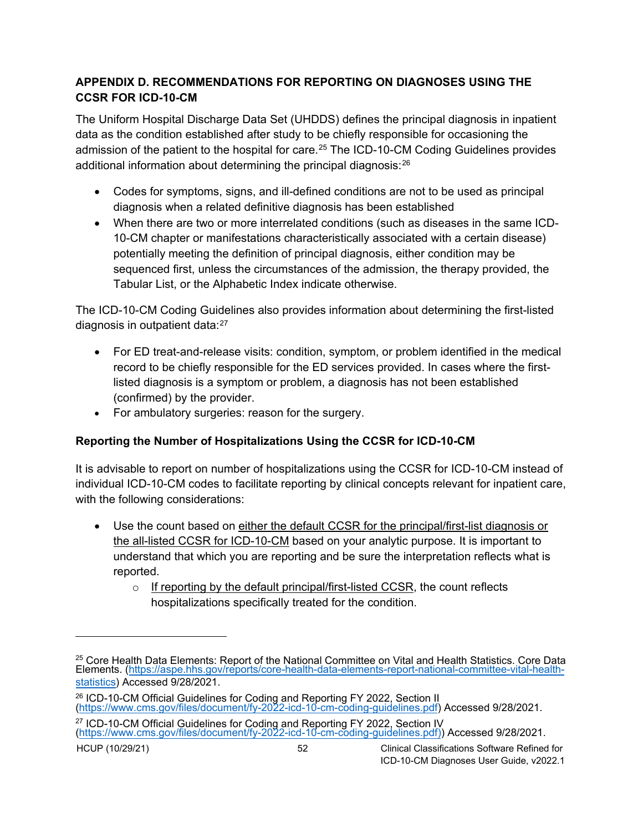### <span id="page-56-0"></span>**APPENDIX D. RECOMMENDATIONS FOR REPORTING ON DIAGNOSES USING THE CCSR FOR ICD-10-CM**

The Uniform Hospital Discharge Data Set (UHDDS) defines the principal diagnosis in inpatient data as the condition established after study to be chiefly responsible for occasioning the admission of the patient to the hospital for care.<sup>[25](#page-56-2)</sup> The ICD-10-CM Coding Guidelines provides additional information about determining the principal diagnosis:<sup>[26](#page-56-3)</sup>

- Codes for symptoms, signs, and ill-defined conditions are not to be used as principal diagnosis when a related definitive diagnosis has been established
- When there are two or more interrelated conditions (such as diseases in the same ICD-10-CM chapter or manifestations characteristically associated with a certain disease) potentially meeting the definition of principal diagnosis, either condition may be sequenced first, unless the circumstances of the admission, the therapy provided, the Tabular List, or the Alphabetic Index indicate otherwise.

The ICD-10-CM Coding Guidelines also provides information about determining the first-listed diagnosis in outpatient data:[27](#page-56-4)

- For ED treat-and-release visits: condition, symptom, or problem identified in the medical record to be chiefly responsible for the ED services provided. In cases where the firstlisted diagnosis is a symptom or problem, a diagnosis has not been established (confirmed) by the provider.
- For ambulatory surgeries: reason for the surgery.

## <span id="page-56-1"></span>**Reporting the Number of Hospitalizations Using the CCSR for ICD-10-CM**

It is advisable to report on number of hospitalizations using the CCSR for ICD-10-CM instead of individual ICD-10-CM codes to facilitate reporting by clinical concepts relevant for inpatient care, with the following considerations:

- Use the count based on either the default CCSR for the principal/first-list diagnosis or the all-listed CCSR for ICD-10-CM based on your analytic purpose. It is important to understand that which you are reporting and be sure the interpretation reflects what is reported.
	- $\circ$  If reporting by the default principal/first-listed CCSR, the count reflects hospitalizations specifically treated for the condition.

<span id="page-56-2"></span> $^{25}_{-}$  Core Health Data Elements: Report of the National Committee on Vital and Health Statistics. Core Data Elements. [\(https://aspe.hhs.gov/reports/core-health-data-elements-report-national-committee-vital-health](https://aspe.hhs.gov/reports/core-health-data-elements-report-national-committee-vital-health-statistics)[statistics\)](https://aspe.hhs.gov/reports/core-health-data-elements-report-national-committee-vital-health-statistics) Accessed 9/28/2021.

<span id="page-56-3"></span><sup>&</sup>lt;sup>26</sup> ICD-10-CM Official Guidelines for Coding and Reporting FY 2022, Section II (https://www.cms.gov/files/document/[fy-2022-icd-10-cm-coding-g](https://www.cms.gov/files/document/fy-2022-icd-10-cm-coding-guidelines.pdf)uidelines.pdf) Accessed 9/28/2021.

<span id="page-56-4"></span><sup>&</sup>lt;sup>27</sup> ICD-10-CM Official Guidelines for Coding and Reporting FY 2022, Section IV (https://www.[cms.gov/files/document/fy-2022-icd-10-cm-coding-guidelines.pdf\)](https://www.cms.gov/files/document/fy-2022-icd-10-cm-coding-guidelines.pdf)) Accessed 9/28/2021.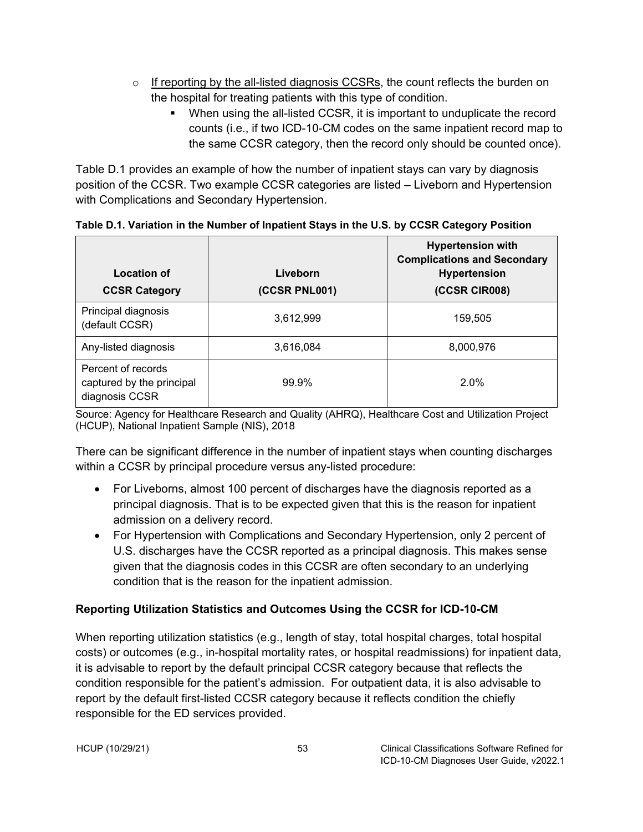- $\circ$  If reporting by the all-listed diagnosis CCSRs, the count reflects the burden on the hospital for treating patients with this type of condition.
	- When using the all-listed CCSR, it is important to unduplicate the record counts (i.e., if two ICD-10-CM codes on the same inpatient record map to the same CCSR category, then the record only should be counted once).

Table D.1 provides an example of how the number of inpatient stays can vary by diagnosis position of the CCSR. Two example CCSR categories are listed – Liveborn and Hypertension with Complications and Secondary Hypertension.

| Location of<br><b>CCSR Category</b>                               | Liveborn<br>(CCSR PNL001) | <b>Hypertension with</b><br><b>Complications and Secondary</b><br><b>Hypertension</b><br>(CCSR CIR008) |
|-------------------------------------------------------------------|---------------------------|--------------------------------------------------------------------------------------------------------|
| Principal diagnosis<br>(default CCSR)                             | 3,612,999                 | 159,505                                                                                                |
| Any-listed diagnosis                                              | 3,616,084                 | 8,000,976                                                                                              |
| Percent of records<br>captured by the principal<br>diagnosis CCSR | 99.9%                     | 2.0%                                                                                                   |

<span id="page-57-1"></span>**Table D.1. Variation in the Number of Inpatient Stays in the U.S. by CCSR Category Position**

Source: Agency for Healthcare Research and Quality (AHRQ), Healthcare Cost and Utilization Project (HCUP), National Inpatient Sample (NIS), 2018

There can be significant difference in the number of inpatient stays when counting discharges within a CCSR by principal procedure versus any-listed procedure:

- For Liveborns, almost 100 percent of discharges have the diagnosis reported as a principal diagnosis. That is to be expected given that this is the reason for inpatient admission on a delivery record.
- For Hypertension with Complications and Secondary Hypertension, only 2 percent of U.S. discharges have the CCSR reported as a principal diagnosis. This makes sense given that the diagnosis codes in this CCSR are often secondary to an underlying condition that is the reason for the inpatient admission.

## <span id="page-57-0"></span>**Reporting Utilization Statistics and Outcomes Using the CCSR for ICD-10-CM**

When reporting utilization statistics (e.g., length of stay, total hospital charges, total hospital costs) or outcomes (e.g., in-hospital mortality rates, or hospital readmissions) for inpatient data, it is advisable to report by the default principal CCSR category because that reflects the condition responsible for the patient's admission. For outpatient data, it is also advisable to report by the default first-listed CCSR category because it reflects condition the chiefly responsible for the ED services provided.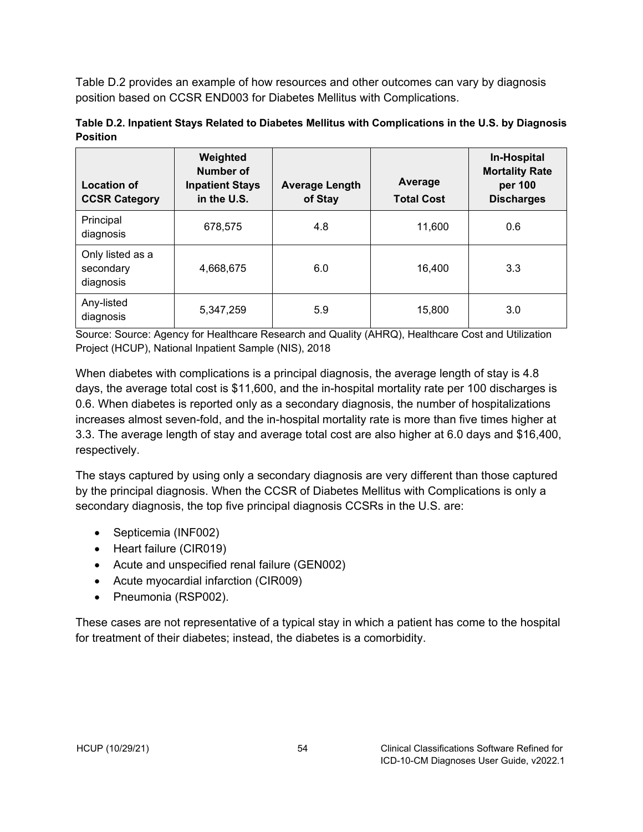Table D.2 provides an example of how resources and other outcomes can vary by diagnosis position based on CCSR END003 for Diabetes Mellitus with Complications.

<span id="page-58-0"></span>

| Table D.2. Inpatient Stays Related to Diabetes Mellitus with Complications in the U.S. by Diagnosis |  |
|-----------------------------------------------------------------------------------------------------|--|
| <b>Position</b>                                                                                     |  |

| <b>Location of</b><br><b>CCSR Category</b> | Weighted<br><b>Number of</b><br><b>Inpatient Stays</b><br>in the U.S. | <b>Average Length</b><br>of Stay | Average<br><b>Total Cost</b> | In-Hospital<br><b>Mortality Rate</b><br>per 100<br><b>Discharges</b> |
|--------------------------------------------|-----------------------------------------------------------------------|----------------------------------|------------------------------|----------------------------------------------------------------------|
| Principal<br>diagnosis                     | 678,575                                                               | 4.8                              | 11,600                       | 0.6                                                                  |
| Only listed as a<br>secondary<br>diagnosis | 4,668,675                                                             | 6.0                              | 16,400                       | 3.3                                                                  |
| Any-listed<br>diagnosis                    | 5,347,259                                                             | 5.9                              | 15,800                       | 3.0                                                                  |

Source: Source: Agency for Healthcare Research and Quality (AHRQ), Healthcare Cost and Utilization Project (HCUP), National Inpatient Sample (NIS), 2018

When diabetes with complications is a principal diagnosis, the average length of stay is 4.8 days, the average total cost is \$11,600, and the in-hospital mortality rate per 100 discharges is 0.6. When diabetes is reported only as a secondary diagnosis, the number of hospitalizations increases almost seven-fold, and the in-hospital mortality rate is more than five times higher at 3.3. The average length of stay and average total cost are also higher at 6.0 days and \$16,400, respectively.

The stays captured by using only a secondary diagnosis are very different than those captured by the principal diagnosis. When the CCSR of Diabetes Mellitus with Complications is only a secondary diagnosis, the top five principal diagnosis CCSRs in the U.S. are:

- Septicemia (INF002)
- Heart failure (CIR019)
- Acute and unspecified renal failure (GEN002)
- Acute myocardial infarction (CIR009)
- Pneumonia (RSP002).

These cases are not representative of a typical stay in which a patient has come to the hospital for treatment of their diabetes; instead, the diabetes is a comorbidity.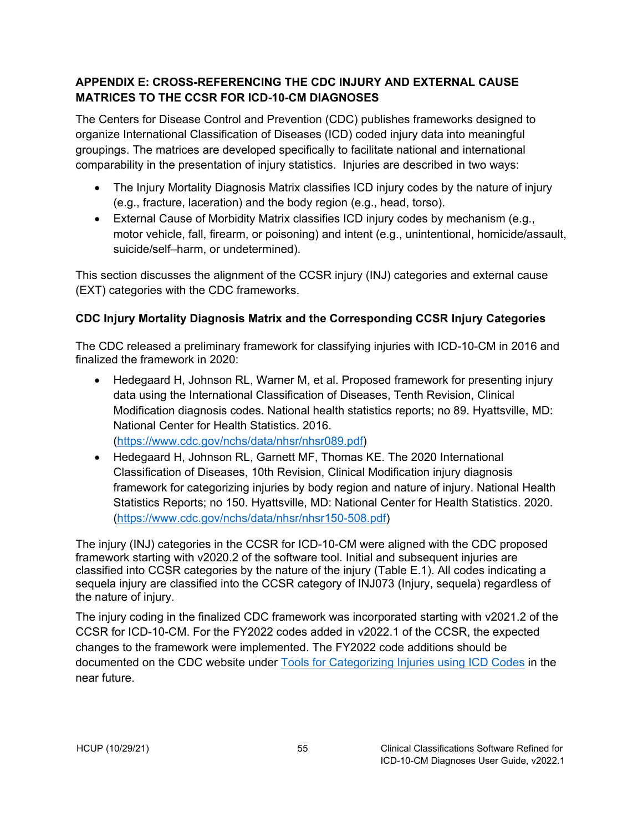### <span id="page-59-0"></span>**APPENDIX E: CROSS-REFERENCING THE CDC INJURY AND EXTERNAL CAUSE MATRICES TO THE CCSR FOR ICD-10-CM DIAGNOSES**

The Centers for Disease Control and Prevention (CDC) publishes frameworks designed to organize International Classification of Diseases (ICD) coded injury data into meaningful groupings. The matrices are developed specifically to facilitate national and international comparability in the presentation of injury statistics. Injuries are described in two ways:

- The Injury Mortality Diagnosis Matrix classifies ICD injury codes by the nature of injury (e.g., fracture, laceration) and the body region (e.g., head, torso).
- External Cause of Morbidity Matrix classifies ICD injury codes by mechanism (e.g., motor vehicle, fall, firearm, or poisoning) and intent (e.g., unintentional, homicide/assault, suicide/self–harm, or undetermined).

This section discusses the alignment of the CCSR injury (INJ) categories and external cause (EXT) categories with the CDC frameworks.

## <span id="page-59-1"></span>**CDC Injury Mortality Diagnosis Matrix and the Corresponding CCSR Injury Categories**

The CDC released a preliminary framework for classifying injuries with ICD-10-CM in 2016 and finalized the framework in 2020:

- Hedegaard H, Johnson RL, Warner M, et al. Proposed framework for presenting injury data using the International Classification of Diseases, Tenth Revision, Clinical Modification diagnosis codes. National health statistics reports; no 89. Hyattsville, MD: National Center for Health Statistics. 2016. [\(https://www.cdc.gov/nchs/data/nhsr/nhsr089.pdf\)](https://www.cdc.gov/nchs/data/nhsr/nhsr089.pdf)
- Hedegaard H, Johnson RL, Garnett MF, Thomas KE. The 2020 International Classification of Diseases, 10th Revision, Clinical Modification injury diagnosis framework for categorizing injuries by body region and nature of injury. National Health Statistics Reports; no 150. Hyattsville, MD: National Center for Health Statistics. 2020. [\(https://www.cdc.gov/nchs/data/nhsr/nhsr150-508.pdf\)](https://www.cdc.gov/nchs/data/nhsr/nhsr150-508.pdf)

The injury (INJ) categories in the CCSR for ICD-10-CM were aligned with the CDC proposed framework starting with v2020.2 of the software tool. Initial and subsequent injuries are classified into CCSR categories by the nature of the injury (Table E.1). All codes indicating a sequela injury are classified into the CCSR category of INJ073 (Injury, sequela) regardless of the nature of injury.

The injury coding in the finalized CDC framework was incorporated starting with v2021.2 of the CCSR for ICD-10-CM. For the FY2022 codes added in v2022.1 of the CCSR, the expected changes to the framework were implemented. The FY2022 code additions should be documented on the CDC website under [Tools for Categorizing Injuries using ICD Codes](https://www.cdc.gov/nchs/injury/injury_tools.htm) in the near future.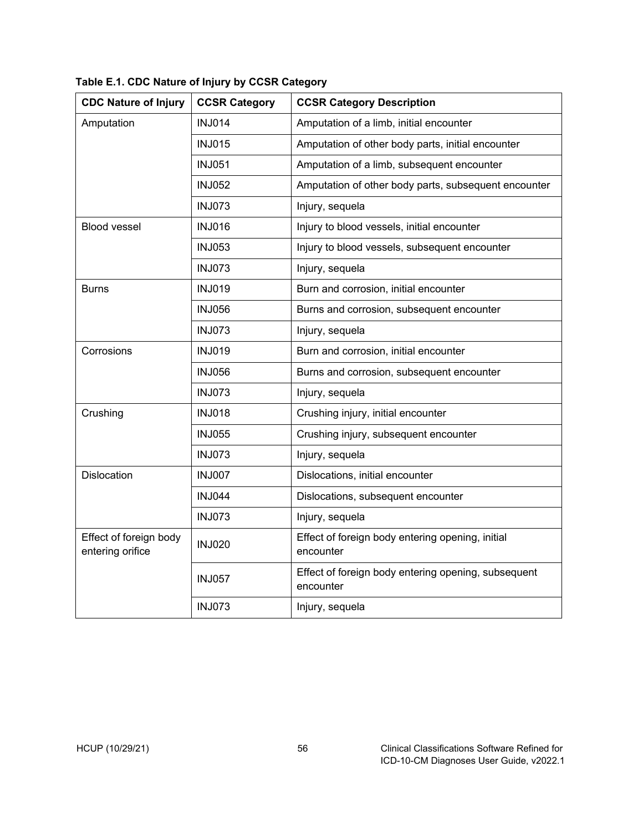| <b>CDC Nature of Injury</b>                | <b>CCSR Category</b> | <b>CCSR Category Description</b>                                 |
|--------------------------------------------|----------------------|------------------------------------------------------------------|
| Amputation                                 | <b>INJ014</b>        | Amputation of a limb, initial encounter                          |
|                                            | <b>INJ015</b>        | Amputation of other body parts, initial encounter                |
|                                            | <b>INJ051</b>        | Amputation of a limb, subsequent encounter                       |
|                                            | <b>INJ052</b>        | Amputation of other body parts, subsequent encounter             |
|                                            | <b>INJ073</b>        | Injury, sequela                                                  |
| <b>Blood vessel</b>                        | <b>INJ016</b>        | Injury to blood vessels, initial encounter                       |
|                                            | <b>INJ053</b>        | Injury to blood vessels, subsequent encounter                    |
|                                            | <b>INJ073</b>        | Injury, sequela                                                  |
| <b>Burns</b>                               | <b>INJ019</b>        | Burn and corrosion, initial encounter                            |
|                                            | <b>INJ056</b>        | Burns and corrosion, subsequent encounter                        |
|                                            | <b>INJ073</b>        | Injury, sequela                                                  |
| Corrosions                                 | <b>INJ019</b>        | Burn and corrosion, initial encounter                            |
|                                            | <b>INJ056</b>        | Burns and corrosion, subsequent encounter                        |
|                                            | <b>INJ073</b>        | Injury, sequela                                                  |
| Crushing                                   | <b>INJ018</b>        | Crushing injury, initial encounter                               |
|                                            | <b>INJ055</b>        | Crushing injury, subsequent encounter                            |
|                                            | <b>INJ073</b>        | Injury, sequela                                                  |
| <b>Dislocation</b>                         | <b>INJ007</b>        | Dislocations, initial encounter                                  |
|                                            | <b>INJ044</b>        | Dislocations, subsequent encounter                               |
|                                            | <b>INJ073</b>        | Injury, sequela                                                  |
| Effect of foreign body<br>entering orifice | <b>INJ020</b>        | Effect of foreign body entering opening, initial<br>encounter    |
|                                            | <b>INJ057</b>        | Effect of foreign body entering opening, subsequent<br>encounter |
|                                            | <b>INJ073</b>        | Injury, sequela                                                  |

<span id="page-60-0"></span>**Table E.1. CDC Nature of Injury by CCSR Category**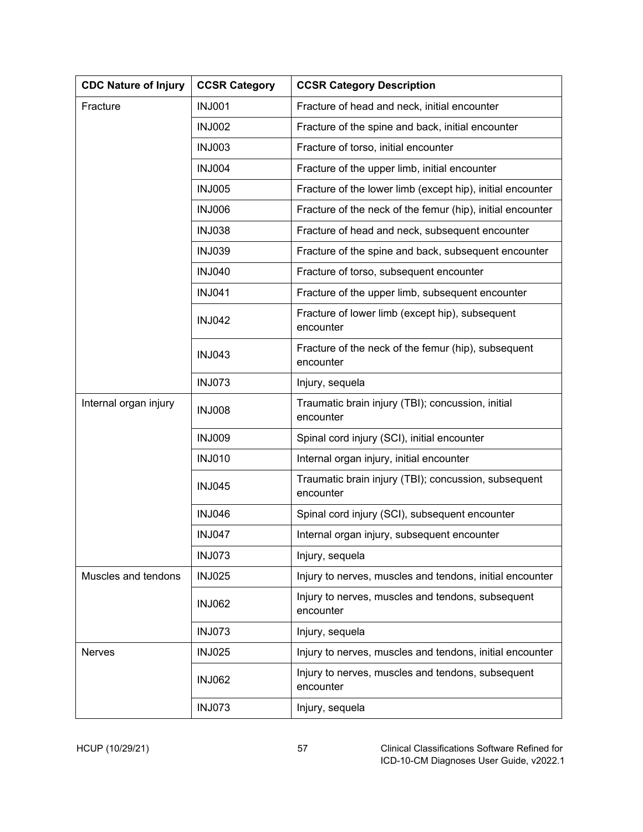| <b>CDC Nature of Injury</b> | <b>CCSR Category</b> | <b>CCSR Category Description</b>                                  |
|-----------------------------|----------------------|-------------------------------------------------------------------|
| Fracture                    | <b>INJ001</b>        | Fracture of head and neck, initial encounter                      |
|                             | <b>INJ002</b>        | Fracture of the spine and back, initial encounter                 |
|                             | <b>INJ003</b>        | Fracture of torso, initial encounter                              |
|                             | <b>INJ004</b>        | Fracture of the upper limb, initial encounter                     |
|                             | <b>INJ005</b>        | Fracture of the lower limb (except hip), initial encounter        |
|                             | <b>INJ006</b>        | Fracture of the neck of the femur (hip), initial encounter        |
|                             | <b>INJ038</b>        | Fracture of head and neck, subsequent encounter                   |
|                             | <b>INJ039</b>        | Fracture of the spine and back, subsequent encounter              |
|                             | <b>INJ040</b>        | Fracture of torso, subsequent encounter                           |
|                             | <b>INJ041</b>        | Fracture of the upper limb, subsequent encounter                  |
|                             | <b>INJ042</b>        | Fracture of lower limb (except hip), subsequent<br>encounter      |
|                             | <b>INJ043</b>        | Fracture of the neck of the femur (hip), subsequent<br>encounter  |
|                             | <b>INJ073</b>        | Injury, sequela                                                   |
| Internal organ injury       | <b>INJ008</b>        | Traumatic brain injury (TBI); concussion, initial<br>encounter    |
|                             | <b>INJ009</b>        | Spinal cord injury (SCI), initial encounter                       |
|                             | <b>INJ010</b>        | Internal organ injury, initial encounter                          |
|                             | <b>INJ045</b>        | Traumatic brain injury (TBI); concussion, subsequent<br>encounter |
|                             | <b>INJ046</b>        | Spinal cord injury (SCI), subsequent encounter                    |
|                             | <b>INJ047</b>        | Internal organ injury, subsequent encounter                       |
|                             | <b>INJ073</b>        | Injury, sequela                                                   |
| Muscles and tendons         | <b>INJ025</b>        | Injury to nerves, muscles and tendons, initial encounter          |
|                             | <b>INJ062</b>        | Injury to nerves, muscles and tendons, subsequent<br>encounter    |
|                             | <b>INJ073</b>        | Injury, sequela                                                   |
| Nerves                      | <b>INJ025</b>        | Injury to nerves, muscles and tendons, initial encounter          |
|                             | <b>INJ062</b>        | Injury to nerves, muscles and tendons, subsequent<br>encounter    |
|                             | <b>INJ073</b>        | Injury, sequela                                                   |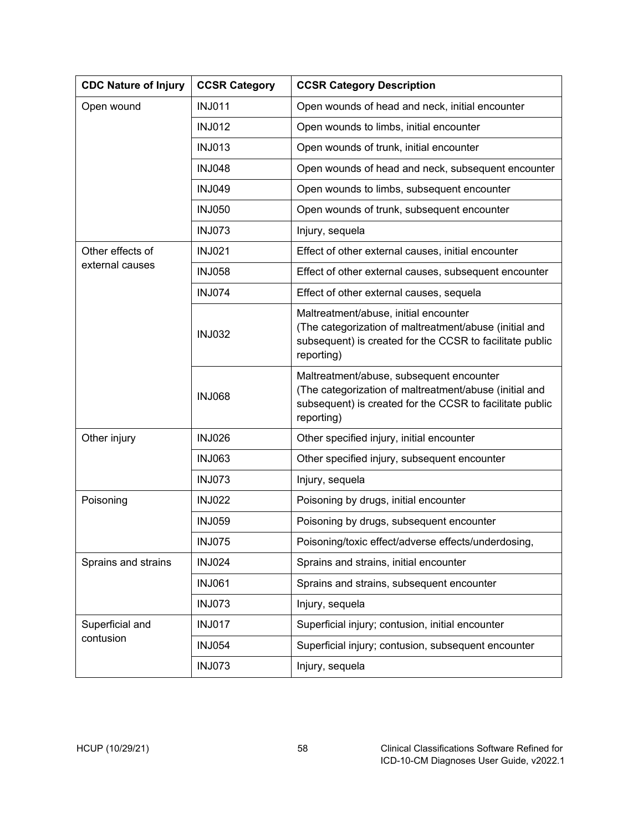| <b>CDC Nature of Injury</b>  | <b>CCSR Category</b> | <b>CCSR Category Description</b>                                                                                                                                             |
|------------------------------|----------------------|------------------------------------------------------------------------------------------------------------------------------------------------------------------------------|
| Open wound                   | <b>INJ011</b>        | Open wounds of head and neck, initial encounter                                                                                                                              |
|                              | <b>INJ012</b>        | Open wounds to limbs, initial encounter                                                                                                                                      |
|                              | <b>INJ013</b>        | Open wounds of trunk, initial encounter                                                                                                                                      |
|                              | <b>INJ048</b>        | Open wounds of head and neck, subsequent encounter                                                                                                                           |
|                              | <b>INJ049</b>        | Open wounds to limbs, subsequent encounter                                                                                                                                   |
|                              | <b>INJ050</b>        | Open wounds of trunk, subsequent encounter                                                                                                                                   |
|                              | <b>INJ073</b>        | Injury, sequela                                                                                                                                                              |
| Other effects of             | <b>INJ021</b>        | Effect of other external causes, initial encounter                                                                                                                           |
| external causes              | <b>INJ058</b>        | Effect of other external causes, subsequent encounter                                                                                                                        |
|                              | <b>INJ074</b>        | Effect of other external causes, sequela                                                                                                                                     |
|                              | <b>INJ032</b>        | Maltreatment/abuse, initial encounter<br>(The categorization of maltreatment/abuse (initial and<br>subsequent) is created for the CCSR to facilitate public<br>reporting)    |
|                              | <b>INJ068</b>        | Maltreatment/abuse, subsequent encounter<br>(The categorization of maltreatment/abuse (initial and<br>subsequent) is created for the CCSR to facilitate public<br>reporting) |
| Other injury                 | <b>INJ026</b>        | Other specified injury, initial encounter                                                                                                                                    |
|                              | <b>INJ063</b>        | Other specified injury, subsequent encounter                                                                                                                                 |
|                              | <b>INJ073</b>        | Injury, sequela                                                                                                                                                              |
| Poisoning                    | <b>INJ022</b>        | Poisoning by drugs, initial encounter                                                                                                                                        |
|                              | <b>INJ059</b>        | Poisoning by drugs, subsequent encounter                                                                                                                                     |
|                              | <b>INJ075</b>        | Poisoning/toxic effect/adverse effects/underdosing,                                                                                                                          |
| Sprains and strains          | <b>INJ024</b>        | Sprains and strains, initial encounter                                                                                                                                       |
|                              | <b>INJ061</b>        | Sprains and strains, subsequent encounter                                                                                                                                    |
|                              | <b>INJ073</b>        | Injury, sequela                                                                                                                                                              |
| Superficial and<br>contusion | <b>INJ017</b>        | Superficial injury; contusion, initial encounter                                                                                                                             |
|                              | <b>INJ054</b>        | Superficial injury; contusion, subsequent encounter                                                                                                                          |
|                              | <b>INJ073</b>        | Injury, sequela                                                                                                                                                              |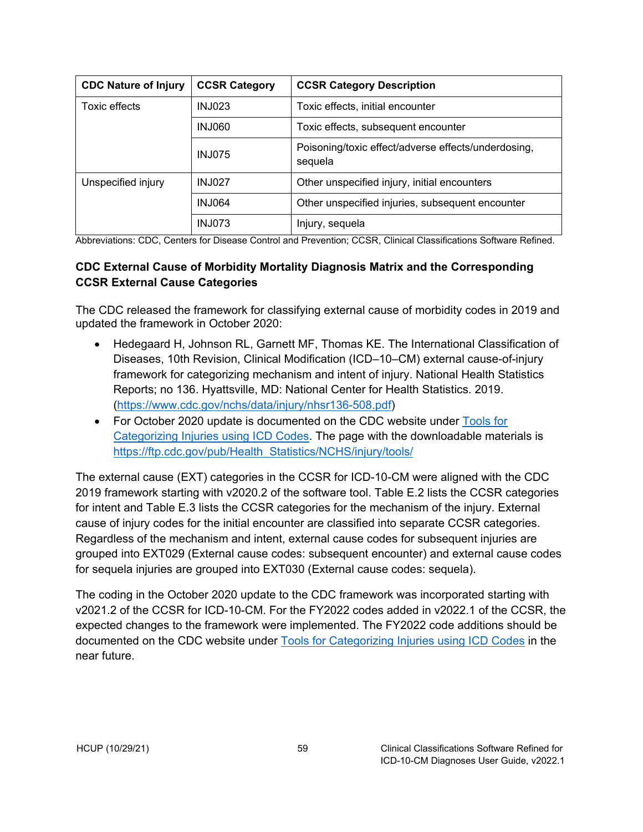| <b>CDC Nature of Injury</b> | <b>CCSR Category</b> | <b>CCSR Category Description</b>                               |
|-----------------------------|----------------------|----------------------------------------------------------------|
| Toxic effects               | <b>INJ023</b>        | Toxic effects, initial encounter                               |
|                             | <b>INJ060</b>        | Toxic effects, subsequent encounter                            |
|                             | <b>INJ075</b>        | Poisoning/toxic effect/adverse effects/underdosing,<br>sequela |
| Unspecified injury          | <b>INJ027</b>        | Other unspecified injury, initial encounters                   |
|                             | <b>INJ064</b>        | Other unspecified injuries, subsequent encounter               |
|                             | <b>INJ073</b>        | Injury, sequela                                                |

Abbreviations: CDC, Centers for Disease Control and Prevention; CCSR, Clinical Classifications Software Refined.

#### <span id="page-63-0"></span>**CDC External Cause of Morbidity Mortality Diagnosis Matrix and the Corresponding CCSR External Cause Categories**

The CDC released the framework for classifying external cause of morbidity codes in 2019 and updated the framework in October 2020:

- Hedegaard H, Johnson RL, Garnett MF, Thomas KE. The International Classification of Diseases, 10th Revision, Clinical Modification (ICD–10–CM) external cause-of-injury framework for categorizing mechanism and intent of injury. National Health Statistics Reports; no 136. Hyattsville, MD: National Center for Health Statistics. 2019. [\(https://www.cdc.gov/nchs/data/injury/nhsr136-508.pdf\)](https://www.cdc.gov/nchs/data/injury/nhsr136-508.pdf)
- For October 2020 update is documented on the CDC website under Tools for [Categorizing Injuries using ICD Codes.](https://www.cdc.gov/nchs/injury/injury_tools.htm) The page with the downloadable materials is [https://ftp.cdc.gov/pub/Health\\_Statistics/NCHS/injury/tools/](https://ftp.cdc.gov/pub/Health_Statistics/NCHS/injury/tools/)

The external cause (EXT) categories in the CCSR for ICD-10-CM were aligned with the CDC 2019 framework starting with v2020.2 of the software tool. Table E.2 lists the CCSR categories for intent and Table E.3 lists the CCSR categories for the mechanism of the injury. External cause of injury codes for the initial encounter are classified into separate CCSR categories. Regardless of the mechanism and intent, external cause codes for subsequent injuries are grouped into EXT029 (External cause codes: subsequent encounter) and external cause codes for sequela injuries are grouped into EXT030 (External cause codes: sequela).

The coding in the October 2020 update to the CDC framework was incorporated starting with v2021.2 of the CCSR for ICD-10-CM. For the FY2022 codes added in v2022.1 of the CCSR, the expected changes to the framework were implemented. The FY2022 code additions should be documented on the CDC website under [Tools for Categorizing Injuries using ICD Codes](https://www.cdc.gov/nchs/injury/injury_tools.htm) in the near future.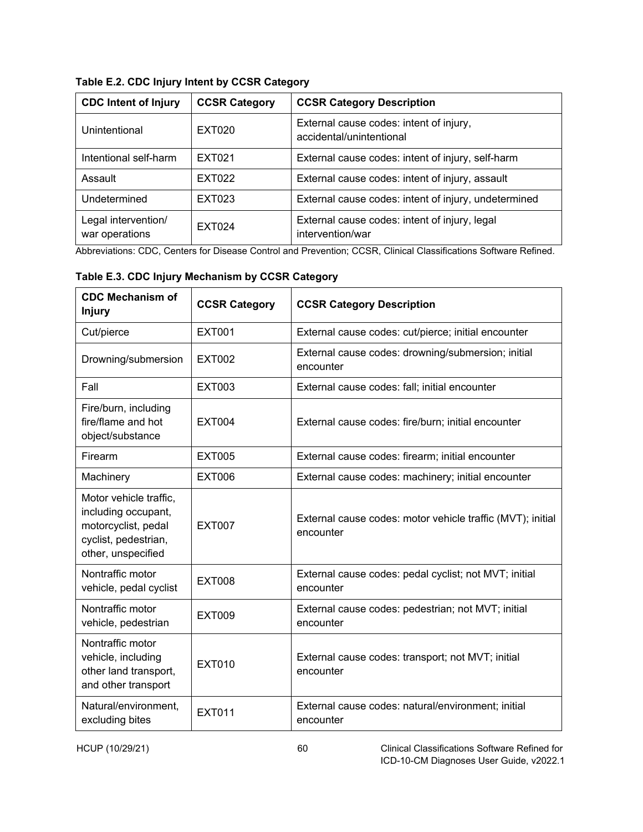| <b>CDC Intent of Injury</b>           | <b>CCSR Category</b> | <b>CCSR Category Description</b>                                    |
|---------------------------------------|----------------------|---------------------------------------------------------------------|
| Unintentional                         | EXT020               | External cause codes: intent of injury,<br>accidental/unintentional |
| Intentional self-harm                 | EXT021               | External cause codes: intent of injury, self-harm                   |
| Assault                               | EXT022               | External cause codes: intent of injury, assault                     |
| Undetermined                          | EXT023               | External cause codes: intent of injury, undetermined                |
| Legal intervention/<br>war operations | <b>EXT024</b>        | External cause codes: intent of injury, legal<br>intervention/war   |

<span id="page-64-0"></span>**Table E.2. CDC Injury Intent by CCSR Category**

Abbreviations: CDC, Centers for Disease Control and Prevention; CCSR, Clinical Classifications Software Refined.

<span id="page-64-1"></span>**Table E.3. CDC Injury Mechanism by CCSR Category**

| <b>CDC Mechanism of</b><br><b>Injury</b>                                                                           | <b>CCSR Category</b> | <b>CCSR Category Description</b>                                        |
|--------------------------------------------------------------------------------------------------------------------|----------------------|-------------------------------------------------------------------------|
| Cut/pierce                                                                                                         | <b>EXT001</b>        | External cause codes: cut/pierce; initial encounter                     |
| Drowning/submersion                                                                                                | <b>EXT002</b>        | External cause codes: drowning/submersion; initial<br>encounter         |
| Fall                                                                                                               | <b>EXT003</b>        | External cause codes: fall; initial encounter                           |
| Fire/burn, including<br>fire/flame and hot<br>object/substance                                                     | <b>EXT004</b>        | External cause codes: fire/burn; initial encounter                      |
| Firearm                                                                                                            | <b>EXT005</b>        | External cause codes: firearm; initial encounter                        |
| Machinery                                                                                                          | <b>EXT006</b>        | External cause codes: machinery; initial encounter                      |
| Motor vehicle traffic,<br>including occupant,<br>motorcyclist, pedal<br>cyclist, pedestrian,<br>other, unspecified | <b>EXT007</b>        | External cause codes: motor vehicle traffic (MVT); initial<br>encounter |
| Nontraffic motor<br>vehicle, pedal cyclist                                                                         | <b>EXT008</b>        | External cause codes: pedal cyclist; not MVT; initial<br>encounter      |
| Nontraffic motor<br>vehicle, pedestrian                                                                            | <b>EXT009</b>        | External cause codes: pedestrian; not MVT; initial<br>encounter         |
| Nontraffic motor<br>vehicle, including<br>other land transport,<br>and other transport                             | <b>EXT010</b>        | External cause codes: transport; not MVT; initial<br>encounter          |
| Natural/environment,<br>excluding bites                                                                            | <b>EXT011</b>        | External cause codes: natural/environment; initial<br>encounter         |

HCUP (10/29/21) 60 Clinical Classifications Software Refined for ICD-10-CM Diagnoses User Guide, v2022.1